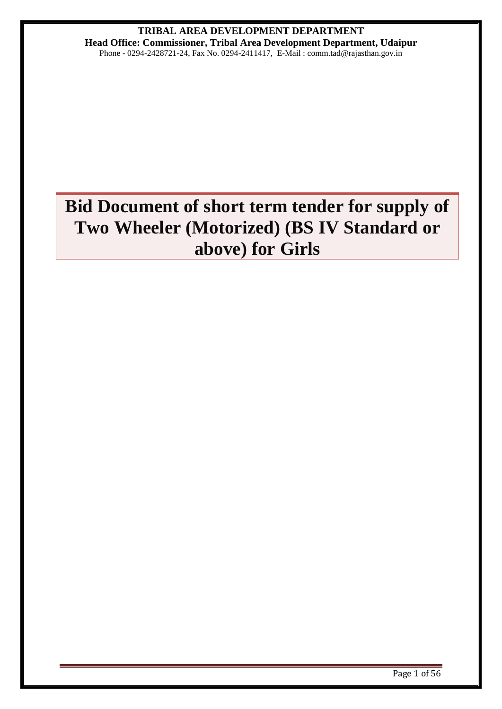# **TRIBAL AREA DEVELOPMENT DEPARTMENT Head Office: Commissioner, Tribal Area Development Department, Udaipur**

Phone - 0294-2428721-24, Fax No. 0294-2411417, E-Mail : comm.tad@rajasthan.gov.in

# **Bid Document of short term tender for supply of Two Wheeler (Motorized) (BS IV Standard or above) for Girls**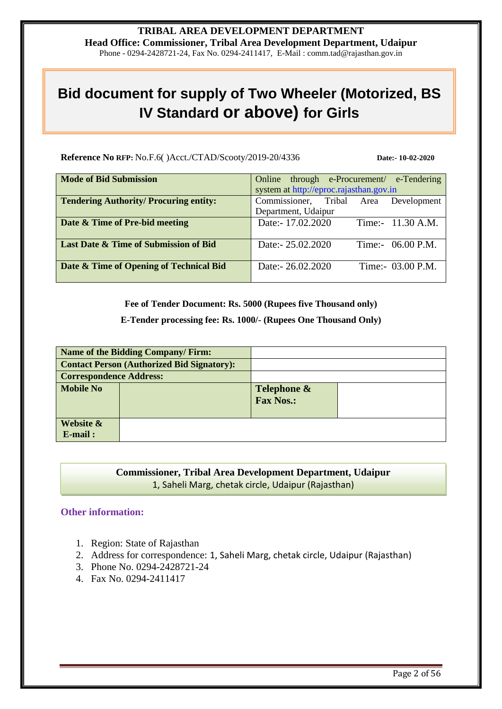#### **TRIBAL AREA DEVELOPMENT DEPARTMENT Head Office: Commissioner, Tribal Area Development Department, Udaipur** Phone - 0294-2428721-24, Fax No. 0294-2411417, E-Mail : comm.tad@rajasthan.gov.in

# **Bid document for supply of Two Wheeler (Motorized, BS IV Standard or above) for Girls**

**Reference No RFP:** No.F.6( )Acct./CTAD/Scooty/2019-20/4336 **Date:- 10-02-2020** 

| <b>Mode of Bid Submission</b>                 | Online through e-Procurement/ e-Tendering |
|-----------------------------------------------|-------------------------------------------|
|                                               | system at http://eproc.rajasthan.gov.in   |
| <b>Tendering Authority/ Procuring entity:</b> | Commissioner, Tribal Area Development     |
|                                               | Department, Udaipur                       |
| Date & Time of Pre-bid meeting                | Date:- 17.02.2020<br>Time:- 11.30 A.M.    |
|                                               |                                           |
| Last Date & Time of Submission of Bid         | Date:- 25.02.2020<br>Time:- $06.00$ P.M.  |
|                                               |                                           |
| Date & Time of Opening of Technical Bid       | Date:- 26.02.2020<br>Time:- 03.00 P.M.    |
|                                               |                                           |

**Fee of Tender Document: Rs. 5000 (Rupees five Thousand only)**

**E-Tender processing fee: Rs. 1000/- (Rupees One Thousand Only)**

|                                | Name of the Bidding Company/Firm:                 |                                 |  |
|--------------------------------|---------------------------------------------------|---------------------------------|--|
|                                | <b>Contact Person (Authorized Bid Signatory):</b> |                                 |  |
| <b>Correspondence Address:</b> |                                                   |                                 |  |
| <b>Mobile No</b>               |                                                   | Telephone &<br><b>Fax Nos.:</b> |  |
| Website &<br>$E$ -mail:        |                                                   |                                 |  |

## **Commissioner, Tribal Area Development Department, Udaipur** 1, Saheli Marg, chetak circle, Udaipur (Rajasthan)

#### **Other information:**

- 1. Region: State of Rajasthan
- 2. Address for correspondence: 1, Saheli Marg, chetak circle, Udaipur (Rajasthan)
- 3. Phone No. 0294-2428721-24
- 4. Fax No. 0294-2411417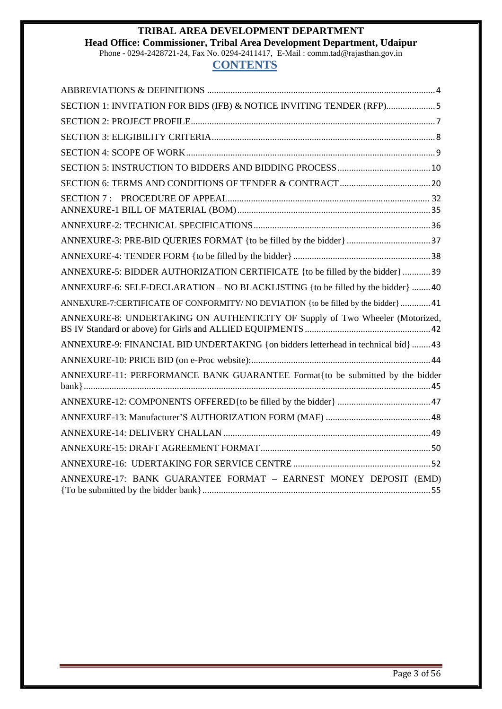#### **TRIBAL AREA DEVELOPMENT DEPARTMENT Head Office: Commissioner, Tribal Area Development Department, Udaipur** Phone - 0294-2428721-24, Fax No. 0294-2411417, E-Mail : comm.tad@rajasthan.gov.in

# **CONTENTS**

<span id="page-2-0"></span>

| SECTION 1: INVITATION FOR BIDS (IFB) & NOTICE INVITING TENDER (RFP)5               |
|------------------------------------------------------------------------------------|
|                                                                                    |
|                                                                                    |
|                                                                                    |
|                                                                                    |
|                                                                                    |
|                                                                                    |
|                                                                                    |
|                                                                                    |
|                                                                                    |
| ANNEXURE-5: BIDDER AUTHORIZATION CERTIFICATE {to be filled by the bidder} 39       |
| ANNEXURE-6: SELF-DECLARATION – NO BLACKLISTING {to be filled by the bidder} 40     |
| ANNEXURE-7:CERTIFICATE OF CONFORMITY/NO DEVIATION {to be filled by the bidder} 41  |
| ANNEXURE-8: UNDERTAKING ON AUTHENTICITY OF Supply of Two Wheeler (Motorized,       |
| ANNEXURE-9: FINANCIAL BID UNDERTAKING {on bidders letterhead in technical bid}  43 |
|                                                                                    |
| ANNEXURE-11: PERFORMANCE BANK GUARANTEE Format{to be submitted by the bidder       |
|                                                                                    |
|                                                                                    |
|                                                                                    |
|                                                                                    |
|                                                                                    |
| ANNEXURE-17: BANK GUARANTEE FORMAT - EARNEST MONEY DEPOSIT (EMD)                   |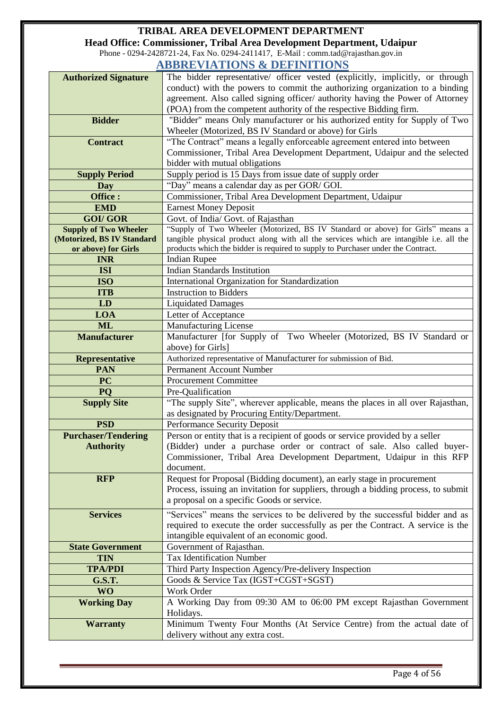**Head Office: Commissioner, Tribal Area Development Department, Udaipur** Phone - 0294-2428721-24, Fax No. 0294-2411417, E-Mail : comm.tad@rajasthan.gov.in

## **ABBREVIATIONS & DEFINITIONS**

|                                                            | ADDINE VIA HUND & DEFINITIONS                                                                                                                                             |
|------------------------------------------------------------|---------------------------------------------------------------------------------------------------------------------------------------------------------------------------|
| <b>Authorized Signature</b>                                | The bidder representative/ officer vested (explicitly, implicitly, or through                                                                                             |
|                                                            | conduct) with the powers to commit the authorizing organization to a binding                                                                                              |
|                                                            | agreement. Also called signing officer/ authority having the Power of Attorney                                                                                            |
|                                                            | (POA) from the competent authority of the respective Bidding firm.                                                                                                        |
| <b>Bidder</b>                                              | "Bidder" means Only manufacturer or his authorized entity for Supply of Two                                                                                               |
|                                                            | Wheeler (Motorized, BS IV Standard or above) for Girls                                                                                                                    |
| <b>Contract</b>                                            | "The Contract" means a legally enforceable agreement entered into between                                                                                                 |
|                                                            | Commissioner, Tribal Area Development Department, Udaipur and the selected                                                                                                |
|                                                            | bidder with mutual obligations                                                                                                                                            |
| <b>Supply Period</b>                                       | Supply period is 15 Days from issue date of supply order                                                                                                                  |
| Day                                                        | "Day" means a calendar day as per GOR/ GOI.                                                                                                                               |
| Office:                                                    | Commissioner, Tribal Area Development Department, Udaipur                                                                                                                 |
| <b>EMD</b>                                                 | <b>Earnest Money Deposit</b>                                                                                                                                              |
| <b>GOI/GOR</b>                                             | Govt. of India/ Govt. of Rajasthan                                                                                                                                        |
| <b>Supply of Two Wheeler</b><br>(Motorized, BS IV Standard | "Supply of Two Wheeler (Motorized, BS IV Standard or above) for Girls" means a<br>tangible physical product along with all the services which are intangible i.e. all the |
| or above) for Girls                                        | products which the bidder is required to supply to Purchaser under the Contract.                                                                                          |
| <b>INR</b>                                                 | <b>Indian Rupee</b>                                                                                                                                                       |
| <b>ISI</b>                                                 | Indian Standards Institution                                                                                                                                              |
| <b>ISO</b>                                                 | International Organization for Standardization                                                                                                                            |
| <b>ITB</b>                                                 | <b>Instruction to Bidders</b>                                                                                                                                             |
| LD                                                         | <b>Liquidated Damages</b>                                                                                                                                                 |
| <b>LOA</b>                                                 | Letter of Acceptance                                                                                                                                                      |
| <b>ML</b>                                                  | <b>Manufacturing License</b>                                                                                                                                              |
| <b>Manufacturer</b>                                        | Manufacturer [for Supply of Two Wheeler (Motorized, BS IV Standard or                                                                                                     |
|                                                            | above) for Girls]                                                                                                                                                         |
|                                                            | Authorized representative of Manufacturer for submission of Bid.                                                                                                          |
|                                                            |                                                                                                                                                                           |
| <b>Representative</b><br><b>PAN</b>                        | <b>Permanent Account Number</b>                                                                                                                                           |
| <b>PC</b>                                                  | <b>Procurement Committee</b>                                                                                                                                              |
| PQ                                                         | Pre-Qualification                                                                                                                                                         |
| <b>Supply Site</b>                                         | "The supply Site", wherever applicable, means the places in all over Rajasthan,                                                                                           |
|                                                            | as designated by Procuring Entity/Department.                                                                                                                             |
| <b>PSD</b>                                                 | <b>Performance Security Deposit</b>                                                                                                                                       |
| <b>Purchaser/Tendering</b>                                 | Person or entity that is a recipient of goods or service provided by a seller                                                                                             |
| <b>Authority</b>                                           | (Bidder) under a purchase order or contract of sale. Also called buyer-                                                                                                   |
|                                                            | Commissioner, Tribal Area Development Department, Udaipur in this RFP                                                                                                     |
|                                                            | document.                                                                                                                                                                 |
| <b>RFP</b>                                                 | Request for Proposal (Bidding document), an early stage in procurement                                                                                                    |
|                                                            | Process, issuing an invitation for suppliers, through a bidding process, to submit                                                                                        |
|                                                            | a proposal on a specific Goods or service.                                                                                                                                |
| <b>Services</b>                                            | "Services" means the services to be delivered by the successful bidder and as                                                                                             |
|                                                            | required to execute the order successfully as per the Contract. A service is the                                                                                          |
|                                                            | intangible equivalent of an economic good.                                                                                                                                |
| <b>State Government</b>                                    | Government of Rajasthan.                                                                                                                                                  |
| <b>TIN</b>                                                 | <b>Tax Identification Number</b>                                                                                                                                          |
| <b>TPA/PDI</b>                                             | Third Party Inspection Agency/Pre-delivery Inspection                                                                                                                     |
| <b>G.S.T.</b>                                              | Goods & Service Tax (IGST+CGST+SGST)                                                                                                                                      |
| <b>WO</b>                                                  | Work Order                                                                                                                                                                |
| <b>Working Day</b>                                         | A Working Day from 09:30 AM to 06:00 PM except Rajasthan Government                                                                                                       |
|                                                            | Holidays.                                                                                                                                                                 |
| <b>Warranty</b>                                            | Minimum Twenty Four Months (At Service Centre) from the actual date of<br>delivery without any extra cost.                                                                |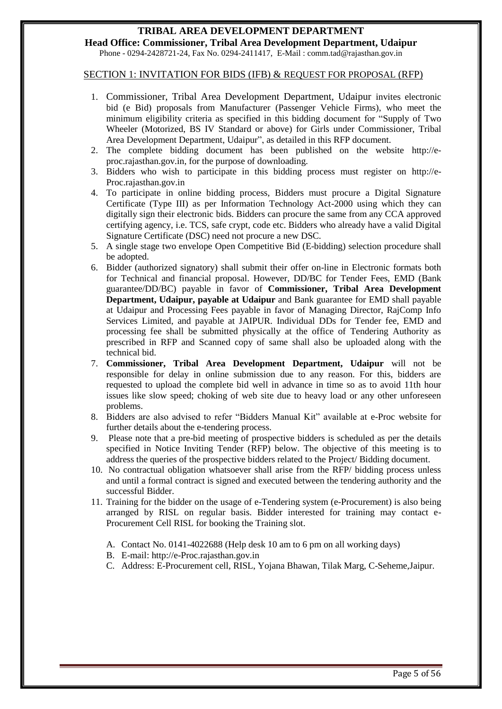**Head Office: Commissioner, Tribal Area Development Department, Udaipur** Phone - 0294-2428721-24, Fax No. 0294-2411417, E-Mail : comm.tad@rajasthan.gov.in

#### <span id="page-4-0"></span>SECTION 1: INVITATION FOR BIDS (IFB) & REQUEST FOR PROPOSAL (RFP)

- 1. Commissioner, Tribal Area Development Department, Udaipur invites electronic bid (e Bid) proposals from Manufacturer (Passenger Vehicle Firms), who meet the minimum eligibility criteria as specified in this bidding document for "Supply of Two Wheeler (Motorized, BS IV Standard or above) for Girls under Commissioner, Tribal Area Development Department, Udaipur", as detailed in this RFP document.
- 2. The complete bidding document has been published on the website http://eproc.rajasthan.gov.in, for the purpose of downloading.
- 3. Bidders who wish to participate in this bidding process must register on http://e-Proc.rajasthan.gov.in
- 4. To participate in online bidding process, Bidders must procure a Digital Signature Certificate (Type III) as per Information Technology Act-2000 using which they can digitally sign their electronic bids. Bidders can procure the same from any CCA approved certifying agency, i.e. TCS, safe crypt, code etc. Bidders who already have a valid Digital Signature Certificate (DSC) need not procure a new DSC.
- 5. A single stage two envelope Open Competitive Bid (E-bidding) selection procedure shall be adopted.
- 6. Bidder (authorized signatory) shall submit their offer on-line in Electronic formats both for Technical and financial proposal. However, DD/BC for Tender Fees, EMD (Bank guarantee/DD/BC) payable in favor of **Commissioner, Tribal Area Development Department, Udaipur, payable at Udaipur** and Bank guarantee for EMD shall payable at Udaipur and Processing Fees payable in favor of Managing Director, RajComp Info Services Limited, and payable at JAIPUR. Individual DDs for Tender fee, EMD and processing fee shall be submitted physically at the office of Tendering Authority as prescribed in RFP and Scanned copy of same shall also be uploaded along with the technical bid.
- 7. **Commissioner, Tribal Area Development Department, Udaipur** will not be responsible for delay in online submission due to any reason. For this, bidders are requested to upload the complete bid well in advance in time so as to avoid 11th hour issues like slow speed; choking of web site due to heavy load or any other unforeseen problems.
- 8. Bidders are also advised to refer "Bidders Manual Kit" available at e-Proc website for further details about the e-tendering process.
- 9. Please note that a pre-bid meeting of prospective bidders is scheduled as per the details specified in Notice Inviting Tender (RFP) below. The objective of this meeting is to address the queries of the prospective bidders related to the Project/ Bidding document.
- 10. No contractual obligation whatsoever shall arise from the RFP/ bidding process unless and until a formal contract is signed and executed between the tendering authority and the successful Bidder.
- 11. Training for the bidder on the usage of e-Tendering system (e-Procurement) is also being arranged by RISL on regular basis. Bidder interested for training may contact e-Procurement Cell RISL for booking the Training slot.
	- A. Contact No. 0141-4022688 (Help desk 10 am to 6 pm on all working days)
	- B. E-mail: http://e-Proc.rajasthan.gov.in
	- C. Address: E-Procurement cell, RISL, Yojana Bhawan, Tilak Marg, C-Seheme,Jaipur.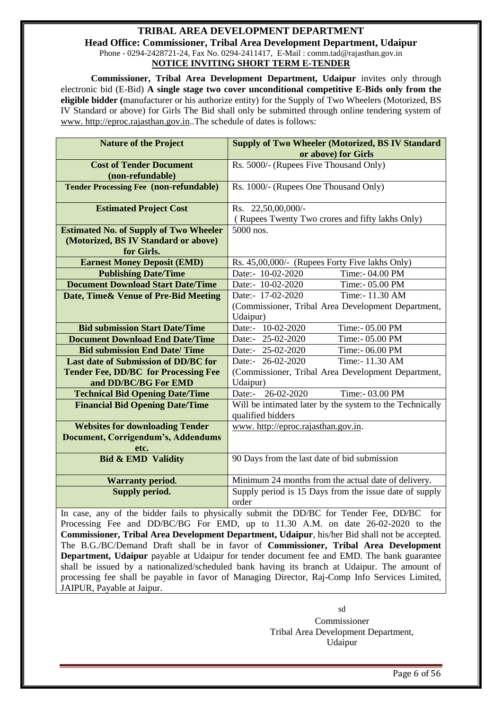#### **TRIBAL AREA DEVELOPMENT DEPARTMENT Head Office: Commissioner, Tribal Area Development Department, Udaipur** Phone - 0294-2428721-24, Fax No. 0294-2411417, E-Mail : comm.tad@rajasthan.gov.in **NOTICE INVITING SHORT TERM E-TENDER**

**Commissioner, Tribal Area Development Department, Udaipur** invites only through electronic bid (E-Bid) **A single stage two cover unconditional competitive E-Bids only from the eligible bidder (**manufacturer or his authorize entity) for the Supply of Two Wheelers (Motorized, BS IV Standard or above) for Girls The Bid shall only be submitted through online tendering system of [www. http://eproc.rajasthan.gov.in.](www.%20e-Proc@rajasthan.gov.in).The schedule of dates is follows:

| <b>Nature of the Project</b>                  | <b>Supply of Two Wheeler (Motorized, BS IV Standard)</b><br>or above) for Girls         |
|-----------------------------------------------|-----------------------------------------------------------------------------------------|
| <b>Cost of Tender Document</b>                | Rs. 5000/- (Rupees Five Thousand Only)                                                  |
| (non-refundable)                              |                                                                                         |
| <b>Tender Processing Fee (non-refundable)</b> | Rs. 1000/- (Rupees One Thousand Only)                                                   |
| <b>Estimated Project Cost</b>                 | Rs. 22,50,00,000/-                                                                      |
|                                               | (Rupees Twenty Two crores and fifty lakhs Only)                                         |
| <b>Estimated No. of Supply of Two Wheeler</b> | 5000 nos.                                                                               |
| (Motorized, BS IV Standard or above)          |                                                                                         |
| for Girls.                                    |                                                                                         |
| <b>Earnest Money Deposit (EMD)</b>            | Rs. 45,00,000/- (Rupees Forty Five lakhs Only)                                          |
| <b>Publishing Date/Time</b>                   | Date:- 10-02-2020<br>Time:- 04.00 PM                                                    |
| <b>Document Download Start Date/Time</b>      | Date:- 10-02-2020<br>Time:- 05.00 PM                                                    |
| Date, Time& Venue of Pre-Bid Meeting          | Date:- 17-02-2020<br>Time:- 11.30 AM                                                    |
|                                               | (Commissioner, Tribal Area Development Department,                                      |
|                                               | Udaipur)                                                                                |
| <b>Bid submission Start Date/Time</b>         | Date:- 10-02-2020<br>Time:- 05.00 PM                                                    |
| <b>Document Download End Date/Time</b>        | Date:- 25-02-2020<br>Time:- 05.00 PM                                                    |
| <b>Bid submission End Date/Time</b>           | Date:- 25-02-2020<br>Time:- 06.00 PM                                                    |
| Last date of Submission of DD/BC for          | Date:- 26-02-2020<br>Time:- 11.30 AM                                                    |
| <b>Tender Fee, DD/BC for Processing Fee</b>   | (Commissioner, Tribal Area Development Department,                                      |
| and DD/BC/BG For EMD                          | Udaipur)                                                                                |
| <b>Technical Bid Opening Date/Time</b>        | Date:- 26-02-2020<br>Time:- 03.00 PM                                                    |
| <b>Financial Bid Opening Date/Time</b>        | Will be intimated later by the system to the Technically<br>qualified bidders           |
| <b>Websites for downloading Tender</b>        | www.http://eproc.rajasthan.gov.in.                                                      |
| <b>Document, Corrigendum's, Addendums</b>     |                                                                                         |
| etc.                                          |                                                                                         |
| <b>Bid &amp; EMD Validity</b>                 | 90 Days from the last date of bid submission                                            |
| <b>Warranty period.</b>                       | Minimum 24 months from the actual date of delivery.                                     |
| Supply period.                                | Supply period is 15 Days from the issue date of supply<br>order                         |
|                                               | In case any of the hidder fails to physically submit the DD/RC for Tander Eas DD/RC for |

In case, any of the bidder fails to physically submit the DD/BC for Tender Fee, DD/BC Processing Fee and DD/BC/BG For EMD, up to 11.30 A.M. on date 26-02-2020 to the **Commissioner, Tribal Area Development Department, Udaipur**, his/her Bid shall not be accepted. The B.G./BC/Demand Draft shall be in favor of **Commissioner, Tribal Area Development Department, Udaipur** payable at Udaipur for tender document fee and EMD. The bank guarantee shall be issued by a nationalized/scheduled bank having its branch at Udaipur. The amount of processing fee shall be payable in favor of Managing Director, Raj-Comp Info Services Limited, JAIPUR, Payable at Jaipur.

> sd Commissioner Tribal Area Development Department, Udaipur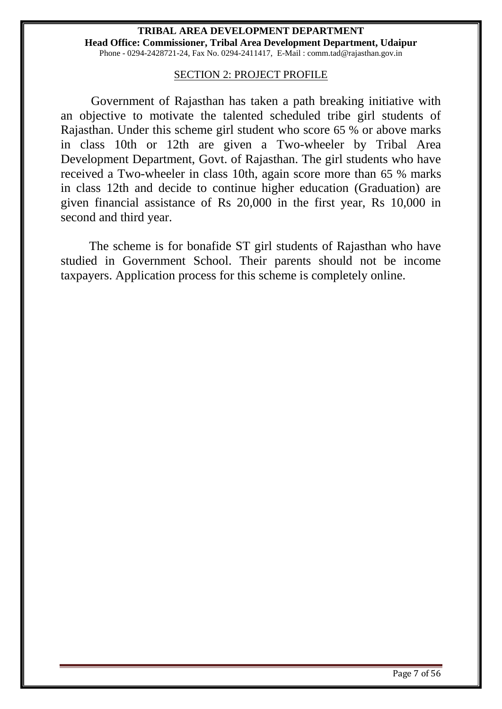#### **TRIBAL AREA DEVELOPMENT DEPARTMENT Head Office: Commissioner, Tribal Area Development Department, Udaipur** Phone - 0294-2428721-24, Fax No. 0294-2411417, E-Mail : comm.tad@rajasthan.gov.in

#### SECTION 2: PROJECT PROFILE

<span id="page-6-1"></span><span id="page-6-0"></span>Government of Rajasthan has taken a path breaking initiative with an objective to motivate the talented scheduled tribe girl students of Rajasthan. Under this scheme girl student who score 65 % or above marks in class 10th or 12th are given a Two-wheeler by Tribal Area Development Department, Govt. of Rajasthan. The girl students who have received a Two-wheeler in class 10th, again score more than 65 % marks in class 12th and decide to continue higher education (Graduation) are given financial assistance of Rs 20,000 in the first year, Rs 10,000 in second and third year.

 The scheme is for bonafide ST girl students of Rajasthan who have studied in Government School. Their parents should not be income taxpayers. Application process for this scheme is completely online.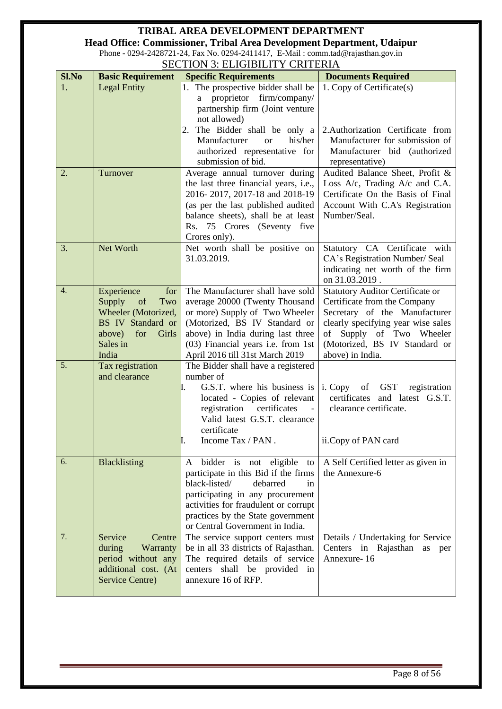**Head Office: Commissioner, Tribal Area Development Department, Udaipur**

Phone - 0294-2428721-24, Fax No. 0294-2411417, E-Mail : comm.tad@rajasthan.gov.in SECTION 3: ELIGIBILITY CRITERIA

<span id="page-7-0"></span>

| Sl.No | ~~~~<br><b>Basic Requirement</b>                                                                                                 | <u>, Luivibilit i</u><br>$\alpha$<br><b>Specific Requirements</b>                                                                                                                                                                                          | <b>Documents Required</b>                                                                                                                                                                                                       |
|-------|----------------------------------------------------------------------------------------------------------------------------------|------------------------------------------------------------------------------------------------------------------------------------------------------------------------------------------------------------------------------------------------------------|---------------------------------------------------------------------------------------------------------------------------------------------------------------------------------------------------------------------------------|
| 1.    | <b>Legal Entity</b>                                                                                                              | 1. The prospective bidder shall be<br>proprietor firm/company/<br>a<br>partnership firm (Joint venture<br>not allowed)                                                                                                                                     | 1. Copy of Certificate(s)                                                                                                                                                                                                       |
|       |                                                                                                                                  | The Bidder shall be only a<br>2.<br>Manufacturer<br>his/her<br><b>or</b><br>authorized representative for<br>submission of bid.                                                                                                                            | 2.Authorization Certificate from<br>Manufacturer for submission of<br>Manufacturer bid (authorized<br>representative)                                                                                                           |
| 2.    | Turnover                                                                                                                         | Average annual turnover during<br>the last three financial years, i.e.,<br>2016-2017, 2017-18 and 2018-19<br>(as per the last published audited<br>balance sheets), shall be at least<br>Rs. 75 Crores (Seventy five<br>Crores only).                      | Audited Balance Sheet, Profit &<br>Loss A/c, Trading A/c and C.A.<br>Certificate On the Basis of Final<br>Account With C.A's Registration<br>Number/Seal.                                                                       |
| 3.    | Net Worth                                                                                                                        | Net worth shall be positive on<br>31.03.2019.                                                                                                                                                                                                              | Statutory CA Certificate with<br>CA's Registration Number/ Seal<br>indicating net worth of the firm<br>on 31.03.2019.                                                                                                           |
| 4.    | Experience<br>for<br>Supply<br>of<br>Two<br>Wheeler (Motorized,<br>BS IV Standard or<br>above) for<br>Girls<br>Sales in<br>India | The Manufacturer shall have sold<br>average 20000 (Twenty Thousand<br>or more) Supply of Two Wheeler<br>(Motorized, BS IV Standard or<br>above) in India during last three<br>(03) Financial years i.e. from 1st<br>April 2016 till 31st March 2019        | <b>Statutory Auditor Certificate or</b><br>Certificate from the Company<br>Secretary of the Manufacturer<br>clearly specifying year wise sales<br>of Supply of Two Wheeler<br>(Motorized, BS IV Standard or<br>above) in India. |
| 5.    | Tax registration<br>and clearance                                                                                                | The Bidder shall have a registered<br>number of<br>G.S.T. where his business is<br>located - Copies of relevant<br>registration certificates<br>$\Box$<br>Valid latest G.S.T. clearance<br>certificate<br>Income Tax / PAN.                                | i. Copy of GST<br>registration<br>certificates and latest G.S.T.<br>clearance certificate.<br>ii.Copy of PAN card                                                                                                               |
| 6.    | <b>Blacklisting</b>                                                                                                              | A bidder is not eligible to<br>participate in this Bid if the firms<br>black-listed/<br>debarred<br>in<br>participating in any procurement<br>activities for fraudulent or corrupt<br>practices by the State government<br>or Central Government in India. | A Self Certified letter as given in<br>the Annexure-6                                                                                                                                                                           |
| 7.    | Service<br>Centre<br>during<br>Warranty<br>period without any<br>additional cost. (At<br>Service Centre)                         | The service support centers must<br>be in all 33 districts of Rajasthan.<br>The required details of service<br>shall be provided in<br>centers<br>annexure 16 of RFP.                                                                                      | Details / Undertaking for Service<br>Centers in Rajasthan as<br>per<br>Annexure-16                                                                                                                                              |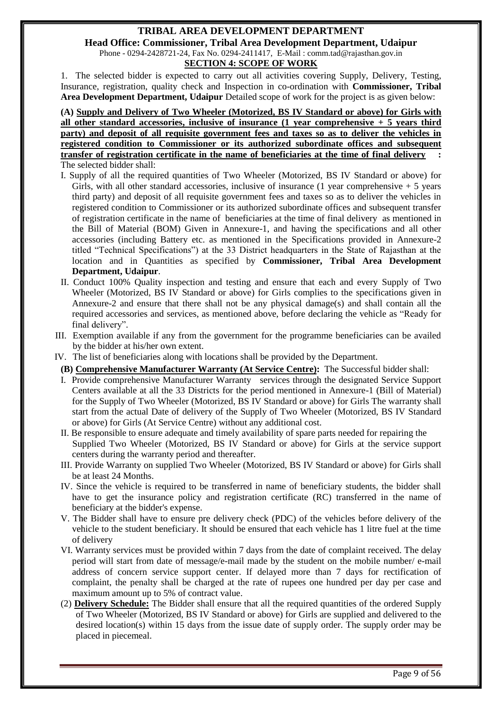#### **TRIBAL AREA DEVELOPMENT DEPARTMENT Head Office: Commissioner, Tribal Area Development Department, Udaipur** Phone - 0294-2428721-24, Fax No. 0294-2411417, E-Mail : comm.tad@rajasthan.gov.in **SECTION 4: SCOPE OF WORK**

1. The selected bidder is expected to carry out all activities covering Supply, Delivery, Testing, Insurance, registration, quality check and Inspection in co-ordination with **Commissioner, Tribal Area Development Department, Udaipur** Detailed scope of work for the project is as given below:

**(A) Supply and Delivery of Two Wheeler (Motorized, BS IV Standard or above) for Girls with all other standard accessories, inclusive of insurance (1 year comprehensive + 5 years third party) and deposit of all requisite government fees and taxes so as to deliver the vehicles in registered condition to Commissioner or its authorized subordinate offices and subsequent transfer of registration certificate in the name of beneficiaries at the time of final delivery :**  The selected bidder shall:

- I. Supply of all the required quantities of Two Wheeler (Motorized, BS IV Standard or above) for Girls, with all other standard accessories, inclusive of insurance  $(1 \text{ year comprehensive} + 5 \text{ years}$ third party) and deposit of all requisite government fees and taxes so as to deliver the vehicles in registered condition to Commissioner or its authorized subordinate offices and subsequent transfer of registration certificate in the name of beneficiaries at the time of final deliveryas mentioned in the Bill of Material (BOM) Given in Annexure-1, and having the specifications and all other accessories (including Battery etc. as mentioned in the Specifications provided in Annexure-2 titled "Technical Specifications") at the 33 District headquarters in the State of Rajasthan at the location and in Quantities as specified by **Commissioner, Tribal Area Development Department, Udaipur**.
- II. Conduct 100% Quality inspection and testing and ensure that each and every Supply of Two Wheeler (Motorized, BS IV Standard or above) for Girls complies to the specifications given in Annexure-2 and ensure that there shall not be any physical damage(s) and shall contain all the required accessories and services, as mentioned above, before declaring the vehicle as "Ready for final delivery".
- III. Exemption available if any from the government for the programme beneficiaries can be availed by the bidder at his/her own extent.
- IV. The list of beneficiaries along with locations shall be provided by the Department.
- **(B) Comprehensive Manufacturer Warranty (At Service Centre):** The Successful bidder shall:
- I. Provide comprehensive Manufacturer Warranty services through the designated Service Support Centers available at all the 33 Districts for the period mentioned in Annexure-1 (Bill of Material) for the Supply of Two Wheeler (Motorized, BS IV Standard or above) for Girls The warranty shall start from the actual Date of delivery of the Supply of Two Wheeler (Motorized, BS IV Standard or above) for Girls (At Service Centre) without any additional cost.
- II. Be responsible to ensure adequate and timely availability of spare parts needed for repairing the Supplied Two Wheeler (Motorized, BS IV Standard or above) for Girls at the service support centers during the warranty period and thereafter.
- III. Provide Warranty on supplied Two Wheeler (Motorized, BS IV Standard or above) for Girls shall be at least 24 Months.
- IV. Since the vehicle is required to be transferred in name of beneficiary students, the bidder shall have to get the insurance policy and registration certificate (RC) transferred in the name of beneficiary at the bidder's expense.
- V. The Bidder shall have to ensure pre delivery check (PDC) of the vehicles before delivery of the vehicle to the student beneficiary. It should be ensured that each vehicle has 1 litre fuel at the time of delivery
- VI. Warranty services must be provided within 7 days from the date of complaint received. The delay period will start from date of message/e-mail made by the student on the mobile number/ e-mail address of concern service support center. If delayed more than 7 days for rectification of complaint, the penalty shall be charged at the rate of rupees one hundred per day per case and maximum amount up to 5% of contract value.
- (2) **Delivery Schedule:** The Bidder shall ensure that all the required quantities of the ordered Supply of Two Wheeler (Motorized, BS IV Standard or above) for Girls are supplied and delivered to the desired location(s) within 15 days from the issue date of supply order. The supply order may be placed in piecemeal.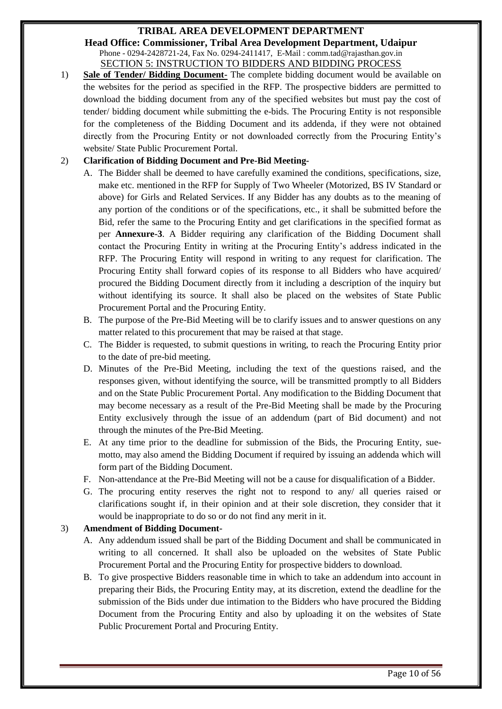**Head Office: Commissioner, Tribal Area Development Department, Udaipur** Phone - 0294-2428721-24, Fax No. 0294-2411417, E-Mail : comm.tad@rajasthan.gov.in SECTION 5: INSTRUCTION TO BIDDERS AND BIDDING PROCESS

<span id="page-9-0"></span>1) **Sale of Tender/ Bidding Document-** The complete bidding document would be available on the websites for the period as specified in the RFP. The prospective bidders are permitted to download the bidding document from any of the specified websites but must pay the cost of tender/ bidding document while submitting the e-bids. The Procuring Entity is not responsible for the completeness of the Bidding Document and its addenda, if they were not obtained directly from the Procuring Entity or not downloaded correctly from the Procuring Entity's website/ State Public Procurement Portal.

#### 2) **Clarification of Bidding Document and Pre-Bid Meeting-**

- A. The Bidder shall be deemed to have carefully examined the conditions, specifications, size, make etc. mentioned in the RFP for Supply of Two Wheeler (Motorized, BS IV Standard or above) for Girls and Related Services. If any Bidder has any doubts as to the meaning of any portion of the conditions or of the specifications, etc., it shall be submitted before the Bid, refer the same to the Procuring Entity and get clarifications in the specified format as per **Annexure-3**. A Bidder requiring any clarification of the Bidding Document shall contact the Procuring Entity in writing at the Procuring Entity's address indicated in the RFP. The Procuring Entity will respond in writing to any request for clarification. The Procuring Entity shall forward copies of its response to all Bidders who have acquired/ procured the Bidding Document directly from it including a description of the inquiry but without identifying its source. It shall also be placed on the websites of State Public Procurement Portal and the Procuring Entity.
- B. The purpose of the Pre-Bid Meeting will be to clarify issues and to answer questions on any matter related to this procurement that may be raised at that stage.
- C. The Bidder is requested, to submit questions in writing, to reach the Procuring Entity prior to the date of pre-bid meeting.
- D. Minutes of the Pre-Bid Meeting, including the text of the questions raised, and the responses given, without identifying the source, will be transmitted promptly to all Bidders and on the State Public Procurement Portal. Any modification to the Bidding Document that may become necessary as a result of the Pre-Bid Meeting shall be made by the Procuring Entity exclusively through the issue of an addendum (part of Bid document) and not through the minutes of the Pre-Bid Meeting.
- E. At any time prior to the deadline for submission of the Bids, the Procuring Entity, suemotto, may also amend the Bidding Document if required by issuing an addenda which will form part of the Bidding Document.
- F. Non-attendance at the Pre-Bid Meeting will not be a cause for disqualification of a Bidder.
- G. The procuring entity reserves the right not to respond to any/ all queries raised or clarifications sought if, in their opinion and at their sole discretion, they consider that it would be inappropriate to do so or do not find any merit in it.

#### 3) **Amendment of Bidding Document-**

- A. Any addendum issued shall be part of the Bidding Document and shall be communicated in writing to all concerned. It shall also be uploaded on the websites of State Public Procurement Portal and the Procuring Entity for prospective bidders to download.
- B. To give prospective Bidders reasonable time in which to take an addendum into account in preparing their Bids, the Procuring Entity may, at its discretion, extend the deadline for the submission of the Bids under due intimation to the Bidders who have procured the Bidding Document from the Procuring Entity and also by uploading it on the websites of State Public Procurement Portal and Procuring Entity.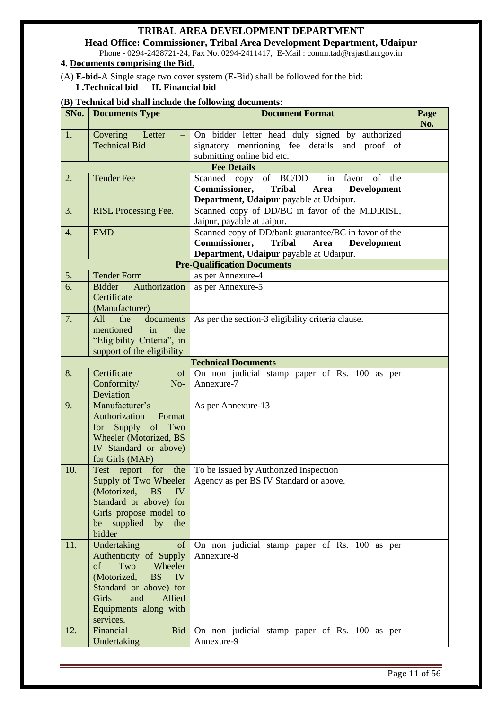**Head Office: Commissioner, Tribal Area Development Department, Udaipur** Phone - 0294-2428721-24, Fax No. 0294-2411417, E-Mail : comm.tad@rajasthan.gov.in

#### **4. Documents comprising the Bid**.

(A) **E-bid-**A Single stage two cover system (E-Bid) shall be followed for the bid:

#### **I .Technical bid II. Financial bid**

#### **(B) Technical bid shall include the following documents:**

| SNo.                       | <b>Documents Type</b>                                                                                                                                                                           | <b>Document Format</b>                                                                                                                                          | Page<br>No. |  |  |  |  |  |  |  |  |
|----------------------------|-------------------------------------------------------------------------------------------------------------------------------------------------------------------------------------------------|-----------------------------------------------------------------------------------------------------------------------------------------------------------------|-------------|--|--|--|--|--|--|--|--|
| 1.                         | Covering Letter<br><b>Technical Bid</b>                                                                                                                                                         | On bidder letter head duly signed by authorized<br>signatory mentioning fee details and proof of<br>submitting online bid etc.                                  |             |  |  |  |  |  |  |  |  |
|                            |                                                                                                                                                                                                 | <b>Fee Details</b>                                                                                                                                              |             |  |  |  |  |  |  |  |  |
| 2.                         | <b>Tender Fee</b>                                                                                                                                                                               | Scanned copy<br>of BC/DD<br>in<br>of<br>the<br>favor<br>Commissioner,<br><b>Tribal</b><br><b>Development</b><br>Area<br>Department, Udaipur payable at Udaipur. |             |  |  |  |  |  |  |  |  |
| 3.                         | <b>RISL Processing Fee.</b>                                                                                                                                                                     | Scanned copy of DD/BC in favor of the M.D.RISL,<br>Jaipur, payable at Jaipur.                                                                                   |             |  |  |  |  |  |  |  |  |
| $\overline{4}$ .           | <b>EMD</b>                                                                                                                                                                                      | Scanned copy of DD/bank guarantee/BC in favor of the<br>Commissioner,<br>Tribal<br>Area<br><b>Development</b><br>Department, Udaipur payable at Udaipur.        |             |  |  |  |  |  |  |  |  |
|                            |                                                                                                                                                                                                 | <b>Pre-Qualification Documents</b>                                                                                                                              |             |  |  |  |  |  |  |  |  |
| 5.                         | <b>Tender Form</b>                                                                                                                                                                              | as per Annexure-4                                                                                                                                               |             |  |  |  |  |  |  |  |  |
| 6.                         | <b>Bidder</b><br>Authorization<br>Certificate<br>(Manufacturer)                                                                                                                                 | as per Annexure-5                                                                                                                                               |             |  |  |  |  |  |  |  |  |
| 7.                         | All<br>the<br>documents<br>in<br>the<br>mentioned<br>"Eligibility Criteria", in<br>support of the eligibility                                                                                   | As per the section-3 eligibility criteria clause.                                                                                                               |             |  |  |  |  |  |  |  |  |
| <b>Technical Documents</b> |                                                                                                                                                                                                 |                                                                                                                                                                 |             |  |  |  |  |  |  |  |  |
| 8.                         | Certificate<br>of<br>Conformity/<br>$No-$<br>Deviation                                                                                                                                          | On non judicial stamp paper of Rs. 100 as per<br>Annexure-7                                                                                                     |             |  |  |  |  |  |  |  |  |
| 9.                         | Manufacturer's<br>Authorization<br>Format<br>Supply of Two<br>for<br><b>Wheeler (Motorized, BS</b><br>IV Standard or above)<br>for Girls (MAF)                                                  | As per Annexure-13                                                                                                                                              |             |  |  |  |  |  |  |  |  |
| 10.                        | Test report for the<br>(Motorized, BS<br>IV<br>Standard or above) for<br>Girls propose model to<br>be supplied by the<br>bidder                                                                 | To be Issued by Authorized Inspection<br>Supply of Two Wheeler   Agency as per BS IV Standard or above.                                                         |             |  |  |  |  |  |  |  |  |
| 11.                        | Undertaking<br>of<br>Authenticity of Supply<br>Two<br>of<br>Wheeler<br>(Motorized,<br><b>BS</b><br>IV<br>Standard or above) for<br>and<br>Girls<br>Allied<br>Equipments along with<br>services. | On non judicial stamp paper of Rs. 100 as per<br>Annexure-8                                                                                                     |             |  |  |  |  |  |  |  |  |
| 12.                        | Financial<br><b>Bid</b><br>Undertaking                                                                                                                                                          | On non judicial stamp paper of Rs. 100 as per<br>Annexure-9                                                                                                     |             |  |  |  |  |  |  |  |  |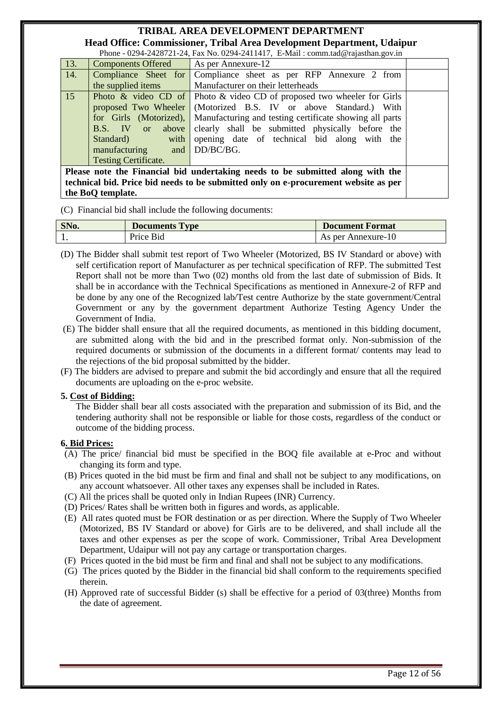**Head Office: Commissioner, Tribal Area Development Department, Udaipur** Phone  $-0.0294-2428721-24$ , Fax No. 0294-2411417, E-Mail : comm.tad@rajastha

|     |                             | Prone - $0\angle 94$ - $24\angle 8721$ - $24$ , Pax INO. $0\angle 94$ - $2411417$ , E-Mail : Comm.tag wrapasthan.gov.in |
|-----|-----------------------------|-------------------------------------------------------------------------------------------------------------------------|
| 13. | <b>Components Offered</b>   | As per Annexure-12                                                                                                      |
| 14. | Compliance Sheet for        | Compliance sheet as per RFP Annexure 2 from                                                                             |
|     | the supplied items          | Manufacturer on their letterheads                                                                                       |
| 15  |                             | <b>Photo &amp; video CD</b> of Photo & video CD of proposed two wheeler for Girls                                       |
|     |                             | proposed Two Wheeler (Motorized B.S. IV or above Standard.) With                                                        |
|     |                             | for Girls (Motorized), Manufacturing and testing certificate showing all parts                                          |
|     | B.S. IV or<br>above         | clearly shall be submitted physically before the                                                                        |
|     | with<br>Standard)           | opening date of technical bid along with the                                                                            |
|     | manufacturing and DD/BC/BG. |                                                                                                                         |
|     | <b>Testing Certificate.</b> |                                                                                                                         |
|     |                             | Please note the Financial bid undertaking needs to be submitted along with the                                          |
|     |                             | technical bid. Price bid needs to be submitted only on e-procurement website as per                                     |
|     | the BoQ template.           |                                                                                                                         |

(C) Financial bid shall include the following documents:

| SNo. | <b>Documents Type</b> | <b>Document Format</b> |
|------|-----------------------|------------------------|
|      | Price Bid             | As per Annexure-10     |

- (D) The Bidder shall submit test report of Two Wheeler (Motorized, BS IV Standard or above) with self certification report of Manufacturer as per technical specification of RFP. The submitted Test Report shall not be more than Two (02) months old from the last date of submission of Bids. It shall be in accordance with the Technical Specifications as mentioned in Annexure-2 of RFP and be done by any one of the Recognized lab/Test centre Authorize by the state government/Central Government or any by the government department Authorize Testing Agency Under the Government of India.
- (E) The bidder shall ensure that all the required documents, as mentioned in this bidding document, are submitted along with the bid and in the prescribed format only. Non-submission of the required documents or submission of the documents in a different format/ contents may lead to the rejections of the bid proposal submitted by the bidder.
- (F) The bidders are advised to prepare and submit the bid accordingly and ensure that all the required documents are uploading on the e-proc website.

#### **5. Cost of Bidding:**

The Bidder shall bear all costs associated with the preparation and submission of its Bid, and the tendering authority shall not be responsible or liable for those costs, regardless of the conduct or outcome of the bidding process.

#### **6. Bid Prices:**

- (A) The price/ financial bid must be specified in the BOQ file available at e-Proc and without changing its form and type.
- (B) Prices quoted in the bid must be firm and final and shall not be subject to any modifications, on any account whatsoever. All other taxes any expenses shall be included in Rates.
- (C) All the prices shall be quoted only in Indian Rupees (INR) Currency.
- (D) Prices/ Rates shall be written both in figures and words, as applicable.
- (E) All rates quoted must be FOR destination or as per direction. Where the Supply of Two Wheeler (Motorized, BS IV Standard or above) for Girls are to be delivered, and shall include all the taxes and other expenses as per the scope of work. Commissioner, Tribal Area Development Department, Udaipur will not pay any cartage or transportation charges.
- (F) Prices quoted in the bid must be firm and final and shall not be subject to any modifications.
- (G) The prices quoted by the Bidder in the financial bid shall conform to the requirements specified therein.
- (H) Approved rate of successful Bidder (s) shall be effective for a period of 03(three) Months from the date of agreement.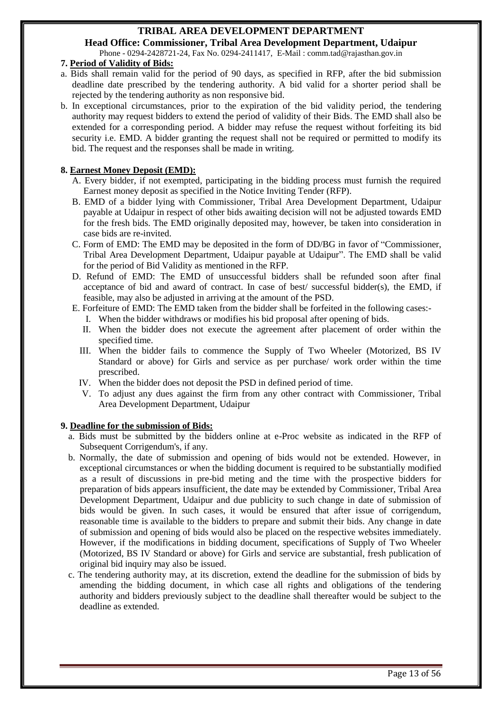**Head Office: Commissioner, Tribal Area Development Department, Udaipur** Phone - 0294-2428721-24, Fax No. 0294-2411417, E-Mail : comm.tad@rajasthan.gov.in

#### **7. Period of Validity of Bids:**

- a. Bids shall remain valid for the period of 90 days, as specified in RFP, after the bid submission deadline date prescribed by the tendering authority. A bid valid for a shorter period shall be rejected by the tendering authority as non responsive bid.
- b. In exceptional circumstances, prior to the expiration of the bid validity period, the tendering authority may request bidders to extend the period of validity of their Bids. The EMD shall also be extended for a corresponding period. A bidder may refuse the request without forfeiting its bid security i.e. EMD. A bidder granting the request shall not be required or permitted to modify its bid. The request and the responses shall be made in writing.

#### **8. Earnest Money Deposit (EMD):**

- A. Every bidder, if not exempted, participating in the bidding process must furnish the required Earnest money deposit as specified in the Notice Inviting Tender (RFP).
- B. EMD of a bidder lying with Commissioner, Tribal Area Development Department, Udaipur payable at Udaipur in respect of other bids awaiting decision will not be adjusted towards EMD for the fresh bids. The EMD originally deposited may, however, be taken into consideration in case bids are re-invited.
- C. Form of EMD: The EMD may be deposited in the form of DD/BG in favor of "Commissioner, Tribal Area Development Department, Udaipur payable at Udaipur". The EMD shall be valid for the period of Bid Validity as mentioned in the RFP.
- D. Refund of EMD: The EMD of unsuccessful bidders shall be refunded soon after final acceptance of bid and award of contract. In case of best/ successful bidder(s), the EMD, if feasible, may also be adjusted in arriving at the amount of the PSD.
- E. Forfeiture of EMD: The EMD taken from the bidder shall be forfeited in the following cases:-
	- I. When the bidder withdraws or modifies his bid proposal after opening of bids.
	- II. When the bidder does not execute the agreement after placement of order within the specified time.
	- III. When the bidder fails to commence the Supply of Two Wheeler (Motorized, BS IV Standard or above) for Girls and service as per purchase/ work order within the time prescribed.
	- IV. When the bidder does not deposit the PSD in defined period of time.
	- V. To adjust any dues against the firm from any other contract with Commissioner, Tribal Area Development Department, Udaipur

#### **9. Deadline for the submission of Bids:**

- a. Bids must be submitted by the bidders online at e-Proc website as indicated in the RFP of Subsequent Corrigendum's, if any.
- b. Normally, the date of submission and opening of bids would not be extended. However, in exceptional circumstances or when the bidding document is required to be substantially modified as a result of discussions in pre-bid meting and the time with the prospective bidders for preparation of bids appears insufficient, the date may be extended by Commissioner, Tribal Area Development Department, Udaipur and due publicity to such change in date of submission of bids would be given. In such cases, it would be ensured that after issue of corrigendum, reasonable time is available to the bidders to prepare and submit their bids. Any change in date of submission and opening of bids would also be placed on the respective websites immediately. However, if the modifications in bidding document, specifications of Supply of Two Wheeler (Motorized, BS IV Standard or above) for Girls and service are substantial, fresh publication of original bid inquiry may also be issued.
- c. The tendering authority may, at its discretion, extend the deadline for the submission of bids by amending the bidding document, in which case all rights and obligations of the tendering authority and bidders previously subject to the deadline shall thereafter would be subject to the deadline as extended.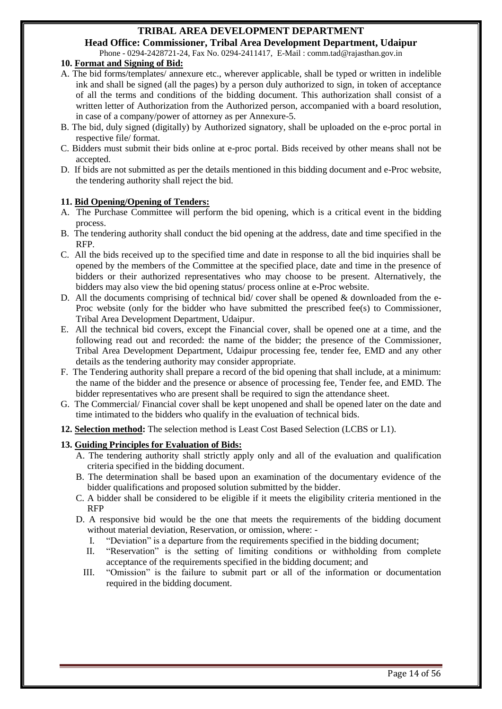**Head Office: Commissioner, Tribal Area Development Department, Udaipur** Phone - 0294-2428721-24, Fax No. 0294-2411417, E-Mail : comm.tad@rajasthan.gov.in

#### **10. Format and Signing of Bid:**

- A. The bid forms/templates/ annexure etc., wherever applicable, shall be typed or written in indelible ink and shall be signed (all the pages) by a person duly authorized to sign, in token of acceptance of all the terms and conditions of the bidding document. This authorization shall consist of a written letter of Authorization from the Authorized person, accompanied with a board resolution, in case of a company/power of attorney as per Annexure-5.
- B. The bid, duly signed (digitally) by Authorized signatory, shall be uploaded on the e-proc portal in respective file/ format.
- C. Bidders must submit their bids online at e-proc portal. Bids received by other means shall not be accepted.
- D. If bids are not submitted as per the details mentioned in this bidding document and e-Proc website, the tendering authority shall reject the bid.

#### **11. Bid Opening/Opening of Tenders:**

- A. The Purchase Committee will perform the bid opening, which is a critical event in the bidding process.
- B. The tendering authority shall conduct the bid opening at the address, date and time specified in the RFP.
- C. All the bids received up to the specified time and date in response to all the bid inquiries shall be opened by the members of the Committee at the specified place, date and time in the presence of bidders or their authorized representatives who may choose to be present. Alternatively, the bidders may also view the bid opening status/ process online at e-Proc website.
- D. All the documents comprising of technical bid/ cover shall be opened  $\&$  downloaded from the e-Proc website (only for the bidder who have submitted the prescribed fee(s) to Commissioner, Tribal Area Development Department, Udaipur.
- E. All the technical bid covers, except the Financial cover, shall be opened one at a time, and the following read out and recorded: the name of the bidder; the presence of the Commissioner, Tribal Area Development Department, Udaipur processing fee, tender fee, EMD and any other details as the tendering authority may consider appropriate.
- F. The Tendering authority shall prepare a record of the bid opening that shall include, at a minimum: the name of the bidder and the presence or absence of processing fee, Tender fee, and EMD. The bidder representatives who are present shall be required to sign the attendance sheet.
- G. The Commercial/ Financial cover shall be kept unopened and shall be opened later on the date and time intimated to the bidders who qualify in the evaluation of technical bids.
- **12. Selection method:** The selection method is Least Cost Based Selection (LCBS or L1).

#### **13. Guiding Principles for Evaluation of Bids:**

- A. The tendering authority shall strictly apply only and all of the evaluation and qualification criteria specified in the bidding document.
- B. The determination shall be based upon an examination of the documentary evidence of the bidder qualifications and proposed solution submitted by the bidder.
- C. A bidder shall be considered to be eligible if it meets the eligibility criteria mentioned in the RFP
- D. A responsive bid would be the one that meets the requirements of the bidding document without material deviation, Reservation, or omission, where: -
	- I. "Deviation" is a departure from the requirements specified in the bidding document;
	- II. "Reservation" is the setting of limiting conditions or withholding from complete acceptance of the requirements specified in the bidding document; and
	- III. "Omission" is the failure to submit part or all of the information or documentation required in the bidding document.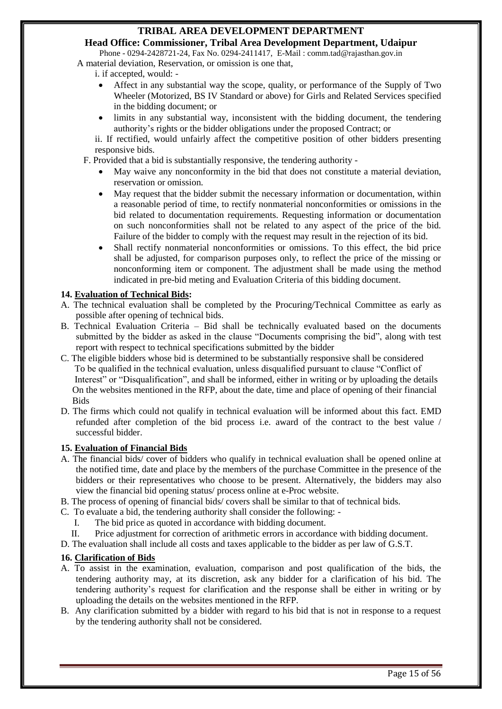**Head Office: Commissioner, Tribal Area Development Department, Udaipur** Phone - 0294-2428721-24, Fax No. 0294-2411417, E-Mail : comm.tad@rajasthan.gov.in

A material deviation, Reservation, or omission is one that,

i. if accepted, would: -

- Affect in any substantial way the scope, quality, or performance of the Supply of Two Wheeler (Motorized, BS IV Standard or above) for Girls and Related Services specified in the bidding document; or
- limits in any substantial way, inconsistent with the bidding document, the tendering authority's rights or the bidder obligations under the proposed Contract; or

ii. If rectified, would unfairly affect the competitive position of other bidders presenting responsive bids.

F. Provided that a bid is substantially responsive, the tendering authority -

- May waive any nonconformity in the bid that does not constitute a material deviation, reservation or omission.
- May request that the bidder submit the necessary information or documentation, within a reasonable period of time, to rectify nonmaterial nonconformities or omissions in the bid related to documentation requirements. Requesting information or documentation on such nonconformities shall not be related to any aspect of the price of the bid. Failure of the bidder to comply with the request may result in the rejection of its bid.
- Shall rectify nonmaterial nonconformities or omissions. To this effect, the bid price shall be adjusted, for comparison purposes only, to reflect the price of the missing or nonconforming item or component. The adjustment shall be made using the method indicated in pre-bid meting and Evaluation Criteria of this bidding document.

#### **14. Evaluation of Technical Bids:**

- A. The technical evaluation shall be completed by the Procuring/Technical Committee as early as possible after opening of technical bids.
- B. Technical Evaluation Criteria Bid shall be technically evaluated based on the documents submitted by the bidder as asked in the clause "Documents comprising the bid", along with test report with respect to technical specifications submitted by the bidder
- C. The eligible bidders whose bid is determined to be substantially responsive shall be considered To be qualified in the technical evaluation, unless disqualified pursuant to clause "Conflict of Interest" or "Disqualification", and shall be informed, either in writing or by uploading the details On the websites mentioned in the RFP, about the date, time and place of opening of their financial Bids
- D. The firms which could not qualify in technical evaluation will be informed about this fact. EMD refunded after completion of the bid process i.e. award of the contract to the best value / successful bidder.

#### **15. Evaluation of Financial Bids**

- A. The financial bids/ cover of bidders who qualify in technical evaluation shall be opened online at the notified time, date and place by the members of the purchase Committee in the presence of the bidders or their representatives who choose to be present. Alternatively, the bidders may also view the financial bid opening status/ process online at e-Proc website.
- B. The process of opening of financial bids/ covers shall be similar to that of technical bids.
- C. To evaluate a bid, the tendering authority shall consider the following:
	- I. The bid price as quoted in accordance with bidding document.
- II. Price adjustment for correction of arithmetic errors in accordance with bidding document.

D. The evaluation shall include all costs and taxes applicable to the bidder as per law of G.S.T.

#### **16. Clarification of Bids**

- A. To assist in the examination, evaluation, comparison and post qualification of the bids, the tendering authority may, at its discretion, ask any bidder for a clarification of his bid. The tendering authority's request for clarification and the response shall be either in writing or by uploading the details on the websites mentioned in the RFP.
- B. Any clarification submitted by a bidder with regard to his bid that is not in response to a request by the tendering authority shall not be considered.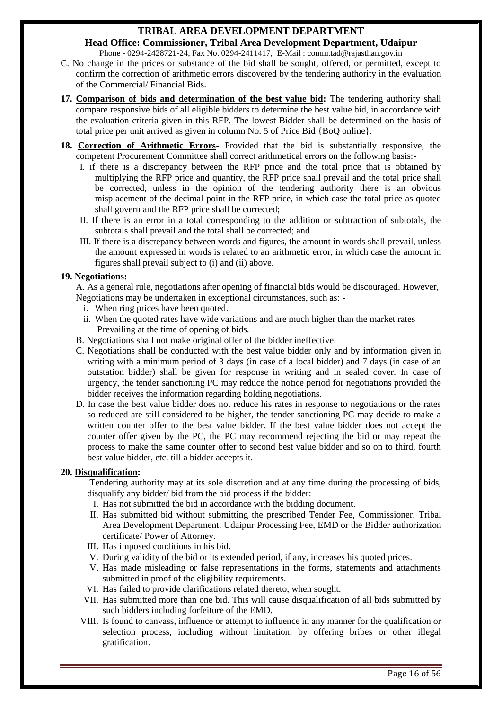**Head Office: Commissioner, Tribal Area Development Department, Udaipur** Phone - 0294-2428721-24, Fax No. 0294-2411417, E-Mail : comm.tad@rajasthan.gov.in

- C. No change in the prices or substance of the bid shall be sought, offered, or permitted, except to confirm the correction of arithmetic errors discovered by the tendering authority in the evaluation of the Commercial/ Financial Bids.
- **17. Comparison of bids and determination of the best value bid:** The tendering authority shall compare responsive bids of all eligible bidders to determine the best value bid, in accordance with the evaluation criteria given in this RFP. The lowest Bidder shall be determined on the basis of total price per unit arrived as given in column No. 5 of Price Bid {BoQ online}.
- **18. Correction of Arithmetic Errors-** Provided that the bid is substantially responsive, the competent Procurement Committee shall correct arithmetical errors on the following basis:-
	- I. if there is a discrepancy between the RFP price and the total price that is obtained by multiplying the RFP price and quantity, the RFP price shall prevail and the total price shall be corrected, unless in the opinion of the tendering authority there is an obvious misplacement of the decimal point in the RFP price, in which case the total price as quoted shall govern and the RFP price shall be corrected;
	- II. If there is an error in a total corresponding to the addition or subtraction of subtotals, the subtotals shall prevail and the total shall be corrected; and
	- III. If there is a discrepancy between words and figures, the amount in words shall prevail, unless the amount expressed in words is related to an arithmetic error, in which case the amount in figures shall prevail subject to (i) and (ii) above.

#### **19. Negotiations:**

A. As a general rule, negotiations after opening of financial bids would be discouraged. However, Negotiations may be undertaken in exceptional circumstances, such as: -

- i. When ring prices have been quoted.
- ii. When the quoted rates have wide variations and are much higher than the market rates Prevailing at the time of opening of bids.
- B. Negotiations shall not make original offer of the bidder ineffective.
- C. Negotiations shall be conducted with the best value bidder only and by information given in writing with a minimum period of 3 days (in case of a local bidder) and 7 days (in case of an outstation bidder) shall be given for response in writing and in sealed cover. In case of urgency, the tender sanctioning PC may reduce the notice period for negotiations provided the bidder receives the information regarding holding negotiations.
- D. In case the best value bidder does not reduce his rates in response to negotiations or the rates so reduced are still considered to be higher, the tender sanctioning PC may decide to make a written counter offer to the best value bidder. If the best value bidder does not accept the counter offer given by the PC, the PC may recommend rejecting the bid or may repeat the process to make the same counter offer to second best value bidder and so on to third, fourth best value bidder, etc. till a bidder accepts it.

#### **20. Disqualification:**

Tendering authority may at its sole discretion and at any time during the processing of bids, disqualify any bidder/ bid from the bid process if the bidder:

- I. Has not submitted the bid in accordance with the bidding document.
- II. Has submitted bid without submitting the prescribed Tender Fee, Commissioner, Tribal Area Development Department, Udaipur Processing Fee, EMD or the Bidder authorization certificate/ Power of Attorney.
- III. Has imposed conditions in his bid.
- IV. During validity of the bid or its extended period, if any, increases his quoted prices.
- V. Has made misleading or false representations in the forms, statements and attachments submitted in proof of the eligibility requirements.
- VI. Has failed to provide clarifications related thereto, when sought.
- VII. Has submitted more than one bid. This will cause disqualification of all bids submitted by such bidders including forfeiture of the EMD.
- VIII. Is found to canvass, influence or attempt to influence in any manner for the qualification or selection process, including without limitation, by offering bribes or other illegal gratification.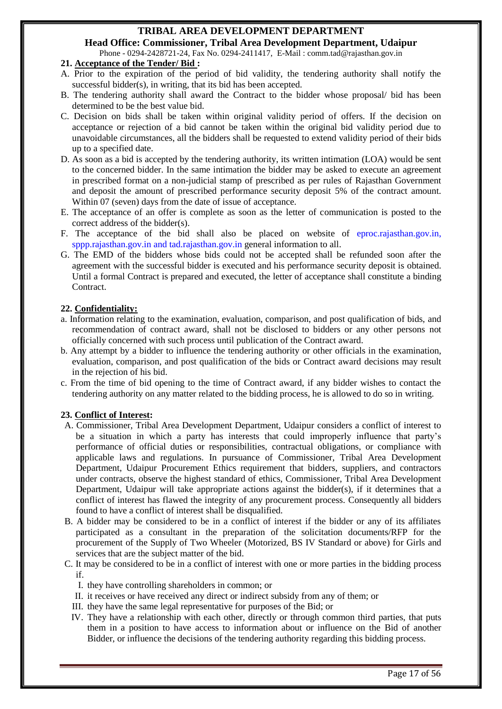**Head Office: Commissioner, Tribal Area Development Department, Udaipur** Phone - 0294-2428721-24, Fax No. 0294-2411417, E-Mail : comm.tad@rajasthan.gov.in

#### **21. Acceptance of the Tender/ Bid :**

- A. Prior to the expiration of the period of bid validity, the tendering authority shall notify the successful bidder(s), in writing, that its bid has been accepted.
- B. The tendering authority shall award the Contract to the bidder whose proposal/ bid has been determined to be the best value bid.
- C. Decision on bids shall be taken within original validity period of offers. If the decision on acceptance or rejection of a bid cannot be taken within the original bid validity period due to unavoidable circumstances, all the bidders shall be requested to extend validity period of their bids up to a specified date.
- D. As soon as a bid is accepted by the tendering authority, its written intimation (LOA) would be sent to the concerned bidder. In the same intimation the bidder may be asked to execute an agreement in prescribed format on a non-judicial stamp of prescribed as per rules of Rajasthan Government and deposit the amount of prescribed performance security deposit 5% of the contract amount. Within 07 (seven) days from the date of issue of acceptance.
- E. The acceptance of an offer is complete as soon as the letter of communication is posted to the correct address of the bidder(s).
- F. The acceptance of the bid shall also be placed on website of eproc.rajasthan.gov.in, sppp.rajasthan.gov.in and tad.rajasthan.gov.in general information to all.
- G. The EMD of the bidders whose bids could not be accepted shall be refunded soon after the agreement with the successful bidder is executed and his performance security deposit is obtained. Until a formal Contract is prepared and executed, the letter of acceptance shall constitute a binding Contract.

#### **22. Confidentiality:**

- a. Information relating to the examination, evaluation, comparison, and post qualification of bids, and recommendation of contract award, shall not be disclosed to bidders or any other persons not officially concerned with such process until publication of the Contract award.
- b. Any attempt by a bidder to influence the tendering authority or other officials in the examination, evaluation, comparison, and post qualification of the bids or Contract award decisions may result in the rejection of his bid.
- c. From the time of bid opening to the time of Contract award, if any bidder wishes to contact the tendering authority on any matter related to the bidding process, he is allowed to do so in writing.

#### **23. Conflict of Interest:**

- A. Commissioner, Tribal Area Development Department, Udaipur considers a conflict of interest to be a situation in which a party has interests that could improperly influence that party's performance of official duties or responsibilities, contractual obligations, or compliance with applicable laws and regulations. In pursuance of Commissioner, Tribal Area Development Department, Udaipur Procurement Ethics requirement that bidders, suppliers, and contractors under contracts, observe the highest standard of ethics, Commissioner, Tribal Area Development Department, Udaipur will take appropriate actions against the bidder(s), if it determines that a conflict of interest has flawed the integrity of any procurement process. Consequently all bidders found to have a conflict of interest shall be disqualified.
- B. A bidder may be considered to be in a conflict of interest if the bidder or any of its affiliates participated as a consultant in the preparation of the solicitation documents/RFP for the procurement of the Supply of Two Wheeler (Motorized, BS IV Standard or above) for Girls and services that are the subject matter of the bid.
- C. It may be considered to be in a conflict of interest with one or more parties in the bidding process if.
	- I. they have controlling shareholders in common; or
	- II. it receives or have received any direct or indirect subsidy from any of them; or
	- III. they have the same legal representative for purposes of the Bid; or
	- IV. They have a relationship with each other, directly or through common third parties, that puts them in a position to have access to information about or influence on the Bid of another Bidder, or influence the decisions of the tendering authority regarding this bidding process.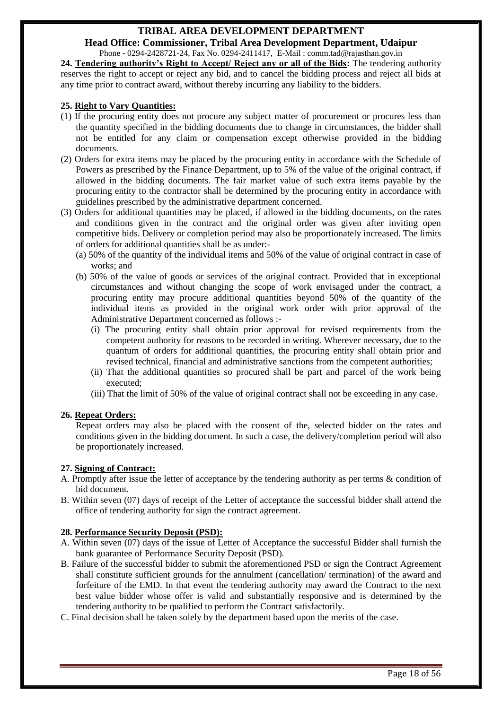**Head Office: Commissioner, Tribal Area Development Department, Udaipur** Phone - 0294-2428721-24, Fax No. 0294-2411417, E-Mail : comm.tad@rajasthan.gov.in

**24. Tendering authority's Right to Accept/ Reject any or all of the Bids:** The tendering authority reserves the right to accept or reject any bid, and to cancel the bidding process and reject all bids at any time prior to contract award, without thereby incurring any liability to the bidders.

#### **25. Right to Vary Quantities:**

- (1) If the procuring entity does not procure any subject matter of procurement or procures less than the quantity specified in the bidding documents due to change in circumstances, the bidder shall not be entitled for any claim or compensation except otherwise provided in the bidding documents.
- (2) Orders for extra items may be placed by the procuring entity in accordance with the Schedule of Powers as prescribed by the Finance Department, up to 5% of the value of the original contract, if allowed in the bidding documents. The fair market value of such extra items payable by the procuring entity to the contractor shall be determined by the procuring entity in accordance with guidelines prescribed by the administrative department concerned.
- (3) Orders for additional quantities may be placed, if allowed in the bidding documents, on the rates and conditions given in the contract and the original order was given after inviting open competitive bids. Delivery or completion period may also be proportionately increased. The limits of orders for additional quantities shall be as under:-
	- (a) 50% of the quantity of the individual items and 50% of the value of original contract in case of works; and
	- (b) 50% of the value of goods or services of the original contract. Provided that in exceptional circumstances and without changing the scope of work envisaged under the contract, a procuring entity may procure additional quantities beyond 50% of the quantity of the individual items as provided in the original work order with prior approval of the Administrative Department concerned as follows :-
		- (i) The procuring entity shall obtain prior approval for revised requirements from the competent authority for reasons to be recorded in writing. Wherever necessary, due to the quantum of orders for additional quantities, the procuring entity shall obtain prior and revised technical, financial and administrative sanctions from the competent authorities;
		- (ii) That the additional quantities so procured shall be part and parcel of the work being executed;
		- (iii) That the limit of 50% of the value of original contract shall not be exceeding in any case.

#### **26. Repeat Orders:**

Repeat orders may also be placed with the consent of the, selected bidder on the rates and conditions given in the bidding document. In such a case, the delivery/completion period will also be proportionately increased.

#### **27. Signing of Contract:**

- A. Promptly after issue the letter of acceptance by the tendering authority as per terms & condition of bid document.
- B. Within seven (07) days of receipt of the Letter of acceptance the successful bidder shall attend the office of tendering authority for sign the contract agreement.

#### **28. Performance Security Deposit (PSD):**

- A. Within seven (07) days of the issue of Letter of Acceptance the successful Bidder shall furnish the bank guarantee of Performance Security Deposit (PSD).
- B. Failure of the successful bidder to submit the aforementioned PSD or sign the Contract Agreement shall constitute sufficient grounds for the annulment (cancellation/ termination) of the award and forfeiture of the EMD. In that event the tendering authority may award the Contract to the next best value bidder whose offer is valid and substantially responsive and is determined by the tendering authority to be qualified to perform the Contract satisfactorily.
- C. Final decision shall be taken solely by the department based upon the merits of the case.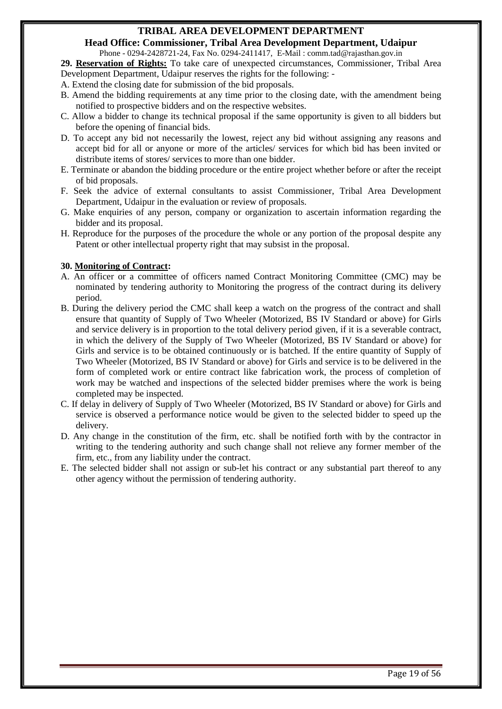**Head Office: Commissioner, Tribal Area Development Department, Udaipur**

Phone - 0294-2428721-24, Fax No. 0294-2411417, E-Mail : comm.tad@rajasthan.gov.in

**29. Reservation of Rights:** To take care of unexpected circumstances, Commissioner, Tribal Area Development Department, Udaipur reserves the rights for the following: -

- A. Extend the closing date for submission of the bid proposals.
- B. Amend the bidding requirements at any time prior to the closing date, with the amendment being notified to prospective bidders and on the respective websites.
- C. Allow a bidder to change its technical proposal if the same opportunity is given to all bidders but before the opening of financial bids.
- D. To accept any bid not necessarily the lowest, reject any bid without assigning any reasons and accept bid for all or anyone or more of the articles/ services for which bid has been invited or distribute items of stores/ services to more than one bidder.
- E. Terminate or abandon the bidding procedure or the entire project whether before or after the receipt of bid proposals.
- F. Seek the advice of external consultants to assist Commissioner, Tribal Area Development Department, Udaipur in the evaluation or review of proposals.
- G. Make enquiries of any person, company or organization to ascertain information regarding the bidder and its proposal.
- H. Reproduce for the purposes of the procedure the whole or any portion of the proposal despite any Patent or other intellectual property right that may subsist in the proposal.

#### **30. Monitoring of Contract:**

- A. An officer or a committee of officers named Contract Monitoring Committee (CMC) may be nominated by tendering authority to Monitoring the progress of the contract during its delivery period.
- B. During the delivery period the CMC shall keep a watch on the progress of the contract and shall ensure that quantity of Supply of Two Wheeler (Motorized, BS IV Standard or above) for Girls and service delivery is in proportion to the total delivery period given, if it is a severable contract, in which the delivery of the Supply of Two Wheeler (Motorized, BS IV Standard or above) for Girls and service is to be obtained continuously or is batched. If the entire quantity of Supply of Two Wheeler (Motorized, BS IV Standard or above) for Girls and service is to be delivered in the form of completed work or entire contract like fabrication work, the process of completion of work may be watched and inspections of the selected bidder premises where the work is being completed may be inspected.
- C. If delay in delivery of Supply of Two Wheeler (Motorized, BS IV Standard or above) for Girls and service is observed a performance notice would be given to the selected bidder to speed up the delivery.
- D. Any change in the constitution of the firm, etc. shall be notified forth with by the contractor in writing to the tendering authority and such change shall not relieve any former member of the firm, etc., from any liability under the contract.
- E. The selected bidder shall not assign or sub-let his contract or any substantial part thereof to any other agency without the permission of tendering authority.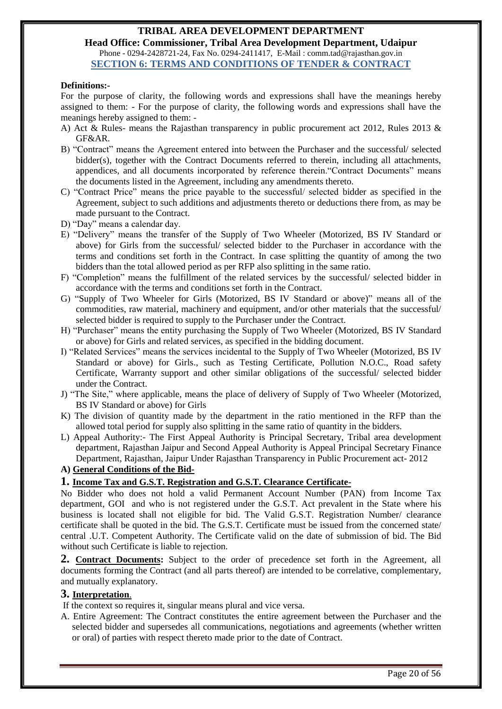**Head Office: Commissioner, Tribal Area Development Department, Udaipur** Phone - 0294-2428721-24, Fax No. 0294-2411417, E-Mail : comm.tad@rajasthan.gov.in **SECTION 6: TERMS AND CONDITIONS OF TENDER & CONTRACT**

#### <span id="page-19-0"></span>**Definitions:-**

For the purpose of clarity, the following words and expressions shall have the meanings hereby assigned to them: - For the purpose of clarity, the following words and expressions shall have the meanings hereby assigned to them: -

- A) Act & Rules- means the Rajasthan transparency in public procurement act 2012, Rules 2013 & GF&AR.
- B) "Contract" means the Agreement entered into between the Purchaser and the successful/ selected bidder(s), together with the Contract Documents referred to therein, including all attachments, appendices, and all documents incorporated by reference therein."Contract Documents" means the documents listed in the Agreement, including any amendments thereto.
- C) "Contract Price" means the price payable to the successful/ selected bidder as specified in the Agreement, subject to such additions and adjustments thereto or deductions there from, as may be made pursuant to the Contract.
- D) "Day" means a calendar day.
- E) "Delivery" means the transfer of the Supply of Two Wheeler (Motorized, BS IV Standard or above) for Girls from the successful/ selected bidder to the Purchaser in accordance with the terms and conditions set forth in the Contract. In case splitting the quantity of among the two bidders than the total allowed period as per RFP also splitting in the same ratio.
- F) "Completion" means the fulfillment of the related services by the successful/ selected bidder in accordance with the terms and conditions set forth in the Contract.
- G) "Supply of Two Wheeler for Girls (Motorized, BS IV Standard or above)" means all of the commodities, raw material, machinery and equipment, and/or other materials that the successful/ selected bidder is required to supply to the Purchaser under the Contract.
- H) "Purchaser" means the entity purchasing the Supply of Two Wheeler (Motorized, BS IV Standard or above) for Girls and related services, as specified in the bidding document.
- I) "Related Services" means the services incidental to the Supply of Two Wheeler (Motorized, BS IV Standard or above) for Girls., such as Testing Certificate, Pollution N.O.C., Road safety Certificate, Warranty support and other similar obligations of the successful/ selected bidder under the Contract.
- J) "The Site," where applicable, means the place of delivery of Supply of Two Wheeler (Motorized, BS IV Standard or above) for Girls
- K) The division of quantity made by the department in the ratio mentioned in the RFP than the allowed total period for supply also splitting in the same ratio of quantity in the bidders.
- L) Appeal Authority:- The First Appeal Authority is Principal Secretary, Tribal area development department, Rajasthan Jaipur and Second Appeal Authority is Appeal Principal Secretary Finance Department, Rajasthan, Jaipur Under Rajasthan Transparency in Public Procurement act- 2012

**A) General Conditions of the Bid-**

#### **1. Income Tax and G.S.T. Registration and G.S.T. Clearance Certificate-**

No Bidder who does not hold a valid Permanent Account Number (PAN) from Income Tax department, GOI and who is not registered under the G.S.T. Act prevalent in the State where his business is located shall not eligible for bid. The Valid G.S.T. Registration Number/ clearance certificate shall be quoted in the bid. The G.S.T. Certificate must be issued from the concerned state/ central .U.T. Competent Authority. The Certificate valid on the date of submission of bid. The Bid without such Certificate is liable to rejection.

**2. Contract Documents:** Subject to the order of precedence set forth in the Agreement, all documents forming the Contract (and all parts thereof) are intended to be correlative, complementary, and mutually explanatory.

#### **3. Interpretation**.

If the context so requires it, singular means plural and vice versa.

A. Entire Agreement: The Contract constitutes the entire agreement between the Purchaser and the selected bidder and supersedes all communications, negotiations and agreements (whether written or oral) of parties with respect thereto made prior to the date of Contract.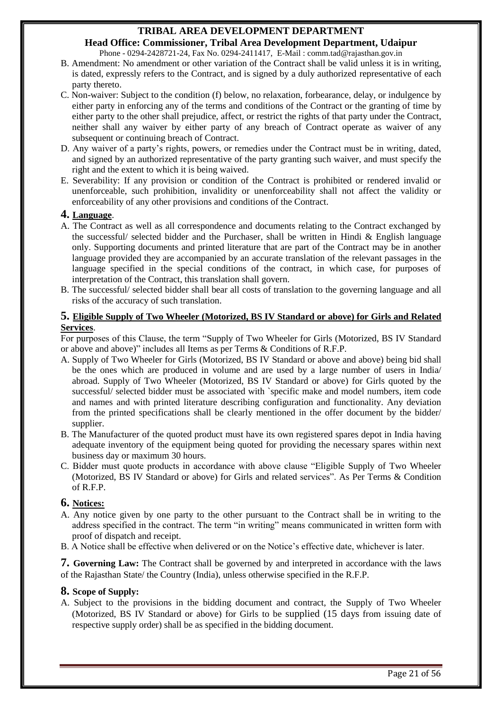**Head Office: Commissioner, Tribal Area Development Department, Udaipur** Phone - 0294-2428721-24, Fax No. 0294-2411417, E-Mail : comm.tad@rajasthan.gov.in

- B. Amendment: No amendment or other variation of the Contract shall be valid unless it is in writing, is dated, expressly refers to the Contract, and is signed by a duly authorized representative of each party thereto.
- C. Non-waiver: Subject to the condition (f) below, no relaxation, forbearance, delay, or indulgence by either party in enforcing any of the terms and conditions of the Contract or the granting of time by either party to the other shall prejudice, affect, or restrict the rights of that party under the Contract, neither shall any waiver by either party of any breach of Contract operate as waiver of any subsequent or continuing breach of Contract.
- D. Any waiver of a party's rights, powers, or remedies under the Contract must be in writing, dated, and signed by an authorized representative of the party granting such waiver, and must specify the right and the extent to which it is being waived.
- E. Severability: If any provision or condition of the Contract is prohibited or rendered invalid or unenforceable, such prohibition, invalidity or unenforceability shall not affect the validity or enforceability of any other provisions and conditions of the Contract.

#### **4. Language**.

- A. The Contract as well as all correspondence and documents relating to the Contract exchanged by the successful/ selected bidder and the Purchaser, shall be written in Hindi  $\&$  English language only. Supporting documents and printed literature that are part of the Contract may be in another language provided they are accompanied by an accurate translation of the relevant passages in the language specified in the special conditions of the contract, in which case, for purposes of interpretation of the Contract, this translation shall govern.
- B. The successful/ selected bidder shall bear all costs of translation to the governing language and all risks of the accuracy of such translation.

#### **5. Eligible Supply of Two Wheeler (Motorized, BS IV Standard or above) for Girls and Related Services**.

For purposes of this Clause, the term "Supply of Two Wheeler for Girls (Motorized, BS IV Standard or above and above)" includes all Items as per Terms & Conditions of R.F.P.

- A. Supply of Two Wheeler for Girls (Motorized, BS IV Standard or above and above) being bid shall be the ones which are produced in volume and are used by a large number of users in India/ abroad. Supply of Two Wheeler (Motorized, BS IV Standard or above) for Girls quoted by the successful/ selected bidder must be associated with `specific make and model numbers, item code and names and with printed literature describing configuration and functionality. Any deviation from the printed specifications shall be clearly mentioned in the offer document by the bidder/ supplier.
- B. The Manufacturer of the quoted product must have its own registered spares depot in India having adequate inventory of the equipment being quoted for providing the necessary spares within next business day or maximum 30 hours.
- C. Bidder must quote products in accordance with above clause "Eligible Supply of Two Wheeler (Motorized, BS IV Standard or above) for Girls and related services". As Per Terms & Condition of R.F.P.

#### **6. Notices:**

- A. Any notice given by one party to the other pursuant to the Contract shall be in writing to the address specified in the contract. The term "in writing" means communicated in written form with proof of dispatch and receipt.
- B. A Notice shall be effective when delivered or on the Notice's effective date, whichever is later.

**7. Governing Law:** The Contract shall be governed by and interpreted in accordance with the laws of the Rajasthan State/ the Country (India), unless otherwise specified in the R.F.P.

#### **8. Scope of Supply:**

A. Subject to the provisions in the bidding document and contract, the Supply of Two Wheeler (Motorized, BS IV Standard or above) for Girls to be supplied (15 days from issuing date of respective supply order) shall be as specified in the bidding document.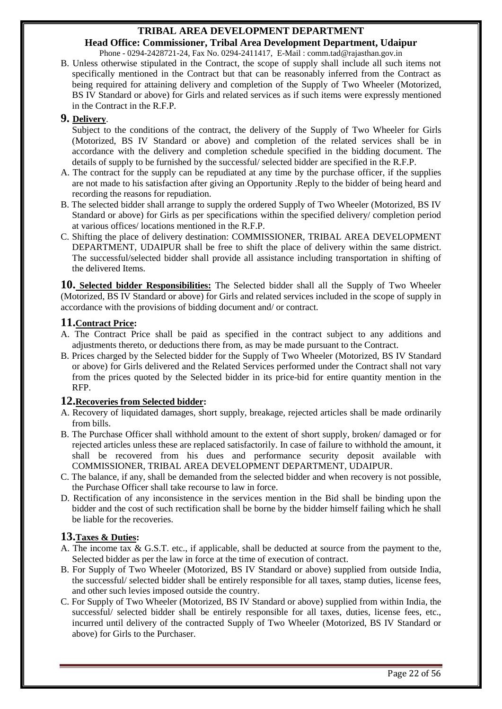**Head Office: Commissioner, Tribal Area Development Department, Udaipur** Phone - 0294-2428721-24, Fax No. 0294-2411417, E-Mail : comm.tad@rajasthan.gov.in

B. Unless otherwise stipulated in the Contract, the scope of supply shall include all such items not specifically mentioned in the Contract but that can be reasonably inferred from the Contract as being required for attaining delivery and completion of the Supply of Two Wheeler (Motorized, BS IV Standard or above) for Girls and related services as if such items were expressly mentioned in the Contract in the R.F.P.

#### **9. Delivery**.

Subject to the conditions of the contract, the delivery of the Supply of Two Wheeler for Girls (Motorized, BS IV Standard or above) and completion of the related services shall be in accordance with the delivery and completion schedule specified in the bidding document. The details of supply to be furnished by the successful/ selected bidder are specified in the R.F.P.

- A. The contract for the supply can be repudiated at any time by the purchase officer, if the supplies are not made to his satisfaction after giving an Opportunity .Reply to the bidder of being heard and recording the reasons for repudiation.
- B. The selected bidder shall arrange to supply the ordered Supply of Two Wheeler (Motorized, BS IV Standard or above) for Girls as per specifications within the specified delivery/ completion period at various offices/ locations mentioned in the R.F.P.
- C. Shifting the place of delivery destination: COMMISSIONER, TRIBAL AREA DEVELOPMENT DEPARTMENT, UDAIPUR shall be free to shift the place of delivery within the same district. The successful/selected bidder shall provide all assistance including transportation in shifting of the delivered Items.

**10. Selected bidder Responsibilities:** The Selected bidder shall all the Supply of Two Wheeler (Motorized, BS IV Standard or above) for Girls and related services included in the scope of supply in accordance with the provisions of bidding document and/ or contract.

#### **11.Contract Price:**

- A. The Contract Price shall be paid as specified in the contract subject to any additions and adjustments thereto, or deductions there from, as may be made pursuant to the Contract.
- B. Prices charged by the Selected bidder for the Supply of Two Wheeler (Motorized, BS IV Standard or above) for Girls delivered and the Related Services performed under the Contract shall not vary from the prices quoted by the Selected bidder in its price-bid for entire quantity mention in the RFP.

#### **12.Recoveries from Selected bidder:**

- A. Recovery of liquidated damages, short supply, breakage, rejected articles shall be made ordinarily from bills.
- B. The Purchase Officer shall withhold amount to the extent of short supply, broken/ damaged or for rejected articles unless these are replaced satisfactorily. In case of failure to withhold the amount, it shall be recovered from his dues and performance security deposit available with COMMISSIONER, TRIBAL AREA DEVELOPMENT DEPARTMENT, UDAIPUR.
- C. The balance, if any, shall be demanded from the selected bidder and when recovery is not possible, the Purchase Officer shall take recourse to law in force.
- D. Rectification of any inconsistence in the services mention in the Bid shall be binding upon the bidder and the cost of such rectification shall be borne by the bidder himself failing which he shall be liable for the recoveries.

### **13.Taxes & Duties:**

- A. The income tax & G.S.T. etc., if applicable, shall be deducted at source from the payment to the, Selected bidder as per the law in force at the time of execution of contract.
- B. For Supply of Two Wheeler (Motorized, BS IV Standard or above) supplied from outside India, the successful/ selected bidder shall be entirely responsible for all taxes, stamp duties, license fees, and other such levies imposed outside the country.
- C. For Supply of Two Wheeler (Motorized, BS IV Standard or above) supplied from within India, the successful/ selected bidder shall be entirely responsible for all taxes, duties, license fees, etc., incurred until delivery of the contracted Supply of Two Wheeler (Motorized, BS IV Standard or above) for Girls to the Purchaser.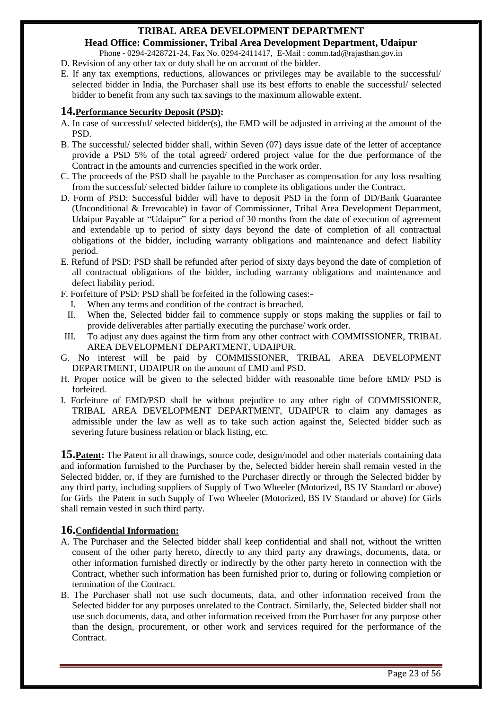**Head Office: Commissioner, Tribal Area Development Department, Udaipur** Phone - 0294-2428721-24, Fax No. 0294-2411417, E-Mail : comm.tad@rajasthan.gov.in

- D. Revision of any other tax or duty shall be on account of the bidder.
- E. If any tax exemptions, reductions, allowances or privileges may be available to the successful/ selected bidder in India, the Purchaser shall use its best efforts to enable the successful/ selected bidder to benefit from any such tax savings to the maximum allowable extent.

#### **14.Performance Security Deposit (PSD):**

- A. In case of successful/ selected bidder(s), the EMD will be adjusted in arriving at the amount of the PSD.
- B. The successful/ selected bidder shall, within Seven (07) days issue date of the letter of acceptance provide a PSD 5% of the total agreed/ ordered project value for the due performance of the Contract in the amounts and currencies specified in the work order.
- C. The proceeds of the PSD shall be payable to the Purchaser as compensation for any loss resulting from the successful/ selected bidder failure to complete its obligations under the Contract.
- D. Form of PSD: Successful bidder will have to deposit PSD in the form of DD/Bank Guarantee (Unconditional & Irrevocable) in favor of Commissioner, Tribal Area Development Department, Udaipur Payable at "Udaipur" for a period of 30 months from the date of execution of agreement and extendable up to period of sixty days beyond the date of completion of all contractual obligations of the bidder, including warranty obligations and maintenance and defect liability period.
- E. Refund of PSD: PSD shall be refunded after period of sixty days beyond the date of completion of all contractual obligations of the bidder, including warranty obligations and maintenance and defect liability period.
- F. Forfeiture of PSD: PSD shall be forfeited in the following cases:-
- I. When any terms and condition of the contract is breached.
- II. When the, Selected bidder fail to commence supply or stops making the supplies or fail to provide deliverables after partially executing the purchase/ work order.
- III. To adjust any dues against the firm from any other contract with COMMISSIONER, TRIBAL AREA DEVELOPMENT DEPARTMENT, UDAIPUR.
- G. No interest will be paid by COMMISSIONER, TRIBAL AREA DEVELOPMENT DEPARTMENT, UDAIPUR on the amount of EMD and PSD.
- H. Proper notice will be given to the selected bidder with reasonable time before EMD/ PSD is forfeited.
- I. Forfeiture of EMD/PSD shall be without prejudice to any other right of COMMISSIONER, TRIBAL AREA DEVELOPMENT DEPARTMENT, UDAIPUR to claim any damages as admissible under the law as well as to take such action against the, Selected bidder such as severing future business relation or black listing, etc.

**15. Patent:** The Patent in all drawings, source code, design/model and other materials containing data and information furnished to the Purchaser by the, Selected bidder herein shall remain vested in the Selected bidder, or, if they are furnished to the Purchaser directly or through the Selected bidder by any third party, including suppliers of Supply of Two Wheeler (Motorized, BS IV Standard or above) for Girls the Patent in such Supply of Two Wheeler (Motorized, BS IV Standard or above) for Girls shall remain vested in such third party.

#### **16.Confidential Information:**

- A. The Purchaser and the Selected bidder shall keep confidential and shall not, without the written consent of the other party hereto, directly to any third party any drawings, documents, data, or other information furnished directly or indirectly by the other party hereto in connection with the Contract, whether such information has been furnished prior to, during or following completion or termination of the Contract.
- B. The Purchaser shall not use such documents, data, and other information received from the Selected bidder for any purposes unrelated to the Contract. Similarly, the, Selected bidder shall not use such documents, data, and other information received from the Purchaser for any purpose other than the design, procurement, or other work and services required for the performance of the Contract.

Page 23 of 56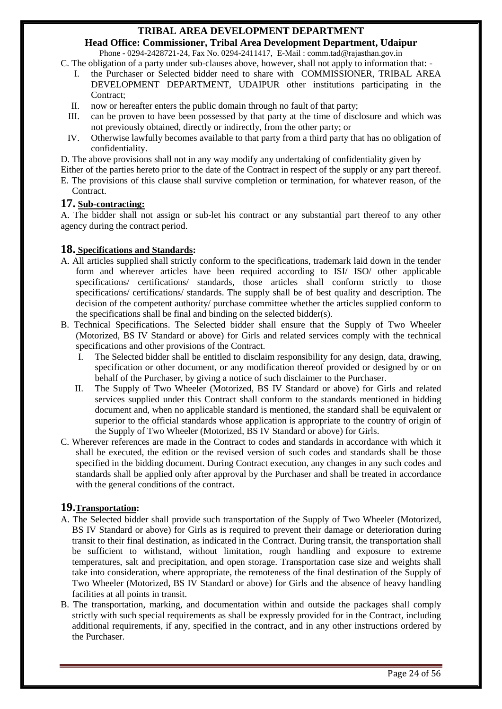**Head Office: Commissioner, Tribal Area Development Department, Udaipur** Phone - 0294-2428721-24, Fax No. 0294-2411417, E-Mail : comm.tad@rajasthan.gov.in

C. The obligation of a party under sub-clauses above, however, shall not apply to information that: -

- I. the Purchaser or Selected bidder need to share with COMMISSIONER, TRIBAL AREA DEVELOPMENT DEPARTMENT, UDAIPUR other institutions participating in the Contract;
- II. now or hereafter enters the public domain through no fault of that party;
- III. can be proven to have been possessed by that party at the time of disclosure and which was not previously obtained, directly or indirectly, from the other party; or
- IV. Otherwise lawfully becomes available to that party from a third party that has no obligation of confidentiality.
- D. The above provisions shall not in any way modify any undertaking of confidentiality given by

Either of the parties hereto prior to the date of the Contract in respect of the supply or any part thereof.

E. The provisions of this clause shall survive completion or termination, for whatever reason, of the Contract.

#### **17. Sub-contracting:**

A. The bidder shall not assign or sub-let his contract or any substantial part thereof to any other agency during the contract period.

#### **18. Specifications and Standards:**

- A. All articles supplied shall strictly conform to the specifications, trademark laid down in the tender form and wherever articles have been required according to ISI/ ISO/ other applicable specifications/ certifications/ standards, those articles shall conform strictly to those specifications/ certifications/ standards. The supply shall be of best quality and description. The decision of the competent authority/ purchase committee whether the articles supplied conform to the specifications shall be final and binding on the selected bidder(s).
- B. Technical Specifications. The Selected bidder shall ensure that the Supply of Two Wheeler (Motorized, BS IV Standard or above) for Girls and related services comply with the technical specifications and other provisions of the Contract.
	- I. The Selected bidder shall be entitled to disclaim responsibility for any design, data, drawing, specification or other document, or any modification thereof provided or designed by or on behalf of the Purchaser, by giving a notice of such disclaimer to the Purchaser.
	- II. The Supply of Two Wheeler (Motorized, BS IV Standard or above) for Girls and related services supplied under this Contract shall conform to the standards mentioned in bidding document and, when no applicable standard is mentioned, the standard shall be equivalent or superior to the official standards whose application is appropriate to the country of origin of the Supply of Two Wheeler (Motorized, BS IV Standard or above) for Girls.
- C. Wherever references are made in the Contract to codes and standards in accordance with which it shall be executed, the edition or the revised version of such codes and standards shall be those specified in the bidding document. During Contract execution, any changes in any such codes and standards shall be applied only after approval by the Purchaser and shall be treated in accordance with the general conditions of the contract.

#### **19.Transportation:**

- A. The Selected bidder shall provide such transportation of the Supply of Two Wheeler (Motorized, BS IV Standard or above) for Girls as is required to prevent their damage or deterioration during transit to their final destination, as indicated in the Contract. During transit, the transportation shall be sufficient to withstand, without limitation, rough handling and exposure to extreme temperatures, salt and precipitation, and open storage. Transportation case size and weights shall take into consideration, where appropriate, the remoteness of the final destination of the Supply of Two Wheeler (Motorized, BS IV Standard or above) for Girls and the absence of heavy handling facilities at all points in transit.
- B. The transportation, marking, and documentation within and outside the packages shall comply strictly with such special requirements as shall be expressly provided for in the Contract, including additional requirements, if any, specified in the contract, and in any other instructions ordered by the Purchaser.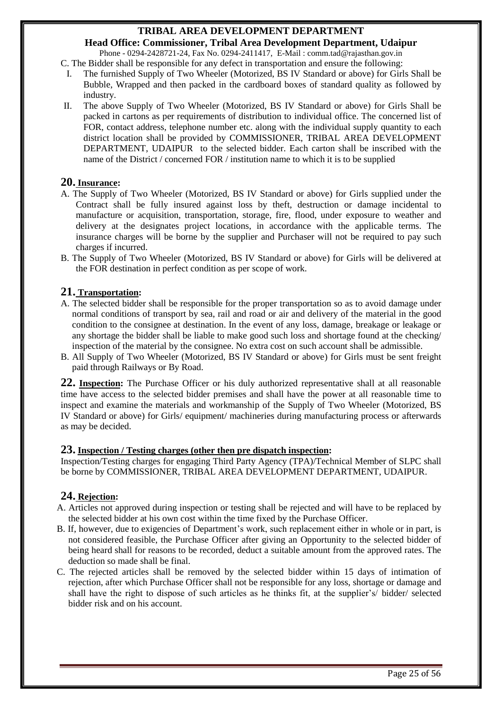**Head Office: Commissioner, Tribal Area Development Department, Udaipur** Phone - 0294-2428721-24, Fax No. 0294-2411417, E-Mail : comm.tad@rajasthan.gov.in

C. The Bidder shall be responsible for any defect in transportation and ensure the following:

- I. The furnished Supply of Two Wheeler (Motorized, BS IV Standard or above) for Girls Shall be Bubble, Wrapped and then packed in the cardboard boxes of standard quality as followed by industry.
- II. The above Supply of Two Wheeler (Motorized, BS IV Standard or above) for Girls Shall be packed in cartons as per requirements of distribution to individual office. The concerned list of FOR, contact address, telephone number etc. along with the individual supply quantity to each district location shall be provided by COMMISSIONER, TRIBAL AREA DEVELOPMENT DEPARTMENT, UDAIPUR to the selected bidder. Each carton shall be inscribed with the name of the District / concerned FOR / institution name to which it is to be supplied

#### **20. Insurance:**

- A. The Supply of Two Wheeler (Motorized, BS IV Standard or above) for Girls supplied under the Contract shall be fully insured against loss by theft, destruction or damage incidental to manufacture or acquisition, transportation, storage, fire, flood, under exposure to weather and delivery at the designates project locations, in accordance with the applicable terms. The insurance charges will be borne by the supplier and Purchaser will not be required to pay such charges if incurred.
- B. The Supply of Two Wheeler (Motorized, BS IV Standard or above) for Girls will be delivered at the FOR destination in perfect condition as per scope of work.

#### **21. Transportation:**

- A. The selected bidder shall be responsible for the proper transportation so as to avoid damage under normal conditions of transport by sea, rail and road or air and delivery of the material in the good condition to the consignee at destination. In the event of any loss, damage, breakage or leakage or any shortage the bidder shall be liable to make good such loss and shortage found at the checking/ inspection of the material by the consignee. No extra cost on such account shall be admissible.
- B. All Supply of Two Wheeler (Motorized, BS IV Standard or above) for Girls must be sent freight paid through Railways or By Road.

**22. Inspection:** The Purchase Officer or his duly authorized representative shall at all reasonable time have access to the selected bidder premises and shall have the power at all reasonable time to inspect and examine the materials and workmanship of the Supply of Two Wheeler (Motorized, BS IV Standard or above) for Girls/ equipment/ machineries during manufacturing process or afterwards as may be decided.

#### **23. Inspection / Testing charges (other then pre dispatch inspection:**

Inspection/Testing charges for engaging Third Party Agency (TPA)/Technical Member of SLPC shall be borne by COMMISSIONER, TRIBAL AREA DEVELOPMENT DEPARTMENT, UDAIPUR.

#### **24. Rejection:**

- A. Articles not approved during inspection or testing shall be rejected and will have to be replaced by the selected bidder at his own cost within the time fixed by the Purchase Officer.
- B. If, however, due to exigencies of Department's work, such replacement either in whole or in part, is not considered feasible, the Purchase Officer after giving an Opportunity to the selected bidder of being heard shall for reasons to be recorded, deduct a suitable amount from the approved rates. The deduction so made shall be final.
- C. The rejected articles shall be removed by the selected bidder within 15 days of intimation of rejection, after which Purchase Officer shall not be responsible for any loss, shortage or damage and shall have the right to dispose of such articles as he thinks fit, at the supplier's/ bidder/ selected bidder risk and on his account.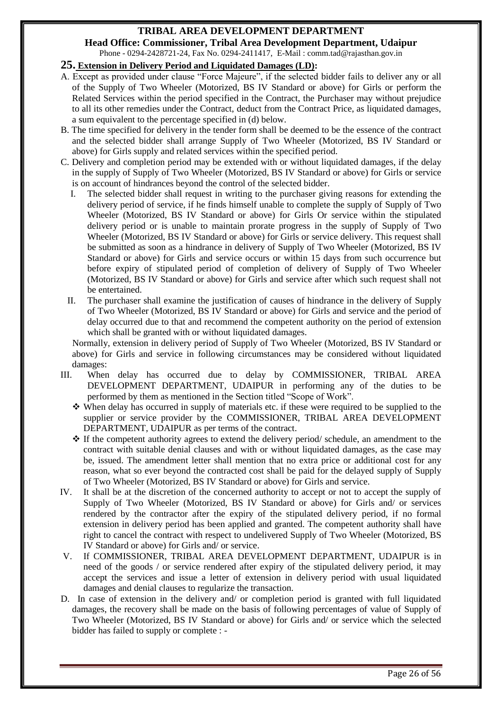**Head Office: Commissioner, Tribal Area Development Department, Udaipur** Phone - 0294-2428721-24, Fax No. 0294-2411417, E-Mail : comm.tad@rajasthan.gov.in

#### **25. Extension in Delivery Period and Liquidated Damages (LD):**

- A. Except as provided under clause "Force Majeure", if the selected bidder fails to deliver any or all of the Supply of Two Wheeler (Motorized, BS IV Standard or above) for Girls or perform the Related Services within the period specified in the Contract, the Purchaser may without prejudice to all its other remedies under the Contract, deduct from the Contract Price, as liquidated damages, a sum equivalent to the percentage specified in (d) below.
- B. The time specified for delivery in the tender form shall be deemed to be the essence of the contract and the selected bidder shall arrange Supply of Two Wheeler (Motorized, BS IV Standard or above) for Girls supply and related services within the specified period.
- C. Delivery and completion period may be extended with or without liquidated damages, if the delay in the supply of Supply of Two Wheeler (Motorized, BS IV Standard or above) for Girls or service is on account of hindrances beyond the control of the selected bidder.
	- I. The selected bidder shall request in writing to the purchaser giving reasons for extending the delivery period of service, if he finds himself unable to complete the supply of Supply of Two Wheeler (Motorized, BS IV Standard or above) for Girls Or service within the stipulated delivery period or is unable to maintain prorate progress in the supply of Supply of Two Wheeler (Motorized, BS IV Standard or above) for Girls or service delivery. This request shall be submitted as soon as a hindrance in delivery of Supply of Two Wheeler (Motorized, BS IV Standard or above) for Girls and service occurs or within 15 days from such occurrence but before expiry of stipulated period of completion of delivery of Supply of Two Wheeler (Motorized, BS IV Standard or above) for Girls and service after which such request shall not be entertained.
	- II. The purchaser shall examine the justification of causes of hindrance in the delivery of Supply of Two Wheeler (Motorized, BS IV Standard or above) for Girls and service and the period of delay occurred due to that and recommend the competent authority on the period of extension which shall be granted with or without liquidated damages.

 Normally, extension in delivery period of Supply of Two Wheeler (Motorized, BS IV Standard or above) for Girls and service in following circumstances may be considered without liquidated damages:

- III. When delay has occurred due to delay by COMMISSIONER, TRIBAL AREA DEVELOPMENT DEPARTMENT, UDAIPUR in performing any of the duties to be performed by them as mentioned in the Section titled "Scope of Work".
	- When delay has occurred in supply of materials etc. if these were required to be supplied to the supplier or service provider by the COMMISSIONER, TRIBAL AREA DEVELOPMENT DEPARTMENT, UDAIPUR as per terms of the contract.
	- $\hat{\mathbf{v}}$  If the competent authority agrees to extend the delivery period/ schedule, an amendment to the contract with suitable denial clauses and with or without liquidated damages, as the case may be, issued. The amendment letter shall mention that no extra price or additional cost for any reason, what so ever beyond the contracted cost shall be paid for the delayed supply of Supply of Two Wheeler (Motorized, BS IV Standard or above) for Girls and service.
- IV. It shall be at the discretion of the concerned authority to accept or not to accept the supply of Supply of Two Wheeler (Motorized, BS IV Standard or above) for Girls and/ or services rendered by the contractor after the expiry of the stipulated delivery period, if no formal extension in delivery period has been applied and granted. The competent authority shall have right to cancel the contract with respect to undelivered Supply of Two Wheeler (Motorized, BS IV Standard or above) for Girls and/ or service.
- V. If COMMISSIONER, TRIBAL AREA DEVELOPMENT DEPARTMENT, UDAIPUR is in need of the goods / or service rendered after expiry of the stipulated delivery period, it may accept the services and issue a letter of extension in delivery period with usual liquidated damages and denial clauses to regularize the transaction.
- D. In case of extension in the delivery and/ or completion period is granted with full liquidated damages, the recovery shall be made on the basis of following percentages of value of Supply of Two Wheeler (Motorized, BS IV Standard or above) for Girls and/ or service which the selected bidder has failed to supply or complete : -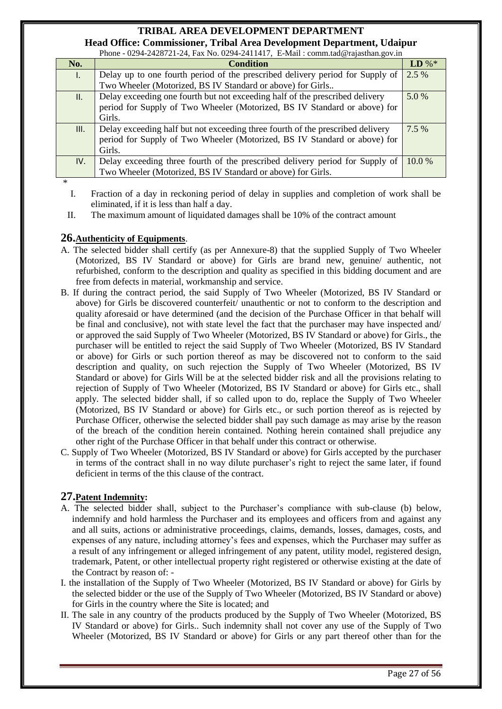**Head Office: Commissioner, Tribal Area Development Department, Udaipur**<br>
Native Contract 24 September 2004 2411417, E Mail vegeta telegrisethen govin  $P_{\text{N}_2}$  0204-2411417, FMail

| No.  | <b>Condition</b>                                                               | $LD\%*$ |
|------|--------------------------------------------------------------------------------|---------|
| L.   | Delay up to one fourth period of the prescribed delivery period for Supply of  | 2.5 %   |
|      | Two Wheeler (Motorized, BS IV Standard or above) for Girls                     |         |
| Ш.   | Delay exceeding one fourth but not exceeding half of the prescribed delivery   | 5.0 %   |
|      | period for Supply of Two Wheeler (Motorized, BS IV Standard or above) for      |         |
|      | Girls.                                                                         |         |
| III. | Delay exceeding half but not exceeding three fourth of the prescribed delivery | $7.5\%$ |
|      | period for Supply of Two Wheeler (Motorized, BS IV Standard or above) for      |         |
|      | Girls.                                                                         |         |
| IV.  | Delay exceeding three fourth of the prescribed delivery period for Supply of   | 10.0%   |
|      | Two Wheeler (Motorized, BS IV Standard or above) for Girls.                    |         |

- \*
	- I. Fraction of a day in reckoning period of delay in supplies and completion of work shall be eliminated, if it is less than half a day.

II. The maximum amount of liquidated damages shall be 10% of the contract amount

#### **26.Authenticity of Equipments**.

- A. The selected bidder shall certify (as per Annexure-8) that the supplied Supply of Two Wheeler (Motorized, BS IV Standard or above) for Girls are brand new, genuine/ authentic, not refurbished, conform to the description and quality as specified in this bidding document and are free from defects in material, workmanship and service.
- B. If during the contract period, the said Supply of Two Wheeler (Motorized, BS IV Standard or above) for Girls be discovered counterfeit/ unauthentic or not to conform to the description and quality aforesaid or have determined (and the decision of the Purchase Officer in that behalf will be final and conclusive), not with state level the fact that the purchaser may have inspected and/ or approved the said Supply of Two Wheeler (Motorized, BS IV Standard or above) for Girls., the purchaser will be entitled to reject the said Supply of Two Wheeler (Motorized, BS IV Standard or above) for Girls or such portion thereof as may be discovered not to conform to the said description and quality, on such rejection the Supply of Two Wheeler (Motorized, BS IV Standard or above) for Girls Will be at the selected bidder risk and all the provisions relating to rejection of Supply of Two Wheeler (Motorized, BS IV Standard or above) for Girls etc., shall apply. The selected bidder shall, if so called upon to do, replace the Supply of Two Wheeler (Motorized, BS IV Standard or above) for Girls etc., or such portion thereof as is rejected by Purchase Officer, otherwise the selected bidder shall pay such damage as may arise by the reason of the breach of the condition herein contained. Nothing herein contained shall prejudice any other right of the Purchase Officer in that behalf under this contract or otherwise.
- C. Supply of Two Wheeler (Motorized, BS IV Standard or above) for Girls accepted by the purchaser in terms of the contract shall in no way dilute purchaser's right to reject the same later, if found deficient in terms of the this clause of the contract.

#### **27.Patent Indemnity:**

- A. The selected bidder shall, subject to the Purchaser's compliance with sub-clause (b) below, indemnify and hold harmless the Purchaser and its employees and officers from and against any and all suits, actions or administrative proceedings, claims, demands, losses, damages, costs, and expenses of any nature, including attorney's fees and expenses, which the Purchaser may suffer as a result of any infringement or alleged infringement of any patent, utility model, registered design, trademark, Patent, or other intellectual property right registered or otherwise existing at the date of the Contract by reason of: -
- I. the installation of the Supply of Two Wheeler (Motorized, BS IV Standard or above) for Girls by the selected bidder or the use of the Supply of Two Wheeler (Motorized, BS IV Standard or above) for Girls in the country where the Site is located; and
- II. The sale in any country of the products produced by the Supply of Two Wheeler (Motorized, BS IV Standard or above) for Girls.. Such indemnity shall not cover any use of the Supply of Two Wheeler (Motorized, BS IV Standard or above) for Girls or any part thereof other than for the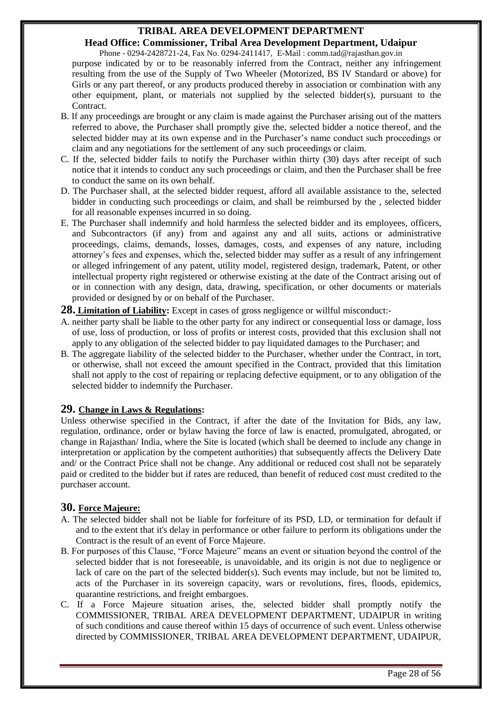## **Head Office: Commissioner, Tribal Area Development Department, Udaipur**

Phone - 0294-2428721-24, Fax No. 0294-2411417, E-Mail : comm.tad@rajasthan.gov.in purpose indicated by or to be reasonably inferred from the Contract, neither any infringement resulting from the use of the Supply of Two Wheeler (Motorized, BS IV Standard or above) for Girls or any part thereof, or any products produced thereby in association or combination with any other equipment, plant, or materials not supplied by the selected bidder(s), pursuant to the Contract.

- B. If any proceedings are brought or any claim is made against the Purchaser arising out of the matters referred to above, the Purchaser shall promptly give the, selected bidder a notice thereof, and the selected bidder may at its own expense and in the Purchaser's name conduct such proceedings or claim and any negotiations for the settlement of any such proceedings or claim.
- C. If the, selected bidder fails to notify the Purchaser within thirty (30) days after receipt of such notice that it intends to conduct any such proceedings or claim, and then the Purchaser shall be free to conduct the same on its own behalf.
- D. The Purchaser shall, at the selected bidder request, afford all available assistance to the, selected bidder in conducting such proceedings or claim, and shall be reimbursed by the , selected bidder for all reasonable expenses incurred in so doing.
- E. The Purchaser shall indemnify and hold harmless the selected bidder and its employees, officers, and Subcontractors (if any) from and against any and all suits, actions or administrative proceedings, claims, demands, losses, damages, costs, and expenses of any nature, including attorney's fees and expenses, which the, selected bidder may suffer as a result of any infringement or alleged infringement of any patent, utility model, registered design, trademark, Patent, or other intellectual property right registered or otherwise existing at the date of the Contract arising out of or in connection with any design, data, drawing, specification, or other documents or materials provided or designed by or on behalf of the Purchaser.

**28. Limitation of Liability:** Except in cases of gross negligence or willful misconduct:-

- A. neither party shall be liable to the other party for any indirect or consequential loss or damage, loss of use, loss of production, or loss of profits or interest costs, provided that this exclusion shall not apply to any obligation of the selected bidder to pay liquidated damages to the Purchaser; and
- B. The aggregate liability of the selected bidder to the Purchaser, whether under the Contract, in tort, or otherwise, shall not exceed the amount specified in the Contract, provided that this limitation shall not apply to the cost of repairing or replacing defective equipment, or to any obligation of the selected bidder to indemnify the Purchaser.

#### **29. Change in Laws & Regulations:**

Unless otherwise specified in the Contract, if after the date of the Invitation for Bids, any law, regulation, ordinance, order or bylaw having the force of law is enacted, promulgated, abrogated, or change in Rajasthan/ India, where the Site is located (which shall be deemed to include any change in interpretation or application by the competent authorities) that subsequently affects the Delivery Date and/ or the Contract Price shall not be change. Any additional or reduced cost shall not be separately paid or credited to the bidder but if rates are reduced, than benefit of reduced cost must credited to the purchaser account.

#### **30. Force Majeure:**

- A. The selected bidder shall not be liable for forfeiture of its PSD, LD, or termination for default if and to the extent that it's delay in performance or other failure to perform its obligations under the Contract is the result of an event of Force Majeure.
- B. For purposes of this Clause, "Force Majeure" means an event or situation beyond the control of the selected bidder that is not foreseeable, is unavoidable, and its origin is not due to negligence or lack of care on the part of the selected bidder(s). Such events may include, but not be limited to, acts of the Purchaser in its sovereign capacity, wars or revolutions, fires, floods, epidemics, quarantine restrictions, and freight embargoes.
- C. If a Force Majeure situation arises, the, selected bidder shall promptly notify the COMMISSIONER, TRIBAL AREA DEVELOPMENT DEPARTMENT, UDAIPUR in writing of such conditions and cause thereof within 15 days of occurrence of such event. Unless otherwise directed by COMMISSIONER, TRIBAL AREA DEVELOPMENT DEPARTMENT, UDAIPUR,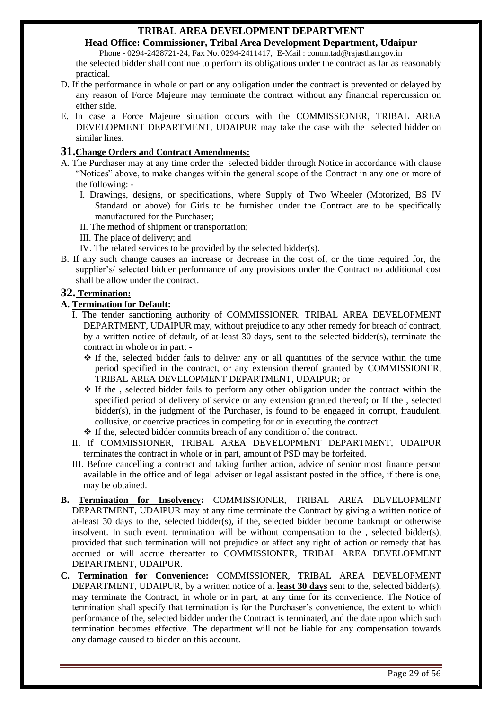**Head Office: Commissioner, Tribal Area Development Department, Udaipur**

Phone - 0294-2428721-24, Fax No. 0294-2411417, E-Mail : comm.tad@rajasthan.gov.in the selected bidder shall continue to perform its obligations under the contract as far as reasonably practical.

- D. If the performance in whole or part or any obligation under the contract is prevented or delayed by any reason of Force Majeure may terminate the contract without any financial repercussion on either side.
- E. In case a Force Majeure situation occurs with the COMMISSIONER, TRIBAL AREA DEVELOPMENT DEPARTMENT, UDAIPUR may take the case with the selected bidder on similar lines.

#### **31.Change Orders and Contract Amendments:**

- A. The Purchaser may at any time order the selected bidder through Notice in accordance with clause "Notices" above, to make changes within the general scope of the Contract in any one or more of the following: -
	- I. Drawings, designs, or specifications, where Supply of Two Wheeler (Motorized, BS IV Standard or above) for Girls to be furnished under the Contract are to be specifically manufactured for the Purchaser;
	- II. The method of shipment or transportation;
	- III. The place of delivery; and
	- IV. The related services to be provided by the selected bidder(s).
- B. If any such change causes an increase or decrease in the cost of, or the time required for, the supplier's/ selected bidder performance of any provisions under the Contract no additional cost shall be allow under the contract.

#### **32. Termination:**

#### **A. Termination for Default:**

- I. The tender sanctioning authority of COMMISSIONER, TRIBAL AREA DEVELOPMENT DEPARTMENT, UDAIPUR may, without prejudice to any other remedy for breach of contract, by a written notice of default, of at-least 30 days, sent to the selected bidder(s), terminate the contract in whole or in part: -
	- $\cdot \cdot$  If the, selected bidder fails to deliver any or all quantities of the service within the time period specified in the contract, or any extension thereof granted by COMMISSIONER, TRIBAL AREA DEVELOPMENT DEPARTMENT, UDAIPUR; or
	- $\div$  If the , selected bidder fails to perform any other obligation under the contract within the specified period of delivery of service or any extension granted thereof; or If the , selected bidder(s), in the judgment of the Purchaser, is found to be engaged in corrupt, fraudulent, collusive, or coercive practices in competing for or in executing the contract.
	- If the, selected bidder commits breach of any condition of the contract.
- II. If COMMISSIONER, TRIBAL AREA DEVELOPMENT DEPARTMENT, UDAIPUR terminates the contract in whole or in part, amount of PSD may be forfeited.
- III. Before cancelling a contract and taking further action, advice of senior most finance person available in the office and of legal adviser or legal assistant posted in the office, if there is one, may be obtained.
- **B. Termination for Insolvency:** COMMISSIONER, TRIBAL AREA DEVELOPMENT DEPARTMENT, UDAIPUR may at any time terminate the Contract by giving a written notice of at-least 30 days to the, selected bidder(s), if the, selected bidder become bankrupt or otherwise insolvent. In such event, termination will be without compensation to the , selected bidder(s), provided that such termination will not prejudice or affect any right of action or remedy that has accrued or will accrue thereafter to COMMISSIONER, TRIBAL AREA DEVELOPMENT DEPARTMENT, UDAIPUR.
- **C. Termination for Convenience:** COMMISSIONER, TRIBAL AREA DEVELOPMENT DEPARTMENT, UDAIPUR, by a written notice of at **least 30 days** sent to the, selected bidder(s), may terminate the Contract, in whole or in part, at any time for its convenience. The Notice of termination shall specify that termination is for the Purchaser's convenience, the extent to which performance of the, selected bidder under the Contract is terminated, and the date upon which such termination becomes effective. The department will not be liable for any compensation towards any damage caused to bidder on this account.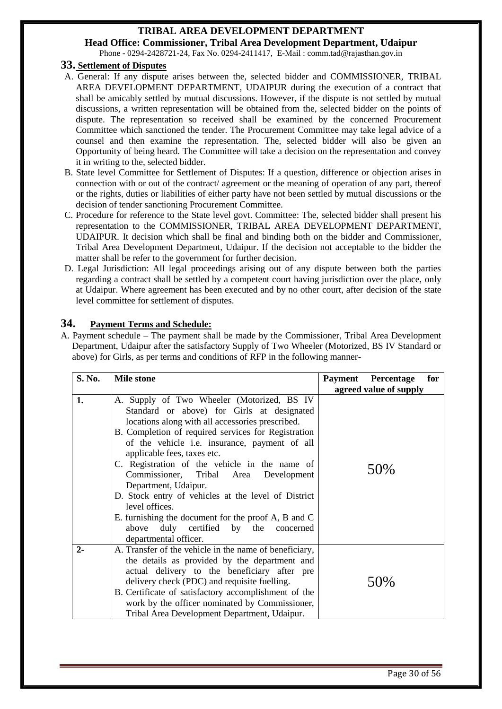**Head Office: Commissioner, Tribal Area Development Department, Udaipur** Phone - 0294-2428721-24, Fax No. 0294-2411417, E-Mail : comm.tad@rajasthan.gov.in

#### **33. Settlement of Disputes**

- A. General: If any dispute arises between the, selected bidder and COMMISSIONER, TRIBAL AREA DEVELOPMENT DEPARTMENT, UDAIPUR during the execution of a contract that shall be amicably settled by mutual discussions. However, if the dispute is not settled by mutual discussions, a written representation will be obtained from the, selected bidder on the points of dispute. The representation so received shall be examined by the concerned Procurement Committee which sanctioned the tender. The Procurement Committee may take legal advice of a counsel and then examine the representation. The, selected bidder will also be given an Opportunity of being heard. The Committee will take a decision on the representation and convey it in writing to the, selected bidder.
- B. State level Committee for Settlement of Disputes: If a question, difference or objection arises in connection with or out of the contract/ agreement or the meaning of operation of any part, thereof or the rights, duties or liabilities of either party have not been settled by mutual discussions or the decision of tender sanctioning Procurement Committee.
- C. Procedure for reference to the State level govt. Committee: The, selected bidder shall present his representation to the COMMISSIONER, TRIBAL AREA DEVELOPMENT DEPARTMENT, UDAIPUR. It decision which shall be final and binding both on the bidder and Commissioner, Tribal Area Development Department, Udaipur. If the decision not acceptable to the bidder the matter shall be refer to the government for further decision.
- D. Legal Jurisdiction: All legal proceedings arising out of any dispute between both the parties regarding a contract shall be settled by a competent court having jurisdiction over the place, only at Udaipur. Where agreement has been executed and by no other court, after decision of the state level committee for settlement of disputes.

#### **34. Payment Terms and Schedule:**

A. Payment schedule – The payment shall be made by the Commissioner, Tribal Area Development Department, Udaipur after the satisfactory Supply of Two Wheeler (Motorized, BS IV Standard or above) for Girls, as per terms and conditions of RFP in the following manner-

| S. No. | <b>Mile stone</b>                                                                                                                                                                                                                                                                                                                                                                                                                                                                                                                                                                                          | <b>Payment</b> Percentage<br>for |
|--------|------------------------------------------------------------------------------------------------------------------------------------------------------------------------------------------------------------------------------------------------------------------------------------------------------------------------------------------------------------------------------------------------------------------------------------------------------------------------------------------------------------------------------------------------------------------------------------------------------------|----------------------------------|
|        |                                                                                                                                                                                                                                                                                                                                                                                                                                                                                                                                                                                                            | agreed value of supply           |
| 1.     | A. Supply of Two Wheeler (Motorized, BS IV<br>Standard or above) for Girls at designated<br>locations along with all accessories prescribed.<br>B. Completion of required services for Registration<br>of the vehicle i.e. insurance, payment of all<br>applicable fees, taxes etc.<br>C. Registration of the vehicle in the name of<br>Commissioner, Tribal Area<br>Development<br>Department, Udaipur.<br>D. Stock entry of vehicles at the level of District<br>level offices.<br>E. furnishing the document for the proof A, B and C<br>above duly certified by the concerned<br>departmental officer. | 50\%                             |
| $2 -$  | A. Transfer of the vehicle in the name of beneficiary,<br>the details as provided by the department and<br>actual delivery to the beneficiary after pre<br>delivery check (PDC) and requisite fuelling.<br>B. Certificate of satisfactory accomplishment of the<br>work by the officer nominated by Commissioner,<br>Tribal Area Development Department, Udaipur.                                                                                                                                                                                                                                          | 50%                              |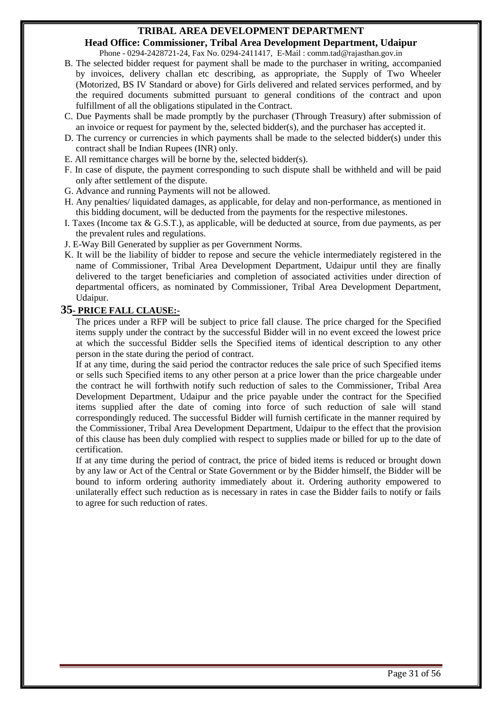**Head Office: Commissioner, Tribal Area Development Department, Udaipur** Phone - 0294-2428721-24, Fax No. 0294-2411417, E-Mail : comm.tad@rajasthan.gov.in

- B. The selected bidder request for payment shall be made to the purchaser in writing, accompanied by invoices, delivery challan etc describing, as appropriate, the Supply of Two Wheeler (Motorized, BS IV Standard or above) for Girls delivered and related services performed, and by the required documents submitted pursuant to general conditions of the contract and upon fulfillment of all the obligations stipulated in the Contract.
- C. Due Payments shall be made promptly by the purchaser (Through Treasury) after submission of an invoice or request for payment by the, selected bidder(s), and the purchaser has accepted it.
- D. The currency or currencies in which payments shall be made to the selected bidder(s) under this contract shall be Indian Rupees (INR) only.
- E. All remittance charges will be borne by the, selected bidder(s).
- F. In case of dispute, the payment corresponding to such dispute shall be withheld and will be paid only after settlement of the dispute.
- G. Advance and running Payments will not be allowed.
- H. Any penalties/ liquidated damages, as applicable, for delay and non-performance, as mentioned in this bidding document, will be deducted from the payments for the respective milestones.
- I. Taxes (Income tax & G.S.T.), as applicable, will be deducted at source, from due payments, as per the prevalent rules and regulations.
- J. E-Way Bill Generated by supplier as per Government Norms.
- K. It will be the liability of bidder to repose and secure the vehicle intermediately registered in the name of Commissioner, Tribal Area Development Department, Udaipur until they are finally delivered to the target beneficiaries and completion of associated activities under direction of departmental officers, as nominated by Commissioner, Tribal Area Development Department, Udaipur.

#### **35- PRICE FALL CLAUSE:-**

The prices under a RFP will be subject to price fall clause. The price charged for the Specified items supply under the contract by the successful Bidder will in no event exceed the lowest price at which the successful Bidder sells the Specified items of identical description to any other person in the state during the period of contract.

If at any time, during the said period the contractor reduces the sale price of such Specified items or sells such Specified items to any other person at a price lower than the price chargeable under the contract he will forthwith notify such reduction of sales to the Commissioner, Tribal Area Development Department, Udaipur and the price payable under the contract for the Specified items supplied after the date of coming into force of such reduction of sale will stand correspondingly reduced. The successful Bidder will furnish certificate in the manner required by the Commissioner, Tribal Area Development Department, Udaipur to the effect that the provision of this clause has been duly complied with respect to supplies made or billed for up to the date of certification.

If at any time during the period of contract, the price of bided items is reduced or brought down by any law or Act of the Central or State Government or by the Bidder himself, the Bidder will be bound to inform ordering authority immediately about it. Ordering authority empowered to unilaterally effect such reduction as is necessary in rates in case the Bidder fails to notify or fails to agree for such reduction of rates.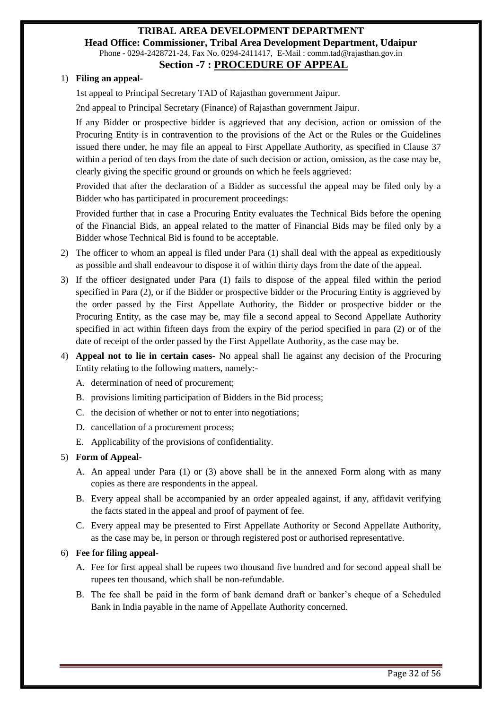## **TRIBAL AREA DEVELOPMENT DEPARTMENT Head Office: Commissioner, Tribal Area Development Department, Udaipur** Phone - 0294-2428721-24, Fax No. 0294-2411417, E-Mail : comm.tad@rajasthan.gov.in

#### **Section -7 : PROCEDURE OF APPEAL**

#### 1) **Filing an appeal-**

1st appeal to Principal Secretary TAD of Rajasthan government Jaipur.

2nd appeal to Principal Secretary (Finance) of Rajasthan government Jaipur.

If any Bidder or prospective bidder is aggrieved that any decision, action or omission of the Procuring Entity is in contravention to the provisions of the Act or the Rules or the Guidelines issued there under, he may file an appeal to First Appellate Authority, as specified in Clause 37 within a period of ten days from the date of such decision or action, omission, as the case may be, clearly giving the specific ground or grounds on which he feels aggrieved:

Provided that after the declaration of a Bidder as successful the appeal may be filed only by a Bidder who has participated in procurement proceedings:

Provided further that in case a Procuring Entity evaluates the Technical Bids before the opening of the Financial Bids, an appeal related to the matter of Financial Bids may be filed only by a Bidder whose Technical Bid is found to be acceptable.

- 2) The officer to whom an appeal is filed under Para (1) shall deal with the appeal as expeditiously as possible and shall endeavour to dispose it of within thirty days from the date of the appeal.
- 3) If the officer designated under Para (1) fails to dispose of the appeal filed within the period specified in Para (2), or if the Bidder or prospective bidder or the Procuring Entity is aggrieved by the order passed by the First Appellate Authority, the Bidder or prospective bidder or the Procuring Entity, as the case may be, may file a second appeal to Second Appellate Authority specified in act within fifteen days from the expiry of the period specified in para (2) or of the date of receipt of the order passed by the First Appellate Authority, as the case may be.
- 4) **Appeal not to lie in certain cases-** No appeal shall lie against any decision of the Procuring Entity relating to the following matters, namely:-
	- A. determination of need of procurement;
	- B. provisions limiting participation of Bidders in the Bid process;
	- C. the decision of whether or not to enter into negotiations;
	- D. cancellation of a procurement process;
	- E. Applicability of the provisions of confidentiality.

#### 5) **Form of Appeal-**

- A. An appeal under Para (1) or (3) above shall be in the annexed Form along with as many copies as there are respondents in the appeal.
- B. Every appeal shall be accompanied by an order appealed against, if any, affidavit verifying the facts stated in the appeal and proof of payment of fee.
- C. Every appeal may be presented to First Appellate Authority or Second Appellate Authority, as the case may be, in person or through registered post or authorised representative.

#### 6) **Fee for filing appeal-**

- A. Fee for first appeal shall be rupees two thousand five hundred and for second appeal shall be rupees ten thousand, which shall be non-refundable.
- B. The fee shall be paid in the form of bank demand draft or banker's cheque of a Scheduled Bank in India payable in the name of Appellate Authority concerned.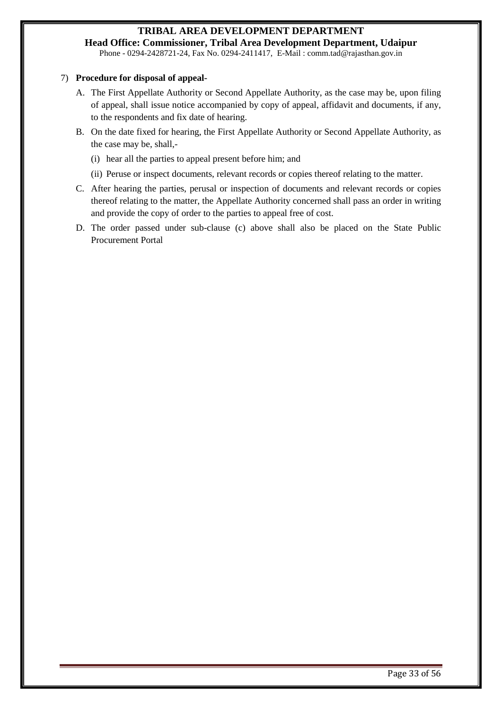**Head Office: Commissioner, Tribal Area Development Department, Udaipur** Phone - 0294-2428721-24, Fax No. 0294-2411417, E-Mail : comm.tad@rajasthan.gov.in

#### 7) **Procedure for disposal of appeal-**

- A. The First Appellate Authority or Second Appellate Authority, as the case may be, upon filing of appeal, shall issue notice accompanied by copy of appeal, affidavit and documents, if any, to the respondents and fix date of hearing.
- B. On the date fixed for hearing, the First Appellate Authority or Second Appellate Authority, as the case may be, shall,-
	- (i) hear all the parties to appeal present before him; and
	- (ii) Peruse or inspect documents, relevant records or copies thereof relating to the matter.
- C. After hearing the parties, perusal or inspection of documents and relevant records or copies thereof relating to the matter, the Appellate Authority concerned shall pass an order in writing and provide the copy of order to the parties to appeal free of cost.
- D. The order passed under sub-clause (c) above shall also be placed on the State Public Procurement Portal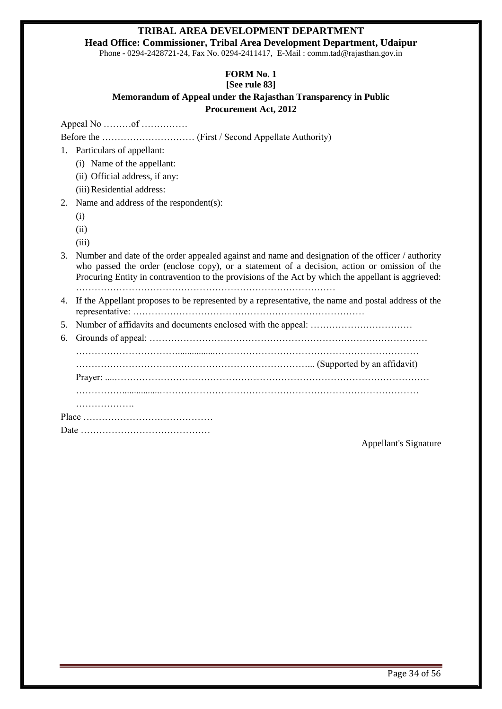**Head Office: Commissioner, Tribal Area Development Department, Udaipur**

Phone - 0294-2428721-24, Fax No. 0294-2411417, E-Mail : comm.tad@rajasthan.gov.in

# **FORM No. 1**

#### **[See rule 83] Memorandum of Appeal under the Rajasthan Transparency in Public Procurement Act, 2012**

Appeal No ………of ……………

Before the ………………………… (First / Second Appellate Authority)

- 1. Particulars of appellant:
	- (i) Name of the appellant:
	- (ii) Official address, if any:
	- (iii)Residential address:
- 2. Name and address of the respondent(s):
	- (i)
	- (ii)
	- $(iii)$

3. Number and date of the order appealed against and name and designation of the officer / authority who passed the order (enclose copy), or a statement of a decision, action or omission of the Procuring Entity in contravention to the provisions of the Act by which the appellant is aggrieved: …………………………………………………………………………

- 4. If the Appellant proposes to be represented by a representative, the name and postal address of the representative: …………………………………………………………………
- 5. Number of affidavits and documents enclosed with the appeal: ……………………………
- 6. Grounds of appeal:  $\ldots$   $\ldots$   $\ldots$   $\ldots$   $\ldots$   $\ldots$   $\ldots$   $\ldots$   $\ldots$   $\ldots$   $\ldots$   $\ldots$   $\ldots$   $\ldots$   $\ldots$   $\ldots$   $\ldots$   $\ldots$   $\ldots$   $\ldots$   $\ldots$   $\ldots$   $\ldots$   $\ldots$   $\ldots$   $\ldots$   $\ldots$   $\ldots$   $\ldots$   $\ldots$   $\ldots$   $\ldots$   $\ldots$

……………………………................…………………………………………………………

…………………………………………………………………... (Supported by an affidavit) Prayer: ....…………………………………………………………………………………………

……………................…………………………………………………………………………

<span id="page-33-0"></span>

|      | . |  |  |  |  |  |  |  |  |  |  |  |  |
|------|---|--|--|--|--|--|--|--|--|--|--|--|--|
|      |   |  |  |  |  |  |  |  |  |  |  |  |  |
| Date |   |  |  |  |  |  |  |  |  |  |  |  |  |

Appellant's Signature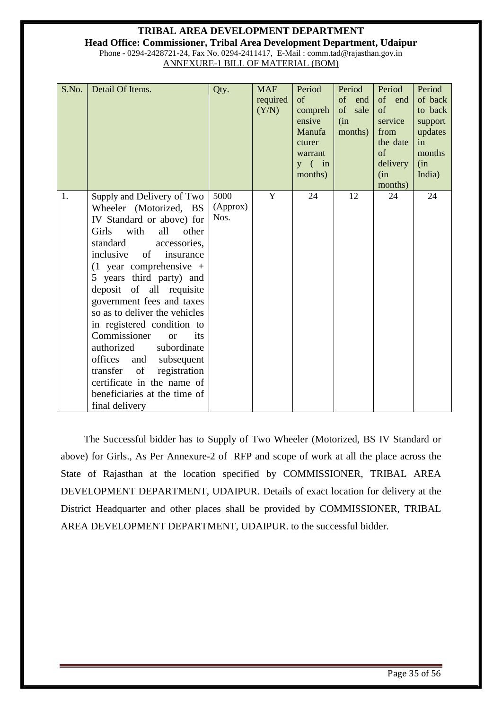#### **TRIBAL AREA DEVELOPMENT DEPARTMENT Head Office: Commissioner, Tribal Area Development Department, Udaipur** Phone - 0294-2428721-24, Fax No. 0294-2411417, E-Mail : comm.tad@rajasthan.gov.in

ANNEXURE-1 BILL OF MATERIAL (BOM)

| S.No. | Detail Of Items.                                                                                                                                                                                                                                                                                                                                                                                                                                                                                                                                                             | Qty.                     | <b>MAF</b><br>required<br>(Y/N) | Period<br>of<br>compreh<br>ensive<br>Manufa<br>cturer<br>warrant<br>$y \in \text{in}$<br>months) | Period<br>of<br>end<br>of<br>sale<br>(in<br>months) | Period<br>of end<br>of<br>service<br>from<br>the date<br>of<br>delivery<br>(in<br>months) | Period<br>of back<br>to back<br>support<br>updates<br>in<br>months<br>(in<br>India) |
|-------|------------------------------------------------------------------------------------------------------------------------------------------------------------------------------------------------------------------------------------------------------------------------------------------------------------------------------------------------------------------------------------------------------------------------------------------------------------------------------------------------------------------------------------------------------------------------------|--------------------------|---------------------------------|--------------------------------------------------------------------------------------------------|-----------------------------------------------------|-------------------------------------------------------------------------------------------|-------------------------------------------------------------------------------------|
| 1.    | Supply and Delivery of Two<br>Wheeler (Motorized, BS<br>IV Standard or above) for<br>with<br>all<br>Girls<br>other<br>standard<br>accessories,<br>inclusive<br>of<br>insurance<br>$(1)$ year comprehensive +<br>5 years third party) and<br>deposit of all requisite<br>government fees and taxes<br>so as to deliver the vehicles<br>in registered condition to<br>Commissioner<br>its<br>or<br>authorized<br>subordinate<br>offices<br>subsequent<br>and<br>of<br>registration<br>transfer<br>certificate in the name of<br>beneficiaries at the time of<br>final delivery | 5000<br>(Approx)<br>Nos. | Y                               | 24                                                                                               | 12                                                  | 24                                                                                        | 24                                                                                  |

 The Successful bidder has to Supply of Two Wheeler (Motorized, BS IV Standard or above) for Girls., As Per Annexure-2 of RFP and scope of work at all the place across the State of Rajasthan at the location specified by COMMISSIONER, TRIBAL AREA DEVELOPMENT DEPARTMENT, UDAIPUR. Details of exact location for delivery at the District Headquarter and other places shall be provided by COMMISSIONER, TRIBAL AREA DEVELOPMENT DEPARTMENT, UDAIPUR. to the successful bidder.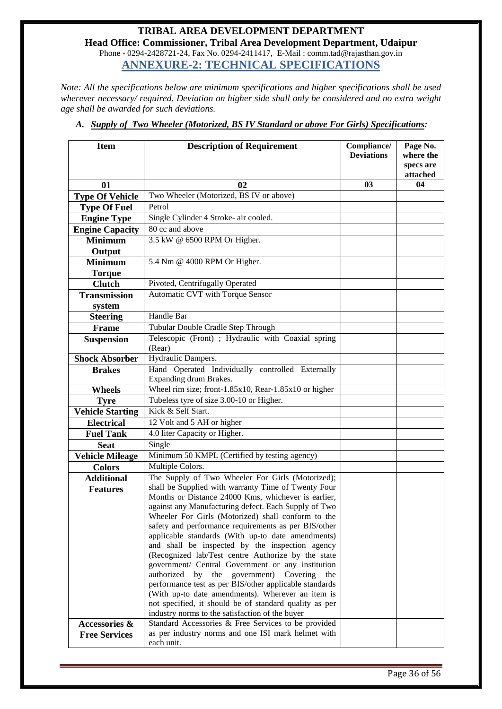#### **TRIBAL AREA DEVELOPMENT DEPARTMENT Head Office: Commissioner, Tribal Area Development Department, Udaipur** Phone - 0294-2428721-24, Fax No. 0294-2411417, E-Mail : comm.tad@rajasthan.gov.in **ANNEXURE-2: TECHNICAL SPECIFICATIONS**

<span id="page-35-0"></span>*Note: All the specifications below are minimum specifications and higher specifications shall be used wherever necessary/ required. Deviation on higher side shall only be considered and no extra weight age shall be awarded for such deviations.*

| <b>Item</b>             | <b>Description of Requirement</b>                                                                             |                   | Page No.<br>where the |
|-------------------------|---------------------------------------------------------------------------------------------------------------|-------------------|-----------------------|
|                         |                                                                                                               | <b>Deviations</b> | specs are<br>attached |
| 01                      | 02                                                                                                            | 03                | 04                    |
| <b>Type Of Vehicle</b>  | Two Wheeler (Motorized, BS IV or above)                                                                       |                   |                       |
| <b>Type Of Fuel</b>     | Petrol                                                                                                        |                   |                       |
| <b>Engine Type</b>      | Single Cylinder 4 Stroke- air cooled.                                                                         |                   |                       |
| <b>Engine Capacity</b>  | 80 cc and above                                                                                               |                   |                       |
| <b>Minimum</b>          | 3.5 kW @ 6500 RPM Or Higher.                                                                                  |                   |                       |
| Output                  |                                                                                                               |                   |                       |
| <b>Minimum</b>          | 5.4 Nm @ 4000 RPM Or Higher.                                                                                  |                   |                       |
| <b>Torque</b>           |                                                                                                               |                   |                       |
| <b>Clutch</b>           | Pivoted, Centrifugally Operated                                                                               |                   |                       |
| <b>Transmission</b>     | Automatic CVT with Torque Sensor                                                                              |                   |                       |
| system                  |                                                                                                               |                   |                       |
| <b>Steering</b>         | Handle Bar                                                                                                    |                   |                       |
| Frame                   | Tubular Double Cradle Step Through                                                                            |                   |                       |
| <b>Suspension</b>       | Telescopic (Front) ; Hydraulic with Coaxial spring<br>(Rear)                                                  |                   |                       |
| <b>Shock Absorber</b>   | Hydraulic Dampers.                                                                                            |                   |                       |
| <b>Brakes</b>           | Hand Operated Individually controlled Externally                                                              |                   |                       |
|                         | Expanding drum Brakes.                                                                                        |                   |                       |
| <b>Wheels</b>           | Wheel rim size; front-1.85x10, Rear-1.85x10 or higher                                                         |                   |                       |
| <b>Tyre</b>             | Tubeless tyre of size 3.00-10 or Higher.                                                                      |                   |                       |
| <b>Vehicle Starting</b> | Kick & Self Start.                                                                                            |                   |                       |
| <b>Electrical</b>       | 12 Volt and 5 AH or higher                                                                                    |                   |                       |
| <b>Fuel Tank</b>        | 4.0 liter Capacity or Higher.                                                                                 |                   |                       |
| <b>Seat</b>             | Single                                                                                                        |                   |                       |
| <b>Vehicle Mileage</b>  | Minimum 50 KMPL (Certified by testing agency)                                                                 |                   |                       |
| <b>Colors</b>           | Multiple Colors.                                                                                              |                   |                       |
| <b>Additional</b>       | The Supply of Two Wheeler For Girls (Motorized);                                                              |                   |                       |
| <b>Features</b>         | shall be Supplied with warranty Time of Twenty Four                                                           |                   |                       |
|                         | Months or Distance 24000 Kms, whichever is earlier,<br>against any Manufacturing defect. Each Supply of Two   |                   |                       |
|                         | Wheeler For Girls (Motorized) shall conform to the                                                            |                   |                       |
|                         | safety and performance requirements as per BIS/other                                                          |                   |                       |
|                         | applicable standards (With up-to date amendments)                                                             |                   |                       |
|                         | and shall be inspected by the inspection agency                                                               |                   |                       |
|                         | (Recognized lab/Test centre Authorize by the state                                                            |                   |                       |
|                         | government/ Central Government or any institution                                                             |                   |                       |
|                         | authorized<br>by<br>the government) Covering<br>the<br>performance test as per BIS/other applicable standards |                   |                       |
|                         | (With up-to date amendments). Wherever an item is                                                             |                   |                       |
|                         | not specified, it should be of standard quality as per                                                        |                   |                       |
|                         | industry norms to the satisfaction of the buyer                                                               |                   |                       |
| Accessories &           | Standard Accessories & Free Services to be provided                                                           |                   |                       |
| <b>Free Services</b>    | as per industry norms and one ISI mark helmet with                                                            |                   |                       |
|                         | each unit.                                                                                                    |                   |                       |

*A. Supply of Two Wheeler (Motorized, BS IV Standard or above For Girls) Specifications:*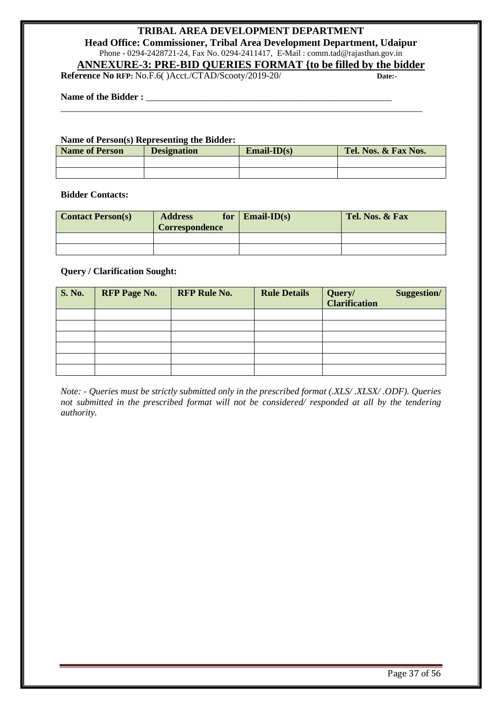**Head Office: Commissioner, Tribal Area Development Department, Udaipur** Phone - 0294-2428721-24, Fax No. 0294-2411417, E-Mail : comm.tad@rajasthan.gov.in

### **ANNEXURE-3: PRE-BID QUERIES FORMAT {to be filled by the bidder**

\_\_\_\_\_\_\_\_\_\_\_\_\_\_\_\_\_\_\_\_\_\_\_\_\_\_\_\_\_\_\_\_\_\_\_\_\_\_\_\_\_\_\_\_\_\_\_\_\_\_\_\_\_\_\_\_\_\_\_\_\_\_\_\_\_\_\_\_\_\_\_\_\_\_\_\_\_\_

<span id="page-36-0"></span>**Reference No RFP:** No.F.6( )Acct./CTAD/Scooty/2019-20/ **Date:-** 

#### Name of the Bidder :

#### **Name of Person(s) Representing the Bidder:**

| <b>Name of Person</b> | <b>Designation</b> | $Email-ID(s)$ | Tel. Nos. & Fax Nos. |
|-----------------------|--------------------|---------------|----------------------|
|                       |                    |               |                      |
|                       |                    |               |                      |

#### **Bidder Contacts:**

| <b>Contact Person(s)</b> | <b>Address</b><br><b>Correspondence</b> | for $\mathbf{Email-ID}(s)$ | Tel. Nos. & Fax |
|--------------------------|-----------------------------------------|----------------------------|-----------------|
|                          |                                         |                            |                 |
|                          |                                         |                            |                 |

#### **Query / Clarification Sought:**

| <b>S. No.</b> | <b>RFP Page No.</b> | <b>RFP Rule No.</b> | <b>Rule Details</b> | Query/<br><b>Clarification</b> | Suggestion/ |
|---------------|---------------------|---------------------|---------------------|--------------------------------|-------------|
|               |                     |                     |                     |                                |             |
|               |                     |                     |                     |                                |             |
|               |                     |                     |                     |                                |             |
|               |                     |                     |                     |                                |             |
|               |                     |                     |                     |                                |             |
|               |                     |                     |                     |                                |             |

*Note: - Queries must be strictly submitted only in the prescribed format (.XLS/ .XLSX/ .ODF). Queries not submitted in the prescribed format will not be considered/ responded at all by the tendering authority.*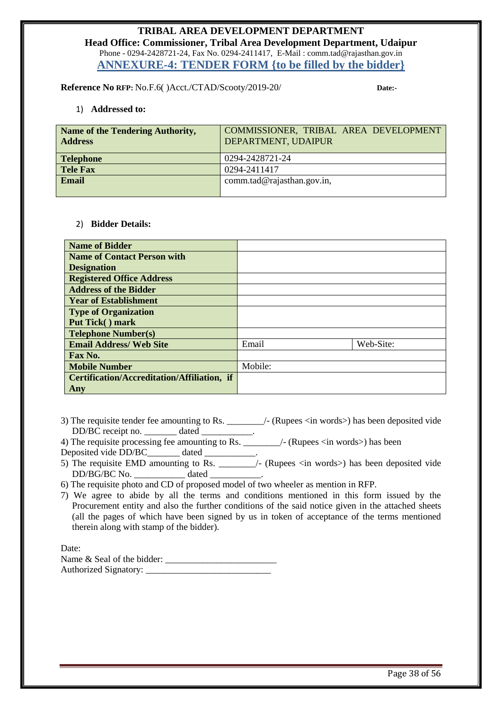#### **TRIBAL AREA DEVELOPMENT DEPARTMENT Head Office: Commissioner, Tribal Area Development Department, Udaipur** Phone - 0294-2428721-24, Fax No. 0294-2411417, E-Mail : comm.tad@rajasthan.gov.in **ANNEXURE-4: TENDER FORM {to be filled by the bidder}**

<span id="page-37-0"></span>**Reference No RFP:** No.F.6( )Acct./CTAD/Scooty/2019-20/ **Date:-** 

1) **Addressed to:**

| Name of the Tendering Authority,<br><b>Address</b> | COMMISSIONER, TRIBAL AREA DEVELOPMENT<br>DEPARTMENT, UDAIPUR |
|----------------------------------------------------|--------------------------------------------------------------|
| <b>Telephone</b>                                   | 0294-2428721-24                                              |
| <b>Tele Fax</b>                                    | 0294-2411417                                                 |
| Email                                              | comm.tad@rajasthan.gov.in,                                   |

#### 2) **Bidder Details:**

| <b>Name of Bidder</b>                       |         |           |
|---------------------------------------------|---------|-----------|
| <b>Name of Contact Person with</b>          |         |           |
| <b>Designation</b>                          |         |           |
| <b>Registered Office Address</b>            |         |           |
| <b>Address of the Bidder</b>                |         |           |
| <b>Year of Establishment</b>                |         |           |
| <b>Type of Organization</b>                 |         |           |
| Put Tick() mark                             |         |           |
| <b>Telephone Number(s)</b>                  |         |           |
| <b>Email Address/ Web Site</b>              | Email   | Web-Site: |
| Fax No.                                     |         |           |
| <b>Mobile Number</b>                        | Mobile: |           |
| Certification/Accreditation/Affiliation, if |         |           |
| Any                                         |         |           |

- 3) The requisite tender fee amounting to Rs. \_\_\_\_\_\_\_\_/- (Rupees <in words>) has been deposited vide DD/BC receipt no. \_\_\_\_\_\_\_\_\_\_ dated \_\_\_\_\_\_\_\_\_
- 4) The requisite processing fee amounting to Rs.  $\qquad$  /- (Rupees <in words>) has been Deposited vide DD/BC\_\_\_\_\_\_\_ dated \_\_\_\_\_\_\_\_\_\_.
- 5) The requisite EMD amounting to Rs. \_\_\_\_\_\_\_\_/- (Rupees <in words>) has been deposited vide DD/BG/BC No. \_\_\_\_\_\_\_\_\_\_\_ dated \_\_\_\_\_\_\_\_\_\_\_.

6) The requisite photo and CD of proposed model of two wheeler as mention in RFP.

7) We agree to abide by all the terms and conditions mentioned in this form issued by the Procurement entity and also the further conditions of the said notice given in the attached sheets (all the pages of which have been signed by us in token of acceptance of the terms mentioned therein along with stamp of the bidder).

Date:

<span id="page-37-1"></span>Name  $\&$  Seal of the bidder: Authorized Signatory: \_\_\_\_\_\_\_\_\_\_\_\_\_\_\_\_\_\_\_\_\_\_\_\_\_\_\_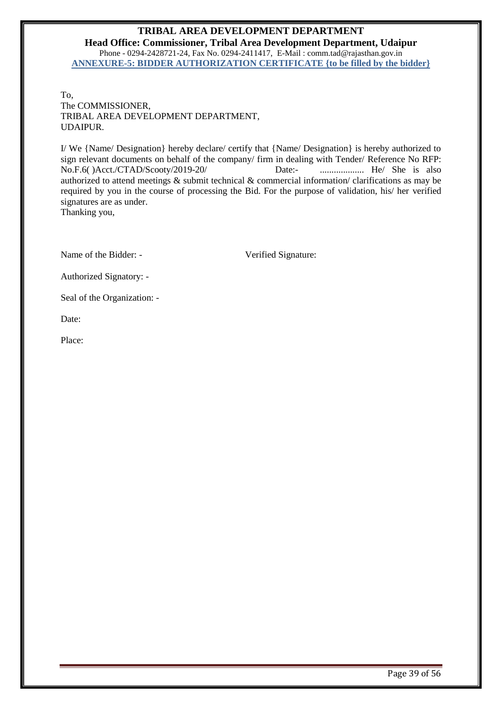**Head Office: Commissioner, Tribal Area Development Department, Udaipur** Phone - 0294-2428721-24, Fax No. 0294-2411417, E-Mail : comm.tad@rajasthan.gov.in **ANNEXURE-5: BIDDER AUTHORIZATION CERTIFICATE {to be filled by the bidder}**

To, The COMMISSIONER, TRIBAL AREA DEVELOPMENT DEPARTMENT, UDAIPUR.

I/ We {Name/ Designation} hereby declare/ certify that {Name/ Designation} is hereby authorized to sign relevant documents on behalf of the company/ firm in dealing with Tender/ Reference No RFP: No.F.6( )Acct./CTAD/Scooty/2019-20/ Date:- ................... He/ She is also authorized to attend meetings & submit technical & commercial information/ clarifications as may be required by you in the course of processing the Bid. For the purpose of validation, his/ her verified signatures are as under. Thanking you,

Name of the Bidder: - Verified Signature:

Authorized Signatory: -

Seal of the Organization: -

Date:

Place: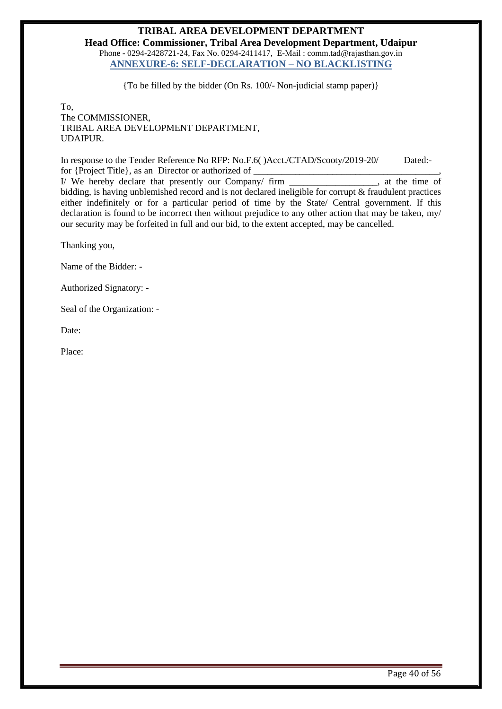<span id="page-39-0"></span>**Head Office: Commissioner, Tribal Area Development Department, Udaipur** Phone - 0294-2428721-24, Fax No. 0294-2411417, E-Mail : comm.tad@rajasthan.gov.in **ANNEXURE-6: SELF-DECLARATION – NO BLACKLISTING** 

{To be filled by the bidder (On Rs. 100/- Non-judicial stamp paper)}

To, The COMMISSIONER, TRIBAL AREA DEVELOPMENT DEPARTMENT, UDAIPUR.

In response to the Tender Reference No RFP: No.F.6( )Acct./CTAD/Scooty/2019-20/ Dated: for {Project Title}, as an Director or authorized of \_\_\_\_\_\_\_\_\_\_\_\_\_\_\_\_\_\_\_\_\_\_\_\_\_\_\_\_,<br>I/ We hereby declare that presently our Company/ firm . at the time of I/ We hereby declare that presently our Company/ firm

bidding, is having unblemished record and is not declared ineligible for corrupt & fraudulent practices either indefinitely or for a particular period of time by the State/ Central government. If this declaration is found to be incorrect then without prejudice to any other action that may be taken, my/ our security may be forfeited in full and our bid, to the extent accepted, may be cancelled.

Thanking you,

Name of the Bidder: -

Authorized Signatory: -

Seal of the Organization: -

Date:

Place: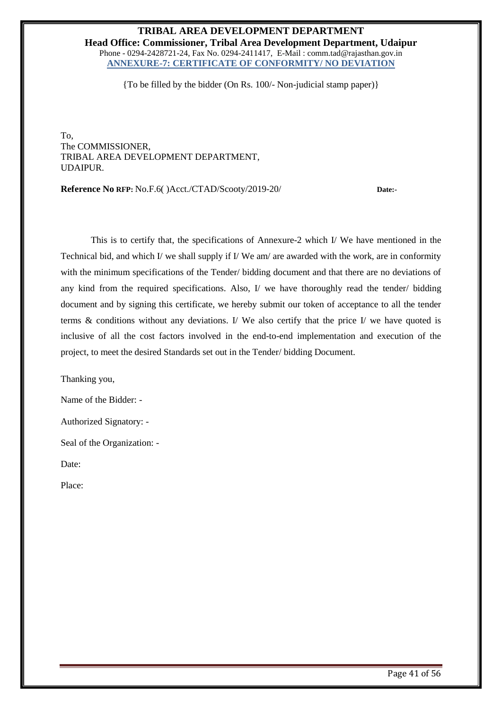<span id="page-40-0"></span>**Head Office: Commissioner, Tribal Area Development Department, Udaipur** Phone - 0294-2428721-24, Fax No. 0294-2411417, E-Mail : comm.tad@rajasthan.gov.in **ANNEXURE-7: CERTIFICATE OF CONFORMITY/ NO DEVIATION** 

{To be filled by the bidder (On Rs. 100/- Non-judicial stamp paper)}

To, The COMMISSIONER, TRIBAL AREA DEVELOPMENT DEPARTMENT, UDAIPUR.

**Reference No RFP:** No.F.6( )Acct./CTAD/Scooty/2019-20/ **Date:-** 

 This is to certify that, the specifications of Annexure-2 which I/ We have mentioned in the Technical bid, and which I/ we shall supply if I/ We am/ are awarded with the work, are in conformity with the minimum specifications of the Tender/ bidding document and that there are no deviations of any kind from the required specifications. Also, I/ we have thoroughly read the tender/ bidding document and by signing this certificate, we hereby submit our token of acceptance to all the tender terms & conditions without any deviations. I/ We also certify that the price I/ we have quoted is inclusive of all the cost factors involved in the end-to-end implementation and execution of the project, to meet the desired Standards set out in the Tender/ bidding Document.

Thanking you,

Name of the Bidder: -

Authorized Signatory: -

Seal of the Organization: -

Date:

Place: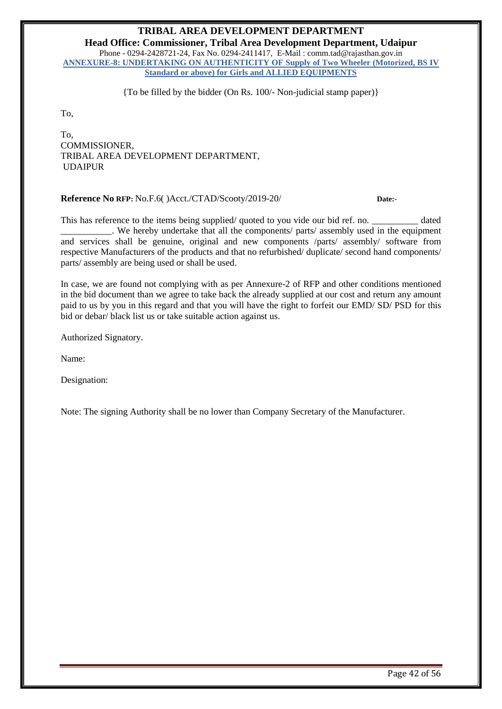<span id="page-41-0"></span>**Head Office: Commissioner, Tribal Area Development Department, Udaipur** Phone - 0294-2428721-24, Fax No. 0294-2411417, E-Mail : comm.tad@rajasthan.gov.in **ANNEXURE-8: UNDERTAKING ON AUTHENTICITY OF Supply of Two Wheeler (Motorized, BS IV Standard or above) for Girls and ALLIED EQUIPMENTS**

{To be filled by the bidder (On Rs. 100/- Non-judicial stamp paper)}

To,

To, COMMISSIONER, TRIBAL AREA DEVELOPMENT DEPARTMENT, UDAIPUR

#### **Reference No RFP:** No.F.6( )Acct./CTAD/Scooty/2019-20/ **Date:-**

This has reference to the items being supplied/ quoted to you vide our bid ref. no.  $\qquad \qquad$  dated \_\_\_\_\_\_\_\_\_\_\_. We hereby undertake that all the components/ parts/ assembly used in the equipment and services shall be genuine, original and new components /parts/ assembly/ software from respective Manufacturers of the products and that no refurbished/ duplicate/ second hand components/ parts/ assembly are being used or shall be used.

In case, we are found not complying with as per Annexure-2 of RFP and other conditions mentioned in the bid document than we agree to take back the already supplied at our cost and return any amount paid to us by you in this regard and that you will have the right to forfeit our EMD/ SD/ PSD for this bid or debar/ black list us or take suitable action against us.

Authorized Signatory.

Name:

Designation:

Note: The signing Authority shall be no lower than Company Secretary of the Manufacturer.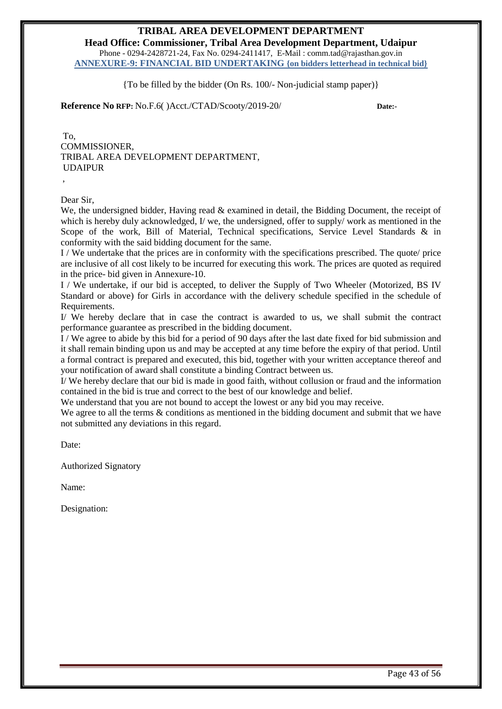<span id="page-42-0"></span>**Head Office: Commissioner, Tribal Area Development Department, Udaipur** Phone - 0294-2428721-24, Fax No. 0294-2411417, E-Mail : comm.tad@rajasthan.gov.in **ANNEXURE-9: FINANCIAL BID UNDERTAKING {on bidders letterhead in technical bid}**

{To be filled by the bidder (On Rs. 100/- Non-judicial stamp paper)}

**Reference No RFP:** No.F.6( )Acct./CTAD/Scooty/2019-20/ **Date:-** 

To, COMMISSIONER, TRIBAL AREA DEVELOPMENT DEPARTMENT, UDAIPUR ,

Dear Sir,

We, the undersigned bidder, Having read & examined in detail, the Bidding Document, the receipt of which is hereby duly acknowledged, I/ we, the undersigned, offer to supply/ work as mentioned in the Scope of the work, Bill of Material, Technical specifications, Service Level Standards & in conformity with the said bidding document for the same.

I / We undertake that the prices are in conformity with the specifications prescribed. The quote/ price are inclusive of all cost likely to be incurred for executing this work. The prices are quoted as required in the price- bid given in Annexure-10.

I / We undertake, if our bid is accepted, to deliver the Supply of Two Wheeler (Motorized, BS IV Standard or above) for Girls in accordance with the delivery schedule specified in the schedule of Requirements.

I/ We hereby declare that in case the contract is awarded to us, we shall submit the contract performance guarantee as prescribed in the bidding document.

I / We agree to abide by this bid for a period of 90 days after the last date fixed for bid submission and it shall remain binding upon us and may be accepted at any time before the expiry of that period. Until a formal contract is prepared and executed, this bid, together with your written acceptance thereof and your notification of award shall constitute a binding Contract between us.

I/ We hereby declare that our bid is made in good faith, without collusion or fraud and the information contained in the bid is true and correct to the best of our knowledge and belief.

We understand that you are not bound to accept the lowest or any bid you may receive.

We agree to all the terms & conditions as mentioned in the bidding document and submit that we have not submitted any deviations in this regard.

Date:

Authorized Signatory

Name:

Designation: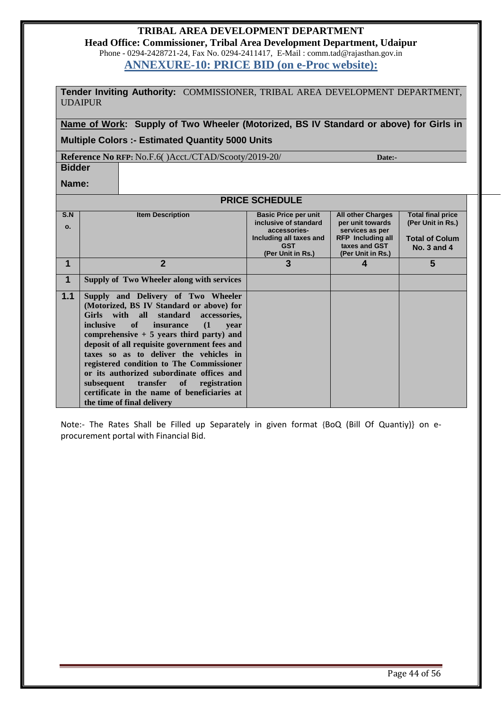**Head Office: Commissioner, Tribal Area Development Department, Udaipur** Phone - 0294-2428721-24, Fax No. 0294-2411417, E-Mail : comm.tad@rajasthan.gov.in

**ANNEXURE-10: PRICE BID (on e-Proc website):**

<span id="page-43-0"></span>**Tender Inviting Authority:** COMMISSIONER, TRIBAL AREA DEVELOPMENT DEPARTMENT, UDAIPUR

**Name of Work: Supply of Two Wheeler (Motorized, BS IV Standard or above) for Girls in Multiple Colors :- Estimated Quantity 5000 Units**

**Reference No RFP:** No.F.6( )Acct./CTAD/Scooty/2019-20/ **Date:-** 

**Bidder Name:**

**PRICE SCHEDULE**

| S.N            | <b>Item Description</b>                         | <b>Basic Price per unit</b> | <b>All other Charges</b> | <b>Total final price</b> |
|----------------|-------------------------------------------------|-----------------------------|--------------------------|--------------------------|
| $\mathbf{o}$ . |                                                 | inclusive of standard       | per unit towards         | (Per Unit in Rs.)        |
|                |                                                 | accessories-                | services as per          |                          |
|                |                                                 | Including all taxes and     | <b>RFP</b> Including all | <b>Total of Colum</b>    |
|                |                                                 | <b>GST</b>                  | taxes and GST            | <b>No. 3 and 4</b>       |
|                |                                                 | (Per Unit in Rs.)           | (Per Unit in Rs.)        |                          |
| 1              | $\mathbf{2}$                                    | 3                           | 4                        | 5                        |
|                |                                                 |                             |                          |                          |
| $\mathbf 1$    | Supply of Two Wheeler along with services       |                             |                          |                          |
|                |                                                 |                             |                          |                          |
| 1.1            | Supply and Delivery of Two Wheeler              |                             |                          |                          |
|                | (Motorized, BS IV Standard or above) for        |                             |                          |                          |
|                | Girls with all standard accessories,            |                             |                          |                          |
|                |                                                 |                             |                          |                          |
|                | inclusive of<br>(1)<br><i>insurance</i><br>vear |                             |                          |                          |
|                | comprehensive $+5$ years third party) and       |                             |                          |                          |
|                | deposit of all requisite government fees and    |                             |                          |                          |
|                | taxes so as to deliver the vehicles in          |                             |                          |                          |
|                |                                                 |                             |                          |                          |
|                | registered condition to The Commissioner        |                             |                          |                          |
|                | or its authorized subordinate offices and       |                             |                          |                          |
|                | subsequent transfer of<br>registration          |                             |                          |                          |
|                | certificate in the name of beneficiaries at     |                             |                          |                          |
|                | the time of final delivery                      |                             |                          |                          |
|                |                                                 |                             |                          |                          |

<span id="page-43-1"></span>Note:- The Rates Shall be Filled up Separately in given format {BoQ (Bill Of Quantiy)} on eprocurement portal with Financial Bid.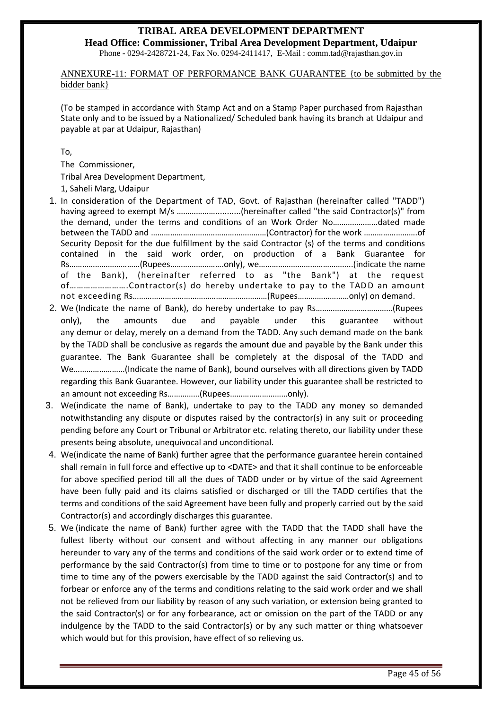**Head Office: Commissioner, Tribal Area Development Department, Udaipur** Phone - 0294-2428721-24, Fax No. 0294-2411417, E-Mail : comm.tad@rajasthan.gov.in

#### ANNEXURE-11: FORMAT OF PERFORMANCE BANK GUARANTEE {to be submitted by the bidder bank}

(To be stamped in accordance with Stamp Act and on a Stamp Paper purchased from Rajasthan State only and to be issued by a Nationalized/ Scheduled bank having its branch at Udaipur and payable at par at Udaipur, Rajasthan)

To,

The Commissioner,

Tribal Area Development Department,

1, Saheli Marg, Udaipur

- 1. In consideration of the Department of TAD, Govt. of Rajasthan (hereinafter called "TADD") having agreed to exempt M/s ..............................(hereinafter called "the said Contractor(s)" from the demand, under the terms and conditions of an Work Order No…………………dated made between the TADD and ………………………………………………(Contractor) for the work …………………….of Security Deposit for the due fulfillment by the said Contractor (s) of the terms and conditions contained in the said work order, on production of a Bank Guarantee for Rs……………………………(Rupees…………………….only), we……………………………………..(indicate the name of the Bank), (hereinafter referred to as "the Bank") at the request of…………………….Contractor(s) do hereby undertake to pay to the TADD an amount not exceeding Rs………………………………………………………(Rupees……………………only) on demand.
- 2. We (Indicate the name of Bank), do hereby undertake to pay Rs………………………………(Rupees only), the amounts due and payable under this guarantee without any demur or delay, merely on a demand from the TADD. Any such demand made on the bank by the TADD shall be conclusive as regards the amount due and payable by the Bank under this guarantee. The Bank Guarantee shall be completely at the disposal of the TADD and We……………………(Indicate the name of Bank), bound ourselves with all directions given by TADD regarding this Bank Guarantee. However, our liability under this guarantee shall be restricted to an amount not exceeding Rs……………(Rupees………………………only).
- 3. We(indicate the name of Bank), undertake to pay to the TADD any money so demanded notwithstanding any dispute or disputes raised by the contractor(s) in any suit or proceeding pending before any Court or Tribunal or Arbitrator etc. relating thereto, our liability under these presents being absolute, unequivocal and unconditional.
- 4. We(indicate the name of Bank) further agree that the performance guarantee herein contained shall remain in full force and effective up to <DATE> and that it shall continue to be enforceable for above specified period till all the dues of TADD under or by virtue of the said Agreement have been fully paid and its claims satisfied or discharged or till the TADD certifies that the terms and conditions of the said Agreement have been fully and properly carried out by the said Contractor(s) and accordingly discharges this guarantee.
- 5. We (indicate the name of Bank) further agree with the TADD that the TADD shall have the fullest liberty without our consent and without affecting in any manner our obligations hereunder to vary any of the terms and conditions of the said work order or to extend time of performance by the said Contractor(s) from time to time or to postpone for any time or from time to time any of the powers exercisable by the TADD against the said Contractor(s) and to forbear or enforce any of the terms and conditions relating to the said work order and we shall not be relieved from our liability by reason of any such variation, or extension being granted to the said Contractor(s) or for any forbearance, act or omission on the part of the TADD or any indulgence by the TADD to the said Contractor(s) or by any such matter or thing whatsoever which would but for this provision, have effect of so relieving us.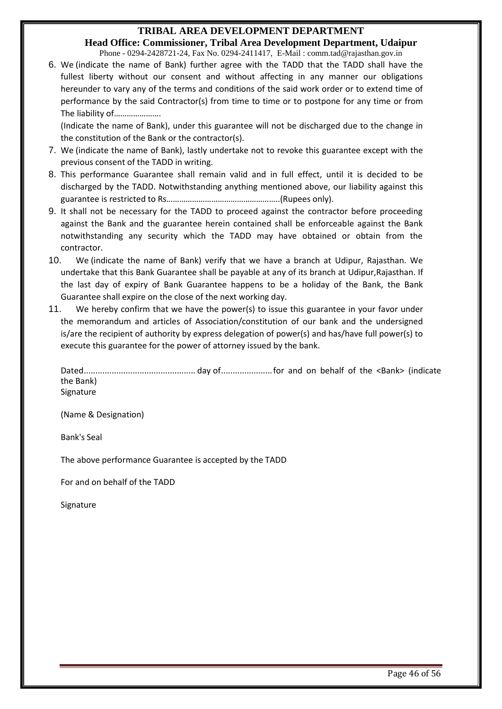**Head Office: Commissioner, Tribal Area Development Department, Udaipur** Phone - 0294-2428721-24, Fax No. 0294-2411417, E-Mail : comm.tad@rajasthan.gov.in

6. We (indicate the name of Bank) further agree with the TADD that the TADD shall have the fullest liberty without our consent and without affecting in any manner our obligations hereunder to vary any of the terms and conditions of the said work order or to extend time of performance by the said Contractor(s) from time to time or to postpone for any time or from The liability of………………….

(Indicate the name of Bank), under this guarantee will not be discharged due to the change in the constitution of the Bank or the contractor(s).

- 7. We (indicate the name of Bank), lastly undertake not to revoke this guarantee except with the previous consent of the TADD in writing.
- 8. This performance Guarantee shall remain valid and in full effect, until it is decided to be discharged by the TADD. Notwithstanding anything mentioned above, our liability against this guarantee is restricted to Rs……………………………………………..(Rupees only).
- 9. It shall not be necessary for the TADD to proceed against the contractor before proceeding against the Bank and the guarantee herein contained shall be enforceable against the Bank notwithstanding any security which the TADD may have obtained or obtain from the contractor.
- 10. We (indicate the name of Bank) verify that we have a branch at Udipur, Rajasthan. We undertake that this Bank Guarantee shall be payable at any of its branch at Udipur,Rajasthan. If the last day of expiry of Bank Guarantee happens to be a holiday of the Bank, the Bank Guarantee shall expire on the close of the next working day.
- 11. We hereby confirm that we have the power(s) to issue this guarantee in your favor under the memorandum and articles of Association/constitution of our bank and the undersigned is/are the recipient of authority by express delegation of power(s) and has/have full power(s) to execute this guarantee for the power of attorney issued by the bank.

Dated................................................ day of......................for and on behalf of the <Bank> (indicate the Bank) Signature

(Name & Designation)

Bank's Seal

The above performance Guarantee is accepted by the TADD

For and on behalf of the TADD

Signature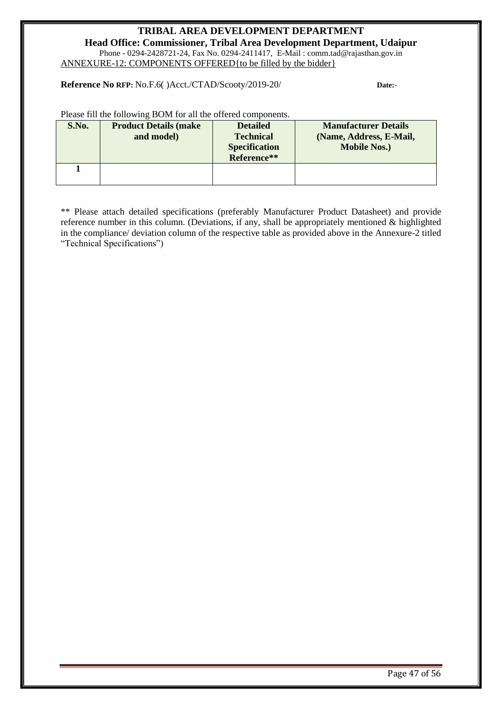<span id="page-46-0"></span>**Head Office: Commissioner, Tribal Area Development Department, Udaipur** Phone - 0294-2428721-24, Fax No. 0294-2411417, E-Mail : comm.tad@rajasthan.gov.in ANNEXURE-12: COMPONENTS OFFERED{to be filled by the bidder}

**Reference No RFP:** No.F.6( )Acct./CTAD/Scooty/2019-20/ **Date:-** 

Please fill the following BOM for all the offered components.

| S.No. | <b>Product Details (make)</b> | <b>Detailed</b>      | <b>Manufacturer Details</b> |
|-------|-------------------------------|----------------------|-----------------------------|
|       | and model)                    | <b>Technical</b>     | (Name, Address, E-Mail,     |
|       |                               | <b>Specification</b> | <b>Mobile Nos.)</b>         |
|       |                               | Reference**          |                             |
|       |                               |                      |                             |
|       |                               |                      |                             |

\*\* Please attach detailed specifications (preferably Manufacturer Product Datasheet) and provide reference number in this column. (Deviations, if any, shall be appropriately mentioned & highlighted in the compliance/ deviation column of the respective table as provided above in the Annexure-2 titled "Technical Specifications")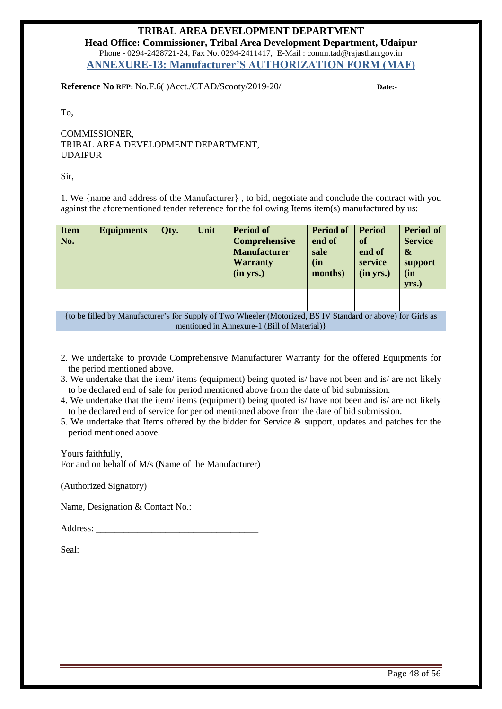**Head Office: Commissioner, Tribal Area Development Department, Udaipur** Phone - 0294-2428721-24, Fax No. 0294-2411417, E-Mail : comm.tad@rajasthan.gov.in **ANNEXURE-13: Manufacturer'S AUTHORIZATION FORM (MAF)**

<span id="page-47-0"></span>**Reference No RFP:** No.F.6( )Acct./CTAD/Scooty/2019-20/ **Date:-** 

To,

COMMISSIONER, TRIBAL AREA DEVELOPMENT DEPARTMENT, UDAIPUR

Sir,

1. We {name and address of the Manufacturer} , to bid, negotiate and conclude the contract with you against the aforementioned tender reference for the following Items item(s) manufactured by us:

| <b>Item</b><br>No.                                                                                                                                          | <b>Equipments</b> | Qty. | Unit | <b>Period of</b><br><b>Comprehensive</b><br><b>Manufacturer</b><br><b>Warranty</b><br>(in yrs.) | <b>Period of</b><br>end of<br>sale<br>(in<br>months) | <b>Period</b><br>of<br>end of<br>service<br>(in yrs.) | <b>Period of</b><br><b>Service</b><br>&<br>support<br>(in<br>yrs.) |
|-------------------------------------------------------------------------------------------------------------------------------------------------------------|-------------------|------|------|-------------------------------------------------------------------------------------------------|------------------------------------------------------|-------------------------------------------------------|--------------------------------------------------------------------|
|                                                                                                                                                             |                   |      |      |                                                                                                 |                                                      |                                                       |                                                                    |
|                                                                                                                                                             |                   |      |      |                                                                                                 |                                                      |                                                       |                                                                    |
| {to be filled by Manufacturer's for Supply of Two Wheeler (Motorized, BS IV Standard or above) for Girls as<br>mentioned in Annexure-1 (Bill of Material) } |                   |      |      |                                                                                                 |                                                      |                                                       |                                                                    |

- 2. We undertake to provide Comprehensive Manufacturer Warranty for the offered Equipments for the period mentioned above.
- 3. We undertake that the item/ items (equipment) being quoted is/ have not been and is/ are not likely to be declared end of sale for period mentioned above from the date of bid submission.
- 4. We undertake that the item/ items (equipment) being quoted is/ have not been and is/ are not likely to be declared end of service for period mentioned above from the date of bid submission.
- 5. We undertake that Items offered by the bidder for Service & support, updates and patches for the period mentioned above.

Yours faithfully, For and on behalf of M/s (Name of the Manufacturer)

(Authorized Signatory)

Name, Designation & Contact No.:

Address: \_\_\_\_\_\_\_\_\_\_\_\_\_\_\_\_\_\_\_\_\_\_\_\_\_\_\_\_\_\_\_\_\_\_\_

Seal: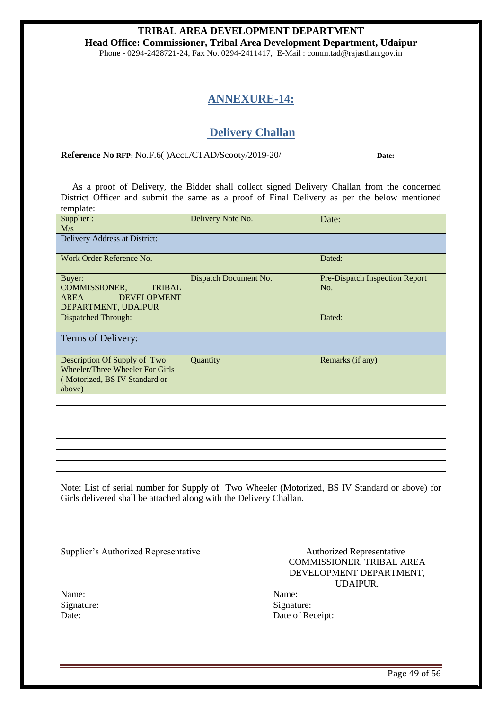<span id="page-48-0"></span>**Head Office: Commissioner, Tribal Area Development Department, Udaipur** Phone - 0294-2428721-24, Fax No. 0294-2411417, E-Mail : comm.tad@rajasthan.gov.in

# **ANNEXURE-14:**

# **Delivery Challan**

**Reference No RFP:** No.F.6( )Acct./CTAD/Scooty/2019-20/ **Date:-** 

 As a proof of Delivery, the Bidder shall collect signed Delivery Challan from the concerned District Officer and submit the same as a proof of Final Delivery as per the below mentioned template:

| Supplier:<br>M/s                                                                                           | Delivery Note No.     | Date:                                 |
|------------------------------------------------------------------------------------------------------------|-----------------------|---------------------------------------|
| Delivery Address at District:                                                                              |                       |                                       |
| Work Order Reference No.                                                                                   |                       | Dated:                                |
| Buyer:<br>COMMISSIONER,<br><b>TRIBAL</b><br>AREA<br><b>DEVELOPMENT</b><br>DEPARTMENT, UDAIPUR              | Dispatch Document No. | Pre-Dispatch Inspection Report<br>No. |
| Dispatched Through:                                                                                        |                       | Dated:                                |
| Terms of Delivery:                                                                                         |                       |                                       |
| Description Of Supply of Two<br>Wheeler/Three Wheeler For Girls<br>(Motorized, BS IV Standard or<br>above) | Quantity              | Remarks (if any)                      |
|                                                                                                            |                       |                                       |
|                                                                                                            |                       |                                       |
|                                                                                                            |                       |                                       |
|                                                                                                            |                       |                                       |
|                                                                                                            |                       |                                       |

Note: List of serial number for Supply of Two Wheeler (Motorized, BS IV Standard or above) for Girls delivered shall be attached along with the Delivery Challan.

Supplier's Authorized Representative Authorized Representative

| Name:      | Name:  |
|------------|--------|
| Signature: | Signat |
| Date:      | Date o |

COMMISSIONER, TRIBAL AREA DEVELOPMENT DEPARTMENT, UDAIPUR.

Signature: Date of Receipt: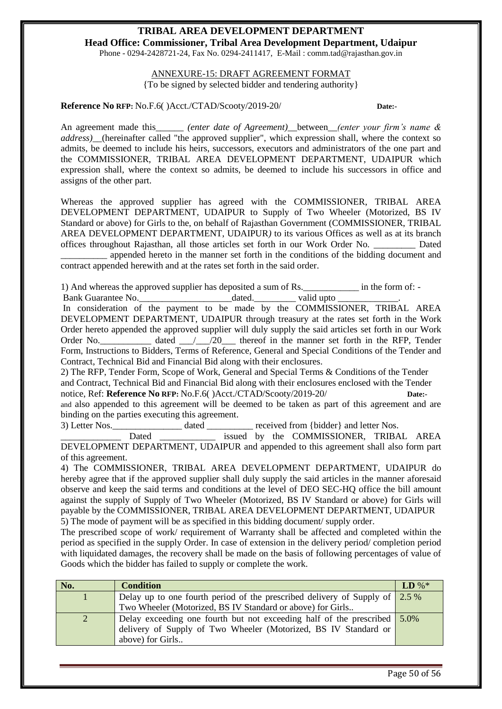<span id="page-49-0"></span>**Head Office: Commissioner, Tribal Area Development Department, Udaipur** Phone - 0294-2428721-24, Fax No. 0294-2411417, E-Mail : comm.tad@rajasthan.gov.in

> ANNEXURE-15: DRAFT AGREEMENT FORMAT {To be signed by selected bidder and tendering authority}

**Reference No RFP:** No.F.6( )Acct./CTAD/Scooty/2019-20/ **Date:-** 

An agreement made this\_\_\_\_\_\_ *(enter date of Agreement)\_\_*between\_\_*(enter your firm's name & address)\_\_*(hereinafter called "the approved supplier", which expression shall, where the context so admits, be deemed to include his heirs, successors, executors and administrators of the one part and the COMMISSIONER, TRIBAL AREA DEVELOPMENT DEPARTMENT, UDAIPUR which expression shall, where the context so admits, be deemed to include his successors in office and assigns of the other part.

Whereas the approved supplier has agreed with the COMMISSIONER, TRIBAL AREA DEVELOPMENT DEPARTMENT, UDAIPUR to Supply of Two Wheeler (Motorized, BS IV Standard or above) for Girls to the, on behalf of Rajasthan Government (COMMISSIONER, TRIBAL AREA DEVELOPMENT DEPARTMENT, UDAIPUR*)* to its various Offices as well as at its branch offices throughout Rajasthan, all those articles set forth in our Work Order No. \_\_\_\_\_\_\_\_\_ Dated

\_\_\_\_\_\_\_\_\_\_ appended hereto in the manner set forth in the conditions of the bidding document and contract appended herewith and at the rates set forth in the said order.

1) And whereas the approved supplier has deposited a sum of Rs.\_\_\_\_\_\_\_\_\_\_\_\_ in the form of: -

Bank Guarantee No. <br>
<br>  $\qquad \qquad$  dated.  $\qquad \qquad$  valid upto

In consideration of the payment to be made by the COMMISSIONER, TRIBAL AREA DEVELOPMENT DEPARTMENT, UDAIPUR through treasury at the rates set forth in the Work Order hereto appended the approved supplier will duly supply the said articles set forth in our Work Order No. \_\_\_\_\_\_\_\_\_\_\_ dated \_\_\_/\_\_\_/20\_\_\_\_ thereof in the manner set forth in the RFP, Tender Form, Instructions to Bidders, Terms of Reference, General and Special Conditions of the Tender and Contract, Technical Bid and Financial Bid along with their enclosures.

2) The RFP, Tender Form, Scope of Work, General and Special Terms & Conditions of the Tender and Contract, Technical Bid and Financial Bid along with their enclosures enclosed with the Tender notice, Ref: **Reference No RFP:** No.F.6( )Acct./CTAD/Scooty/2019-20/ **Date:-** 

and also appended to this agreement will be deemed to be taken as part of this agreement and are binding on the parties executing this agreement.

3) Letter Nos.  $\qquad \qquad$  dated  $\qquad \qquad$  received from {bidder} and letter Nos.

Dated \_\_\_\_\_\_\_\_\_\_\_\_\_\_\_ issued by the COMMISSIONER, TRIBAL AREA DEVELOPMENT DEPARTMENT, UDAIPUR and appended to this agreement shall also form part of this agreement.

4) The COMMISSIONER, TRIBAL AREA DEVELOPMENT DEPARTMENT, UDAIPUR do hereby agree that if the approved supplier shall duly supply the said articles in the manner aforesaid observe and keep the said terms and conditions at the level of DEO SEC-HQ office the bill amount against the supply of Supply of Two Wheeler (Motorized, BS IV Standard or above) for Girls will payable by the COMMISSIONER, TRIBAL AREA DEVELOPMENT DEPARTMENT, UDAIPUR 5) The mode of payment will be as specified in this bidding document/ supply order.

The prescribed scope of work/ requirement of Warranty shall be affected and completed within the period as specified in the supply Order. In case of extension in the delivery period/ completion period with liquidated damages, the recovery shall be made on the basis of following percentages of value of Goods which the bidder has failed to supply or complete the work.

| No. | <b>Condition</b>                                                                      | $LD\%*$ |
|-----|---------------------------------------------------------------------------------------|---------|
|     | Delay up to one fourth period of the prescribed delivery of Supply of $\frac{2.5}{6}$ |         |
|     | Two Wheeler (Motorized, BS IV Standard or above) for Girls                            |         |
| 2   | Delay exceeding one fourth but not exceeding half of the prescribed $\frac{5.0\%}{2}$ |         |
|     | delivery of Supply of Two Wheeler (Motorized, BS IV Standard or                       |         |
|     | above) for Girls                                                                      |         |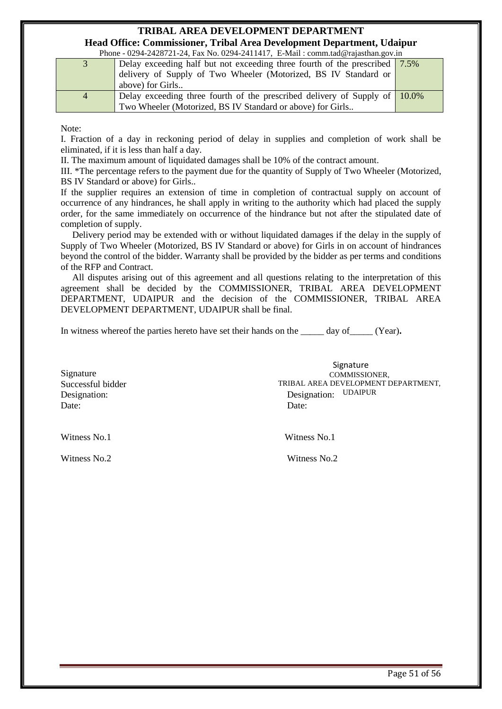#### **TRIBAL AREA DEVELOPMENT DEPARTMENT Head Office: Commissioner, Tribal Area Development Department, Udaipur**

Phone - 0294-2428721-24, Fax No. 0294-2411417, F-Mail : comm.tad@rajasthan.gov.in

|                | 1 HONG $\sqrt{2}$ (2) $\sqrt{2}$ (2) $\sqrt{2}$ (1) $\sqrt{2}$ (3) $\sqrt{2}$ (2) $\sqrt{2}$ (11 $\sqrt{2}$ (1) $\sqrt{2}$ (1) $\sqrt{2}$ (1) $\sqrt{2}$ (1) $\sqrt{2}$ (1) $\sqrt{2}$ (1) $\sqrt{2}$ (1) $\sqrt{2}$ (1) $\sqrt{2}$ (1) $\sqrt{2}$ (1) $\sqrt{2}$ (1) $\sqrt{2}$ (1 |  |
|----------------|-------------------------------------------------------------------------------------------------------------------------------------------------------------------------------------------------------------------------------------------------------------------------------------|--|
|                | Delay exceeding half but not exceeding three fourth of the prescribed   7.5%                                                                                                                                                                                                        |  |
|                | delivery of Supply of Two Wheeler (Motorized, BS IV Standard or                                                                                                                                                                                                                     |  |
|                | above) for Girls                                                                                                                                                                                                                                                                    |  |
| $\overline{4}$ | Delay exceeding three fourth of the prescribed delivery of Supply of $\vert$ 10.0%                                                                                                                                                                                                  |  |
|                | Two Wheeler (Motorized, BS IV Standard or above) for Girls                                                                                                                                                                                                                          |  |

Note:

I. Fraction of a day in reckoning period of delay in supplies and completion of work shall be eliminated, if it is less than half a day.

II. The maximum amount of liquidated damages shall be 10% of the contract amount.

III. \*The percentage refers to the payment due for the quantity of Supply of Two Wheeler (Motorized, BS IV Standard or above) for Girls..

If the supplier requires an extension of time in completion of contractual supply on account of occurrence of any hindrances, he shall apply in writing to the authority which had placed the supply order, for the same immediately on occurrence of the hindrance but not after the stipulated date of completion of supply.

 Delivery period may be extended with or without liquidated damages if the delay in the supply of Supply of Two Wheeler (Motorized, BS IV Standard or above) for Girls in on account of hindrances beyond the control of the bidder. Warranty shall be provided by the bidder as per terms and conditions of the RFP and Contract.

 All disputes arising out of this agreement and all questions relating to the interpretation of this agreement shall be decided by the COMMISSIONER, TRIBAL AREA DEVELOPMENT DEPARTMENT, UDAIPUR and the decision of the COMMISSIONER, TRIBAL AREA DEVELOPMENT DEPARTMENT, UDAIPUR shall be final.

In witness whereof the parties hereto have set their hands on the day of (Year).

Signature Successful bidder Date: Date:

Designation: Designation: UDAIPUR**Signature** COMMISSIONER, TRIBAL AREA DEVELOPMENT DEPARTMENT,

Witness No.1 Witness No.1

<span id="page-50-0"></span>Witness No. 2 Witness No. 2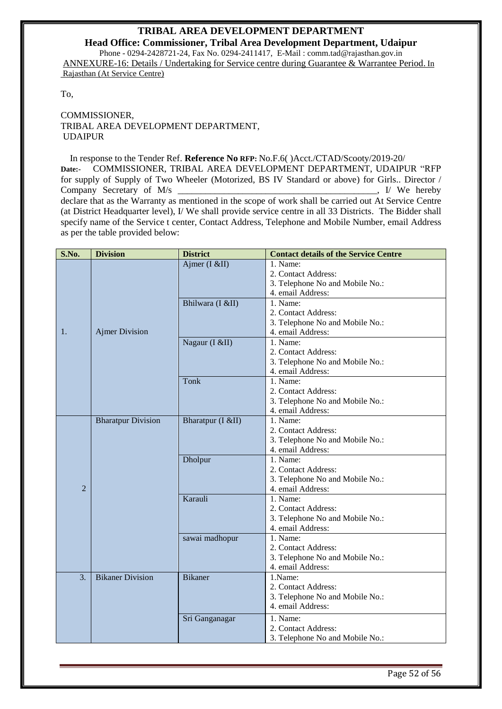**Head Office: Commissioner, Tribal Area Development Department, Udaipur** Phone - 0294-2428721-24, Fax No. 0294-2411417, E-Mail : comm.tad@rajasthan.gov.in ANNEXURE-16: Details / Undertaking for Service centre during Guarantee & Warrantee Period. In Rajasthan (At Service Centre)

To,

COMMISSIONER, TRIBAL AREA DEVELOPMENT DEPARTMENT, UDAIPUR

 In response to the Tender Ref. **Reference No RFP:** No.F.6( )Acct./CTAD/Scooty/2019-20/ **Date:-** COMMISSIONER, TRIBAL AREA DEVELOPMENT DEPARTMENT, UDAIPUR "RFP for supply of Supply of Two Wheeler (Motorized, BS IV Standard or above) for Girls.. Director / Company Secretary of M/s  $\blacksquare$ declare that as the Warranty as mentioned in the scope of work shall be carried out At Service Centre (at District Headquarter level), I/ We shall provide service centre in all 33 Districts. The Bidder shall specify name of the Service t center, Contact Address, Telephone and Mobile Number, email Address as per the table provided below:

| S.No.            | <b>Division</b>           | <b>District</b>   | <b>Contact details of the Service Centre</b> |
|------------------|---------------------------|-------------------|----------------------------------------------|
|                  |                           | Ajmer (I $&$ II)  | 1. Name:                                     |
|                  |                           |                   | 2. Contact Address:                          |
|                  |                           |                   | 3. Telephone No and Mobile No.:              |
|                  |                           |                   | 4. email Address:                            |
|                  |                           | Bhilwara (I &II)  | 1. Name:                                     |
|                  |                           |                   | 2. Contact Address:                          |
|                  |                           |                   | 3. Telephone No and Mobile No.:              |
| 1.               | <b>Ajmer Division</b>     |                   | 4. email Address:                            |
|                  |                           | Nagaur (I &II)    | 1. Name:                                     |
|                  |                           |                   | 2. Contact Address:                          |
|                  |                           |                   | 3. Telephone No and Mobile No.:              |
|                  |                           |                   | 4. email Address:                            |
|                  |                           | <b>Tonk</b>       | 1. Name:                                     |
|                  |                           |                   | 2. Contact Address:                          |
|                  |                           |                   | 3. Telephone No and Mobile No.:              |
|                  |                           |                   | 4. email Address:                            |
|                  | <b>Bharatpur Division</b> | Bharatpur (I &II) | 1. Name:                                     |
|                  |                           |                   | 2. Contact Address:                          |
|                  |                           |                   | 3. Telephone No and Mobile No.:              |
|                  |                           |                   | 4. email Address:                            |
|                  |                           | Dholpur           | 1. Name:                                     |
|                  |                           |                   | 2. Contact Address:                          |
|                  |                           |                   | 3. Telephone No and Mobile No.:              |
| $\overline{2}$   |                           |                   | 4. email Address:                            |
|                  |                           | Karauli           | 1. Name:                                     |
|                  |                           |                   | 2. Contact Address:                          |
|                  |                           |                   | 3. Telephone No and Mobile No.:              |
|                  |                           |                   | 4. email Address:                            |
|                  |                           | sawai madhopur    | 1. Name:                                     |
|                  |                           |                   | 2. Contact Address:                          |
|                  |                           |                   | 3. Telephone No and Mobile No.:              |
|                  |                           |                   | 4. email Address:                            |
| $\overline{3}$ . | <b>Bikaner</b> Division   | <b>Bikaner</b>    | 1.Name:                                      |
|                  |                           |                   | 2. Contact Address:                          |
|                  |                           |                   | 3. Telephone No and Mobile No.:              |
|                  |                           |                   | 4. email Address:                            |
|                  |                           | Sri Ganganagar    | 1. Name:                                     |
|                  |                           |                   | 2. Contact Address:                          |
|                  |                           |                   | 3. Telephone No and Mobile No.:              |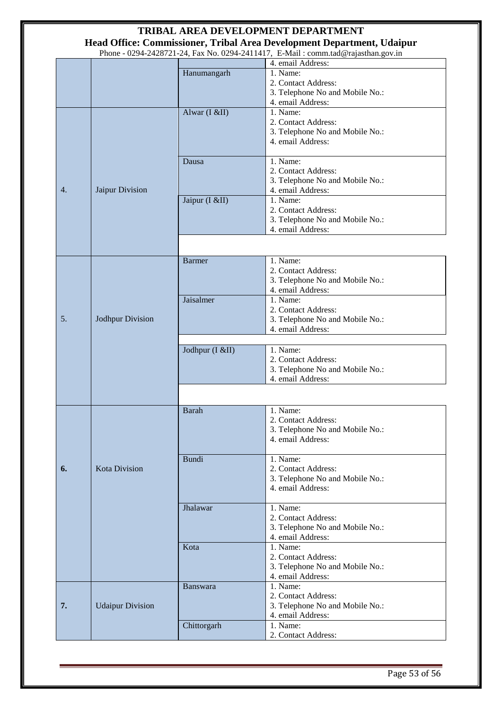|                            |                         |                                                                                         | TRIBAL AREA DEVELOPMENT DEPARTMENT                                                                    |
|----------------------------|-------------------------|-----------------------------------------------------------------------------------------|-------------------------------------------------------------------------------------------------------|
|                            |                         |                                                                                         | Head Office: Commissioner, Tribal Area Development Department, Udaipur                                |
|                            |                         |                                                                                         | Phone - 0294-2428721-24, Fax No. 0294-2411417, E-Mail: comm.tad@rajasthan.gov.in<br>4. email Address: |
|                            |                         | Hanumangarh                                                                             | 1. Name:                                                                                              |
|                            |                         |                                                                                         | 2. Contact Address:<br>3. Telephone No and Mobile No.:<br>4. email Address:                           |
|                            |                         | Alwar (I &II)                                                                           | 1. Name:<br>2. Contact Address:<br>3. Telephone No and Mobile No.:<br>4. email Address:               |
| Jaipur Division<br>4.      |                         | Dausa                                                                                   | 1. Name:<br>2. Contact Address:<br>3. Telephone No and Mobile No.:<br>4. email Address:               |
|                            |                         | Jaipur (I &II)                                                                          | 1. Name:<br>2. Contact Address:<br>3. Telephone No and Mobile No.:<br>4. email Address:               |
|                            |                         |                                                                                         |                                                                                                       |
| 5.<br>Jodhpur Division     |                         | <b>Barmer</b>                                                                           | 1. Name:<br>2. Contact Address:<br>3. Telephone No and Mobile No.:<br>4. email Address:               |
|                            | Jaisalmer               | 1. Name:<br>2. Contact Address:<br>3. Telephone No and Mobile No.:<br>4. email Address: |                                                                                                       |
|                            |                         | Jodhpur (I &II)                                                                         | 1. Name:<br>2. Contact Address:<br>3. Telephone No and Mobile No.:<br>4. email Address:               |
|                            |                         |                                                                                         |                                                                                                       |
|                            |                         | Barah                                                                                   | 1. Name:<br>2. Contact Address:<br>3. Telephone No and Mobile No.:<br>4. email Address:               |
| <b>Kota Division</b><br>6. | <b>Bundi</b>            | 1. Name:<br>2. Contact Address:<br>3. Telephone No and Mobile No.:<br>4. email Address: |                                                                                                       |
|                            |                         | Jhalawar                                                                                | $\overline{1}$ . Name:<br>2. Contact Address:<br>3. Telephone No and Mobile No.:<br>4. email Address: |
|                            |                         | Kota                                                                                    | 1. Name:<br>2. Contact Address:<br>3. Telephone No and Mobile No.:<br>4. email Address:               |
| 7.                         | <b>Udaipur Division</b> | <b>Banswara</b>                                                                         | 1. Name:<br>2. Contact Address:<br>3. Telephone No and Mobile No.:<br>4. email Address:               |
|                            |                         | Chittorgarh                                                                             | 1. Name:<br>2. Contact Address:                                                                       |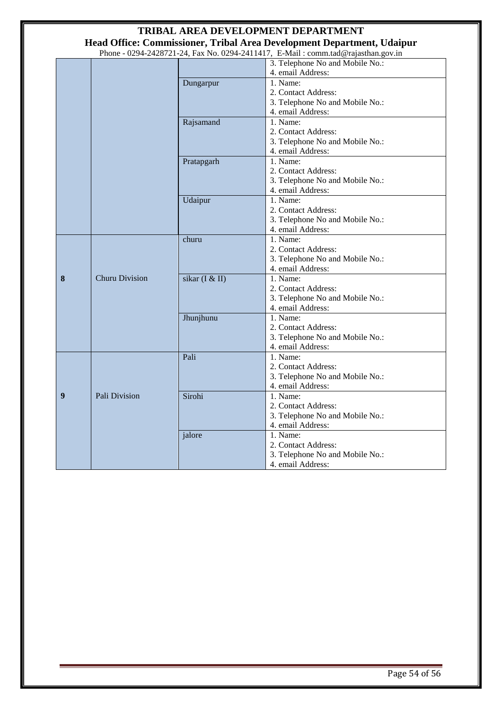|   |                       |                | TRIBAL AREA DEVELOPMENT DEPARTMENT                                               |
|---|-----------------------|----------------|----------------------------------------------------------------------------------|
|   |                       |                | Head Office: Commissioner, Tribal Area Development Department, Udaipur           |
|   |                       |                | Phone - 0294-2428721-24, Fax No. 0294-2411417, E-Mail: comm.tad@rajasthan.gov.in |
|   |                       |                | 3. Telephone No and Mobile No.:                                                  |
|   |                       |                | 4. email Address:                                                                |
|   |                       | Dungarpur      | 1. Name:                                                                         |
|   |                       |                | 2. Contact Address:                                                              |
|   |                       |                | 3. Telephone No and Mobile No.:                                                  |
|   |                       |                | 4. email Address:                                                                |
|   |                       | Rajsamand      | 1. Name:                                                                         |
|   |                       |                | 2. Contact Address:                                                              |
|   |                       |                | 3. Telephone No and Mobile No.:                                                  |
|   |                       |                | 4. email Address:                                                                |
|   |                       | Pratapgarh     | 1. Name:                                                                         |
|   |                       |                | 2. Contact Address:                                                              |
|   |                       |                | 3. Telephone No and Mobile No.:                                                  |
|   |                       |                | 4. email Address:                                                                |
|   |                       | Udaipur        | 1. Name:                                                                         |
|   |                       |                | 2. Contact Address:                                                              |
|   |                       |                | 3. Telephone No and Mobile No.:                                                  |
|   |                       |                | 4. email Address:                                                                |
|   |                       | churu          | 1. Name:                                                                         |
|   |                       |                | 2. Contact Address:                                                              |
|   |                       |                | 3. Telephone No and Mobile No.:                                                  |
|   |                       |                | 4. email Address:                                                                |
| 8 | <b>Churu Division</b> | sikar (I & II) | 1. Name:                                                                         |
|   |                       |                | 2. Contact Address:                                                              |
|   |                       |                | 3. Telephone No and Mobile No.:                                                  |
|   |                       |                | 4. email Address:                                                                |
|   |                       | Jhunjhunu      | 1. Name:                                                                         |
|   |                       |                | 2. Contact Address:                                                              |
|   |                       |                | 3. Telephone No and Mobile No.:                                                  |
|   |                       |                | 4. email Address:                                                                |
|   |                       | Pali           | 1. Name:                                                                         |
|   |                       |                | 2. Contact Address:                                                              |
|   |                       |                | 3. Telephone No and Mobile No.:                                                  |
|   |                       |                | 4. email Address:                                                                |
| 9 | Pali Division         | Sirohi         | 1. Name:                                                                         |
|   |                       |                | 2. Contact Address:                                                              |
|   |                       |                | 3. Telephone No and Mobile No.:                                                  |
|   |                       |                | 4. email Address:                                                                |
|   |                       | jalore         | 1. Name:                                                                         |
|   |                       |                | 2. Contact Address:                                                              |
|   |                       |                | 3. Telephone No and Mobile No.:                                                  |
|   |                       |                | 4. email Address:                                                                |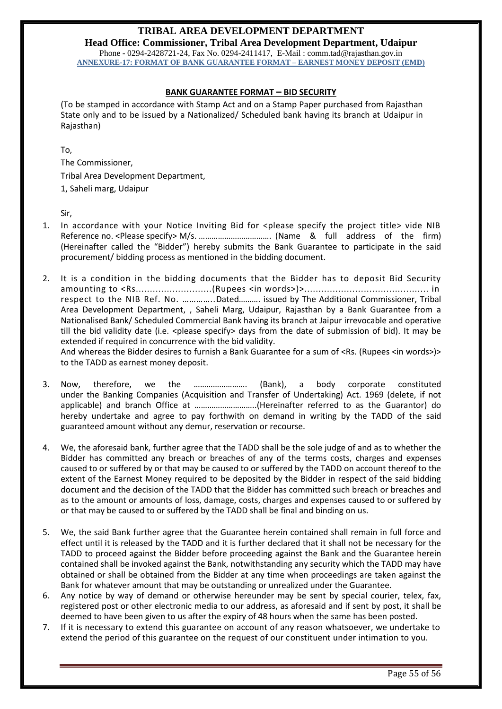<span id="page-54-0"></span>**Head Office: Commissioner, Tribal Area Development Department, Udaipur** Phone - 0294-2428721-24, Fax No. 0294-2411417, E-Mail : comm.tad@rajasthan.gov.in **ANNEXURE-17: FORMAT OF BANK GUARANTEE FORMAT – EARNEST MONEY DEPOSIT (EMD)** 

#### **BANK GUARANTEE FORMAT – BID SECURITY**

(To be stamped in accordance with Stamp Act and on a Stamp Paper purchased from Rajasthan State only and to be issued by a Nationalized/ Scheduled bank having its branch at Udaipur in Rajasthan)

To,

The Commissioner,

Tribal Area Development Department,

1, Saheli marg, Udaipur

Sir,

- 1. In accordance with your Notice Inviting Bid for <please specify the project title> vide NIB Reference no. <Please specify> M/s. ……………………………. (Name & full address of the firm) (Hereinafter called the "Bidder") hereby submits the Bank Guarantee to participate in the said procurement/ bidding process as mentioned in the bidding document.
- 2. It is a condition in the bidding documents that the Bidder has to deposit Bid Security amounting to <Rs...........................(Rupees <in words>)>............................................ in respect to the NIB Ref. No. …………..Dated………. issued by The Additional Commissioner, Tribal Area Development Department, , Saheli Marg, Udaipur, Rajasthan by a Bank Guarantee from a Nationalised Bank/ Scheduled Commercial Bank having its branch at Jaipur irrevocable and operative till the bid validity date (i.e.  $\langle$ please specify> days from the date of submission of bid). It may be extended if required in concurrence with the bid validity.

And whereas the Bidder desires to furnish a Bank Guarantee for a sum of <Rs. (Rupees <in words>)> to the TADD as earnest money deposit.

- 3. Now, therefore, we the ……………………. (Bank), a body corporate constituted under the Banking Companies (Acquisition and Transfer of Undertaking) Act. 1969 (delete, if not applicable) and branch Office at ………………………..(Hereinafter referred to as the Guarantor) do hereby undertake and agree to pay forthwith on demand in writing by the TADD of the said guaranteed amount without any demur, reservation or recourse.
- 4. We, the aforesaid bank, further agree that the TADD shall be the sole judge of and as to whether the Bidder has committed any breach or breaches of any of the terms costs, charges and expenses caused to or suffered by or that may be caused to or suffered by the TADD on account thereof to the extent of the Earnest Money required to be deposited by the Bidder in respect of the said bidding document and the decision of the TADD that the Bidder has committed such breach or breaches and as to the amount or amounts of loss, damage, costs, charges and expenses caused to or suffered by or that may be caused to or suffered by the TADD shall be final and binding on us.
- 5. We, the said Bank further agree that the Guarantee herein contained shall remain in full force and effect until it is released by the TADD and it is further declared that it shall not be necessary for the TADD to proceed against the Bidder before proceeding against the Bank and the Guarantee herein contained shall be invoked against the Bank, notwithstanding any security which the TADD may have obtained or shall be obtained from the Bidder at any time when proceedings are taken against the Bank for whatever amount that may be outstanding or unrealized under the Guarantee.
- 6. Any notice by way of demand or otherwise hereunder may be sent by special courier, telex, fax, registered post or other electronic media to our address, as aforesaid and if sent by post, it shall be deemed to have been given to us after the expiry of 48 hours when the same has been posted.
- 7. If it is necessary to extend this guarantee on account of any reason whatsoever, we undertake to extend the period of this guarantee on the request of our constituent under intimation to you.